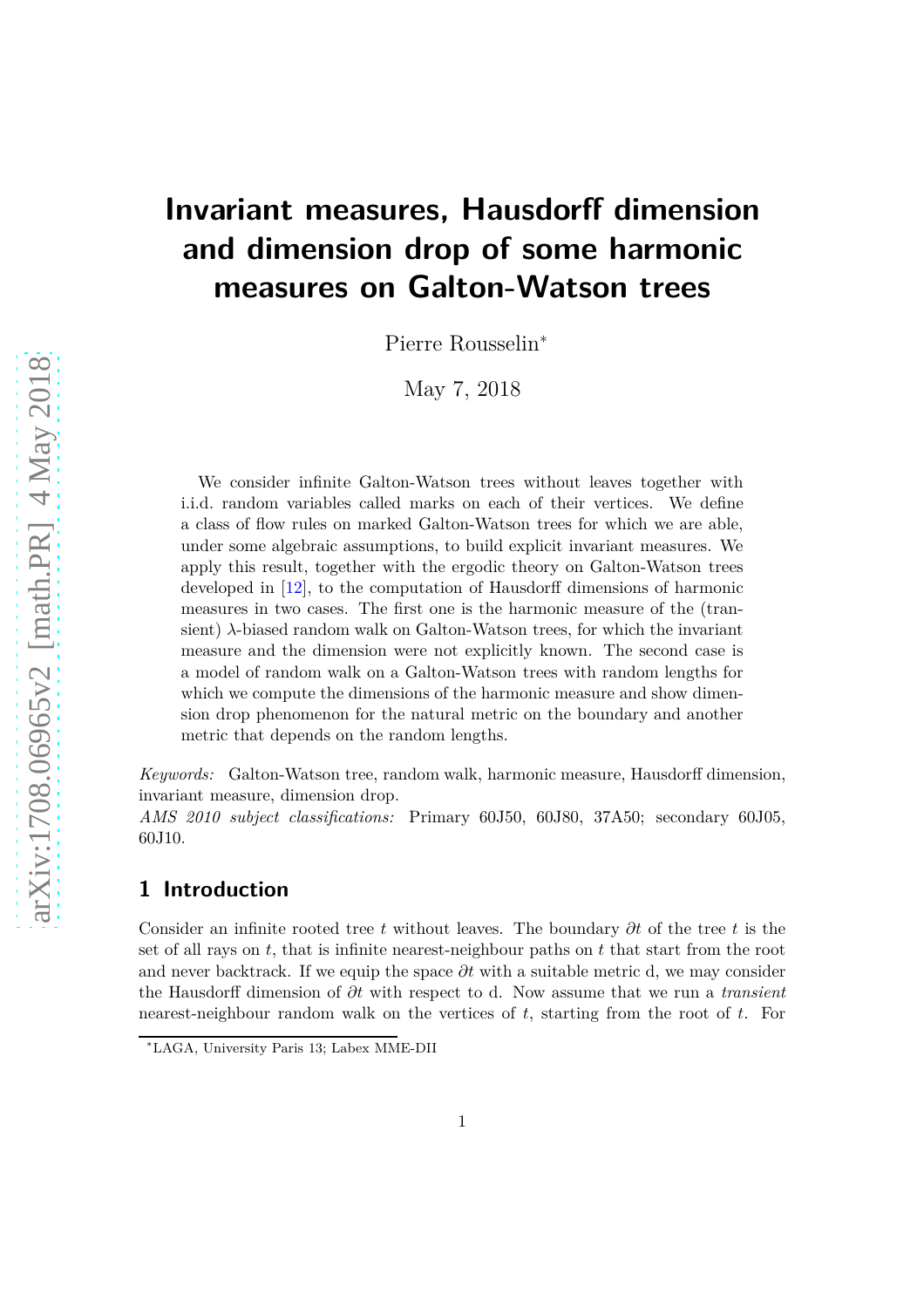# **Invariant measures, Hausdorff dimension and dimension drop of some harmonic measures on Galton-Watson trees**

Pierre Rousselin<sup>∗</sup>

May 7, 2018

We consider infinite Galton-Watson trees without leaves together with i.i.d. random variables called marks on each of their vertices. We define a class of flow rules on marked Galton-Watson trees for which we are able, under some algebraic assumptions, to build explicit invariant measures. We apply this result, together with the ergodic theory on Galton-Watson trees developed in [\[12\]](#page-35-0), to the computation of Hausdorff dimensions of harmonic measures in two cases. The first one is the harmonic measure of the (transient) *λ*-biased random walk on Galton-Watson trees, for which the invariant measure and the dimension were not explicitly known. The second case is a model of random walk on a Galton-Watson trees with random lengths for which we compute the dimensions of the harmonic measure and show dimension drop phenomenon for the natural metric on the boundary and another metric that depends on the random lengths.

*Keywords:* Galton-Watson tree, random walk, harmonic measure, Hausdorff dimension, invariant measure, dimension drop.

*AMS 2010 subject classifications:* Primary 60J50, 60J80, 37A50; secondary 60J05, 60J10.

# **1 Introduction**

Consider an infinite rooted tree *t* without leaves. The boundary *∂t* of the tree *t* is the set of all rays on *t*, that is infinite nearest-neighbour paths on *t* that start from the root and never backtrack. If we equip the space *∂t* with a suitable metric d, we may consider the Hausdorff dimension of *∂t* with respect to d. Now assume that we run a *transient* nearest-neighbour random walk on the vertices of *t*, starting from the root of *t*. For

<sup>∗</sup>LAGA, University Paris 13; Labex MME-DII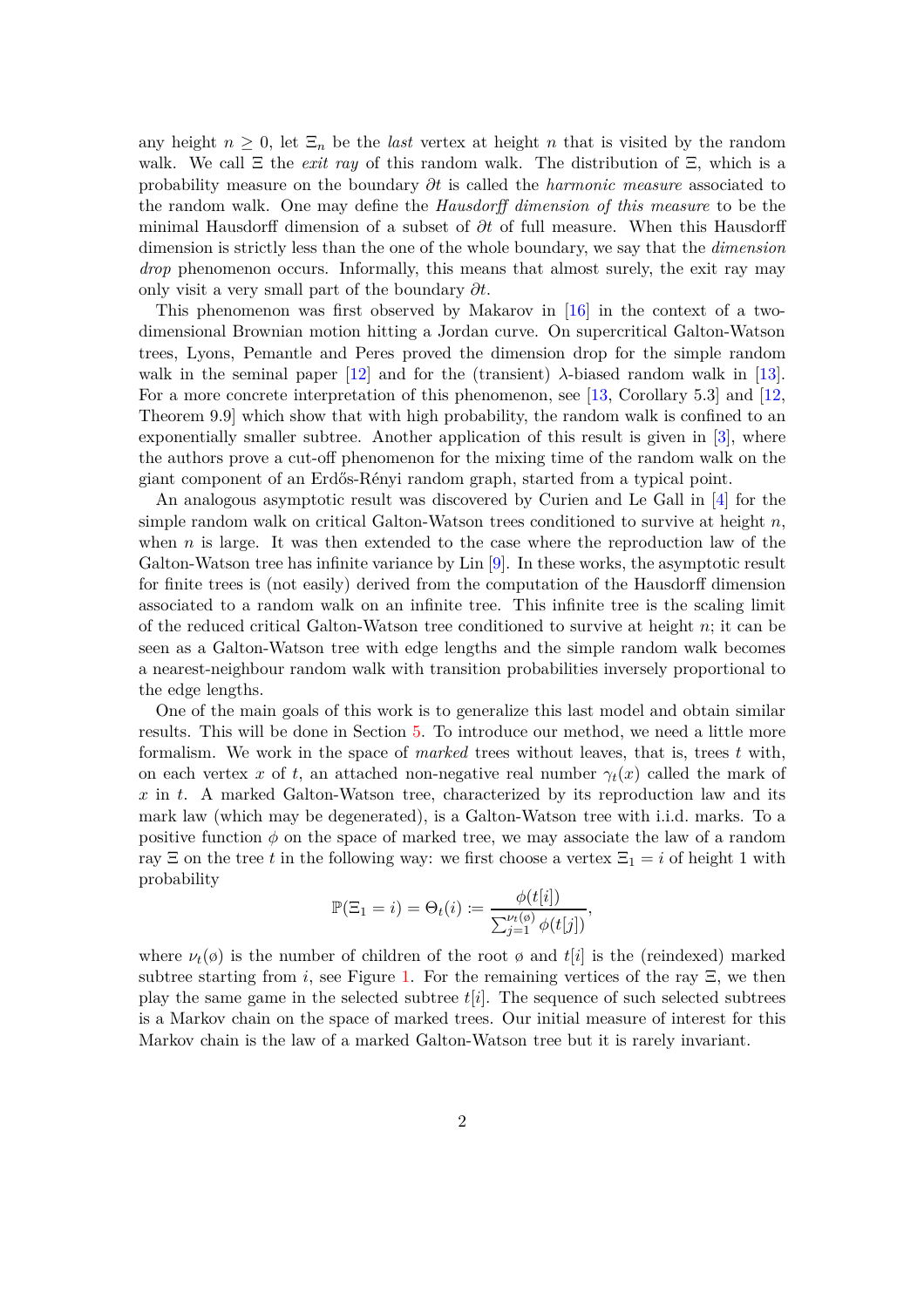any height  $n \geq 0$ , let  $\Xi_n$  be the *last* vertex at height *n* that is visited by the random walk. We call  $\Xi$  the *exit ray* of this random walk. The distribution of  $\Xi$ , which is a probability measure on the boundary *∂t* is called the *harmonic measure* associated to the random walk. One may define the *Hausdorff dimension of this measure* to be the minimal Hausdorff dimension of a subset of *∂t* of full measure. When this Hausdorff dimension is strictly less than the one of the whole boundary, we say that the *dimension drop* phenomenon occurs. Informally, this means that almost surely, the exit ray may only visit a very small part of the boundary *∂t*.

This phenomenon was first observed by Makarov in [\[16\]](#page-36-0) in the context of a twodimensional Brownian motion hitting a Jordan curve. On supercritical Galton-Watson trees, Lyons, Pemantle and Peres proved the dimension drop for the simple random walk in the seminal paper  $\left[12\right]$  and for the (transient)  $\lambda$ -biased random walk in  $\left[13\right]$ . For a more concrete interpretation of this phenomenon, see [\[13,](#page-35-1) Corollary 5.3] and [\[12,](#page-35-0) Theorem 9.9] which show that with high probability, the random walk is confined to an exponentially smaller subtree. Another application of this result is given in [\[3\]](#page-35-2), where the authors prove a cut-off phenomenon for the mixing time of the random walk on the giant component of an Erdős-Rényi random graph, started from a typical point.

An analogous asymptotic result was discovered by Curien and Le Gall in [\[4\]](#page-35-3) for the simple random walk on critical Galton-Watson trees conditioned to survive at height *n*, when  $n$  is large. It was then extended to the case where the reproduction law of the Galton-Watson tree has infinite variance by Lin [\[9\]](#page-35-4). In these works, the asymptotic result for finite trees is (not easily) derived from the computation of the Hausdorff dimension associated to a random walk on an infinite tree. This infinite tree is the scaling limit of the reduced critical Galton-Watson tree conditioned to survive at height *n*; it can be seen as a Galton-Watson tree with edge lengths and the simple random walk becomes a nearest-neighbour random walk with transition probabilities inversely proportional to the edge lengths.

One of the main goals of this work is to generalize this last model and obtain similar results. This will be done in Section [5.](#page-18-0) To introduce our method, we need a little more formalism. We work in the space of *marked* trees without leaves, that is, trees *t* with, on each vertex *x* of *t*, an attached non-negative real number  $\gamma_t(x)$  called the mark of *x* in *t*. A marked Galton-Watson tree, characterized by its reproduction law and its mark law (which may be degenerated), is a Galton-Watson tree with i.i.d. marks. To a positive function  $\phi$  on the space of marked tree, we may associate the law of a random ray  $\Xi$  on the tree *t* in the following way: we first choose a vertex  $\Xi_1 = i$  of height 1 with probability

$$
\mathbb{P}(\Xi_1 = i) = \Theta_t(i) := \frac{\phi(t[i])}{\sum_{j=1}^{\nu_t(\emptyset)} \phi(t[j])},
$$

where  $\nu_t(\emptyset)$  is the number of children of the root  $\emptyset$  and  $t[i]$  is the (reindexed) marked subtree starting from *i*, see Figure [1.](#page-2-0) For the remaining vertices of the ray  $\Xi$ , we then play the same game in the selected subtree  $t[i]$ . The sequence of such selected subtrees is a Markov chain on the space of marked trees. Our initial measure of interest for this Markov chain is the law of a marked Galton-Watson tree but it is rarely invariant.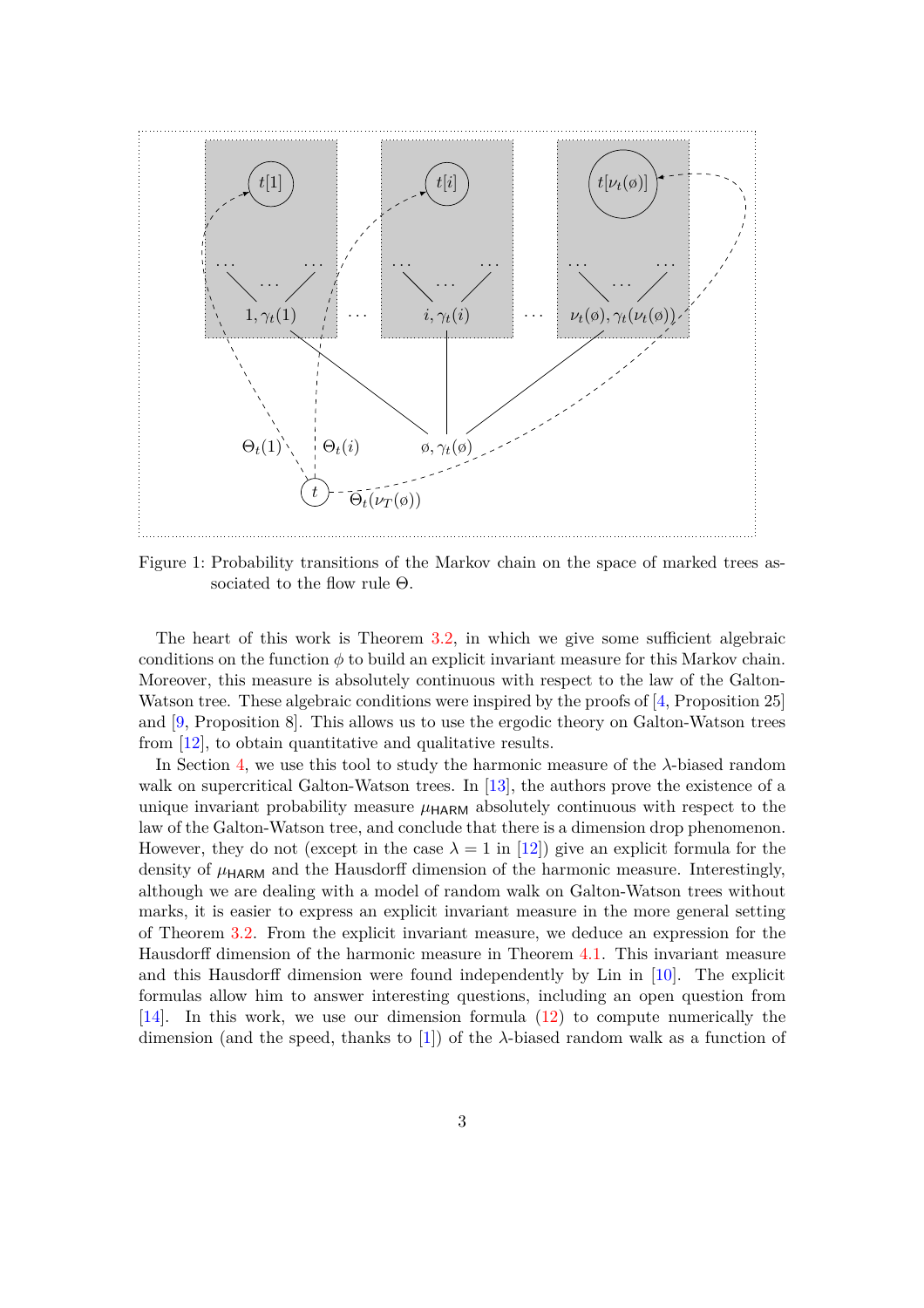

<span id="page-2-0"></span>Figure 1: Probability transitions of the Markov chain on the space of marked trees associated to the flow rule Θ.

The heart of this work is Theorem [3.2,](#page-10-0) in which we give some sufficient algebraic conditions on the function  $\phi$  to build an explicit invariant measure for this Markov chain. Moreover, this measure is absolutely continuous with respect to the law of the Galton-Watson tree. These algebraic conditions were inspired by the proofs of [\[4,](#page-35-3) Proposition 25] and [\[9,](#page-35-4) Proposition 8]. This allows us to use the ergodic theory on Galton-Watson trees from [\[12\]](#page-35-0), to obtain quantitative and qualitative results.

In Section [4,](#page-12-0) we use this tool to study the harmonic measure of the  $\lambda$ -biased random walk on supercritical Galton-Watson trees. In [\[13\]](#page-35-1), the authors prove the existence of a unique invariant probability measure  $\mu_{\rm HARM}$  absolutely continuous with respect to the law of the Galton-Watson tree, and conclude that there is a dimension drop phenomenon. However, they do not (except in the case  $\lambda = 1$  in [\[12\]](#page-35-0)) give an explicit formula for the density of  $\mu_{\rm HARM}$  and the Hausdorff dimension of the harmonic measure. Interestingly, although we are dealing with a model of random walk on Galton-Watson trees without marks, it is easier to express an explicit invariant measure in the more general setting of Theorem [3.2.](#page-10-0) From the explicit invariant measure, we deduce an expression for the Hausdorff dimension of the harmonic measure in Theorem [4.1.](#page-15-0) This invariant measure and this Hausdorff dimension were found independently by Lin in [\[10\]](#page-35-5). The explicit formulas allow him to answer interesting questions, including an open question from [\[14\]](#page-35-6). In this work, we use our dimension formula [\(12\)](#page-15-1) to compute numerically the dimension (and the speed, thanks to  $\vert 1 \vert$ ) of the  $\lambda$ -biased random walk as a function of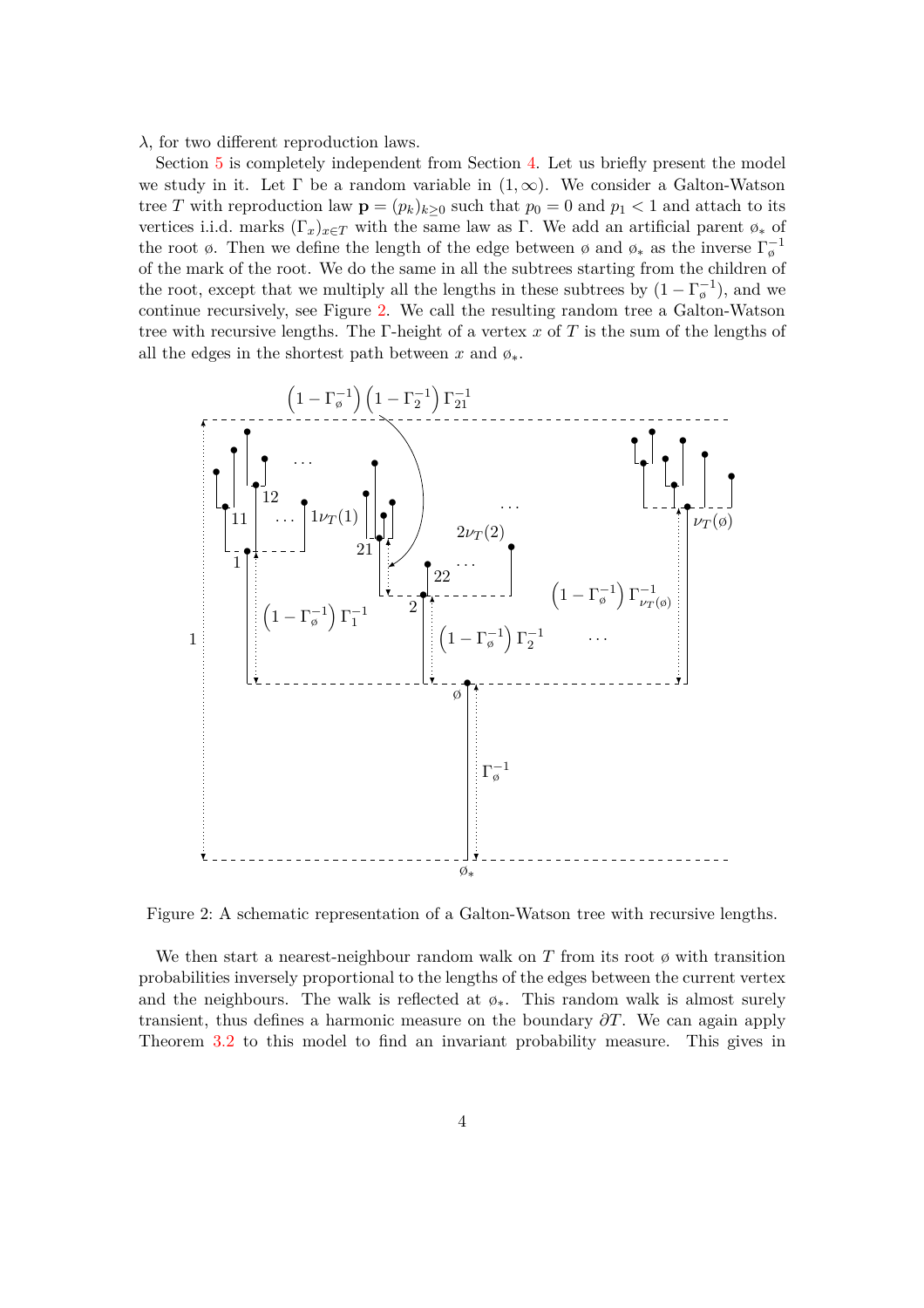*λ*, for two different reproduction laws.

Section [5](#page-18-0) is completely independent from Section [4.](#page-12-0) Let us briefly present the model we study in it. Let  $\Gamma$  be a random variable in  $(1,\infty)$ . We consider a Galton-Watson tree *T* with reproduction law  $\mathbf{p} = (p_k)_{k>0}$  such that  $p_0 = 0$  and  $p_1 < 1$  and attach to its vertices i.i.d. marks  $(\Gamma_x)_{x \in T}$  with the same law as Γ. We add an artificial parent  $\phi_*$  of the root ø. Then we define the length of the edge between ø and  $\varphi_*$  as the inverse  $\Gamma_{\varphi}^{-1}$ of the mark of the root. We do the same in all the subtrees starting from the children of the root, except that we multiply all the lengths in these subtrees by  $(1 - \Gamma_{\phi}^{-1})$ , and we continue recursively, see Figure [2.](#page-3-0) We call the resulting random tree a Galton-Watson tree with recursive lengths. The Γ-height of a vertex *x* of *T* is the sum of the lengths of all the edges in the shortest path between  $x$  and  $\varphi_*$ .



<span id="page-3-0"></span>Figure 2: A schematic representation of a Galton-Watson tree with recursive lengths.

We then start a nearest-neighbour random walk on  $T$  from its root  $\phi$  with transition probabilities inversely proportional to the lengths of the edges between the current vertex and the neighbours. The walk is reflected at  $\varphi_*$ . This random walk is almost surely transient, thus defines a harmonic measure on the boundary *∂T*. We can again apply Theorem [3.2](#page-10-0) to this model to find an invariant probability measure. This gives in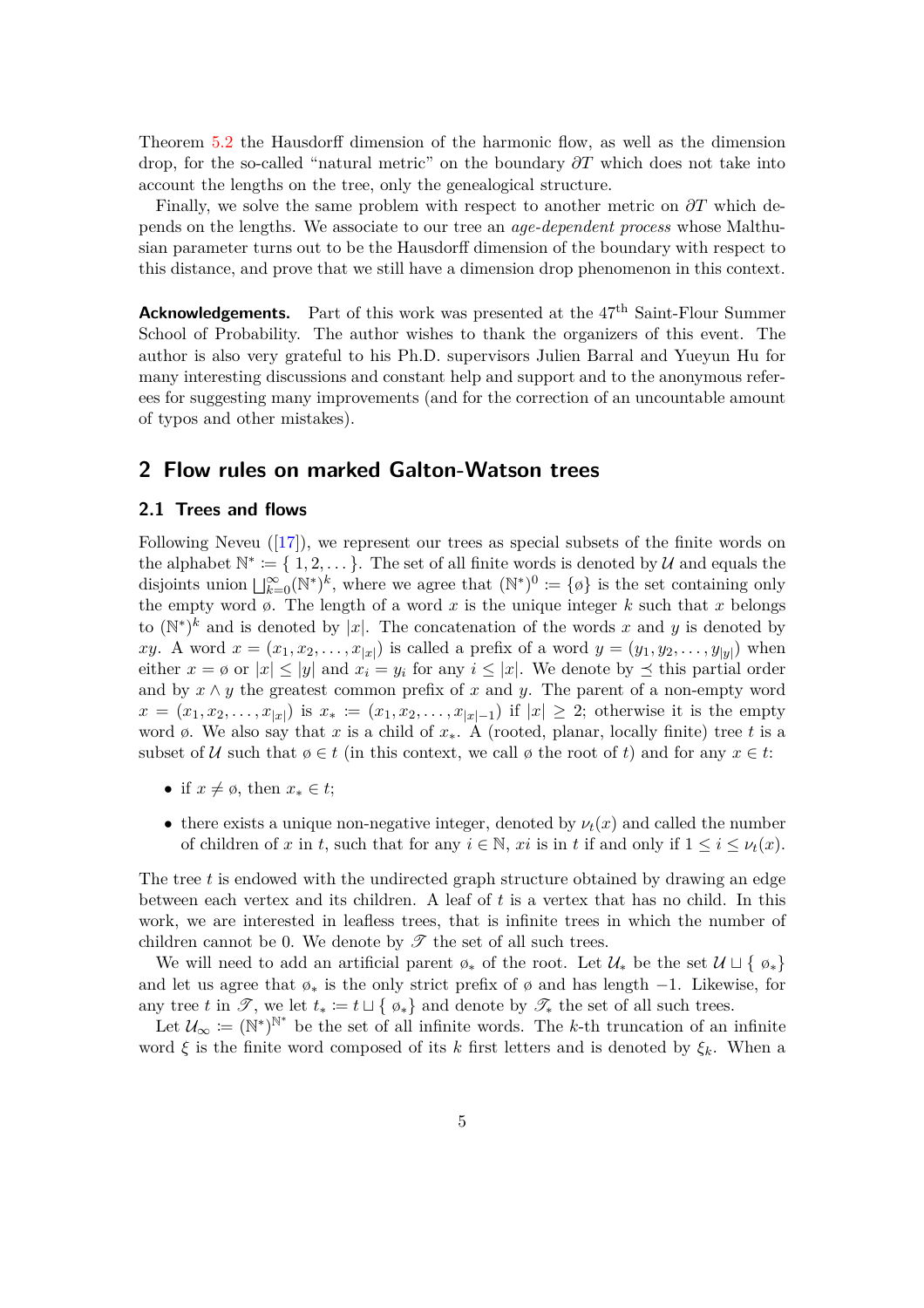Theorem [5.2](#page-23-0) the Hausdorff dimension of the harmonic flow, as well as the dimension drop, for the so-called "natural metric" on the boundary *∂T* which does not take into account the lengths on the tree, only the genealogical structure.

Finally, we solve the same problem with respect to another metric on *∂T* which depends on the lengths. We associate to our tree an *age-dependent process* whose Malthusian parameter turns out to be the Hausdorff dimension of the boundary with respect to this distance, and prove that we still have a dimension drop phenomenon in this context.

**Acknowledgements.** Part of this work was presented at the 47<sup>th</sup> Saint-Flour Summer School of Probability. The author wishes to thank the organizers of this event. The author is also very grateful to his Ph.D. supervisors Julien Barral and Yueyun Hu for many interesting discussions and constant help and support and to the anonymous referees for suggesting many improvements (and for the correction of an uncountable amount of typos and other mistakes).

# <span id="page-4-0"></span>**2 Flow rules on marked Galton-Watson trees**

### **2.1 Trees and flows**

Following Neveu([\[17\]](#page-36-1)), we represent our trees as special subsets of the finite words on the alphabet  $\mathbb{N}^* := \{ 1, 2, \dots \}$ . The set of all finite words is denoted by U and equals the disjoints union  $\bigsqcup_{k=0}^{\infty} (\mathbb{N}^*)^k$ , where we agree that  $(\mathbb{N}^*)^0 := \{\emptyset\}$  is the set containing only the empty word  $\phi$ . The length of a word x is the unique integer k such that x belongs to  $(N^*)^k$  and is denoted by |x|. The concatenation of the words x and y is denoted by *xy*. A word  $x = (x_1, x_2, \ldots, x_{|x|})$  is called a prefix of a word  $y = (y_1, y_2, \ldots, y_{|y|})$  when either  $x = \emptyset$  or  $|x| \le |y|$  and  $x_i = y_i$  for any  $i \le |x|$ . We denote by  $\preceq$  this partial order and by  $x \wedge y$  the greatest common prefix of  $x$  and  $y$ . The parent of a non-empty word  $x = (x_1, x_2, \ldots, x_{|x|})$  is  $x_* \coloneqq (x_1, x_2, \ldots, x_{|x|-1})$  if  $|x| \geq 2$ ; otherwise it is the empty word ø. We also say that x is a child of  $x_*$ . A (rooted, planar, locally finite) tree t is a subset of U such that  $\emptyset \in t$  (in this context, we call  $\emptyset$  the root of t) and for any  $x \in t$ :

- if  $x \neq \emptyset$ , then  $x_* \in t$ ;
- there exists a unique non-negative integer, denoted by  $\nu_t(x)$  and called the number of children of *x* in *t*, such that for any  $i \in \mathbb{N}$ , *xi* is in *t* if and only if  $1 \leq i \leq \nu_t(x)$ .

The tree *t* is endowed with the undirected graph structure obtained by drawing an edge between each vertex and its children. A leaf of *t* is a vertex that has no child. In this work, we are interested in leafless trees, that is infinite trees in which the number of children cannot be 0. We denote by  $\mathscr T$  the set of all such trees.

We will need to add an artificial parent  $\phi_*$  of the root. Let  $\mathcal{U}_*$  be the set  $\mathcal{U} \cup \{ \phi_* \}$ and let us agree that  $\phi_*$  is the only strict prefix of  $\phi$  and has length -1. Likewise, for any tree *t* in  $\mathscr{T}$ , we let  $t_* := t \sqcup \{ \emptyset_* \}$  and denote by  $\mathscr{T}_*$  the set of all such trees.

Let  $\mathcal{U}_{\infty} := (\mathbb{N}^*)^{\mathbb{N}^*}$  be the set of all infinite words. The *k*-th truncation of an infinite word  $\xi$  is the finite word composed of its *k* first letters and is denoted by  $\xi_k$ . When a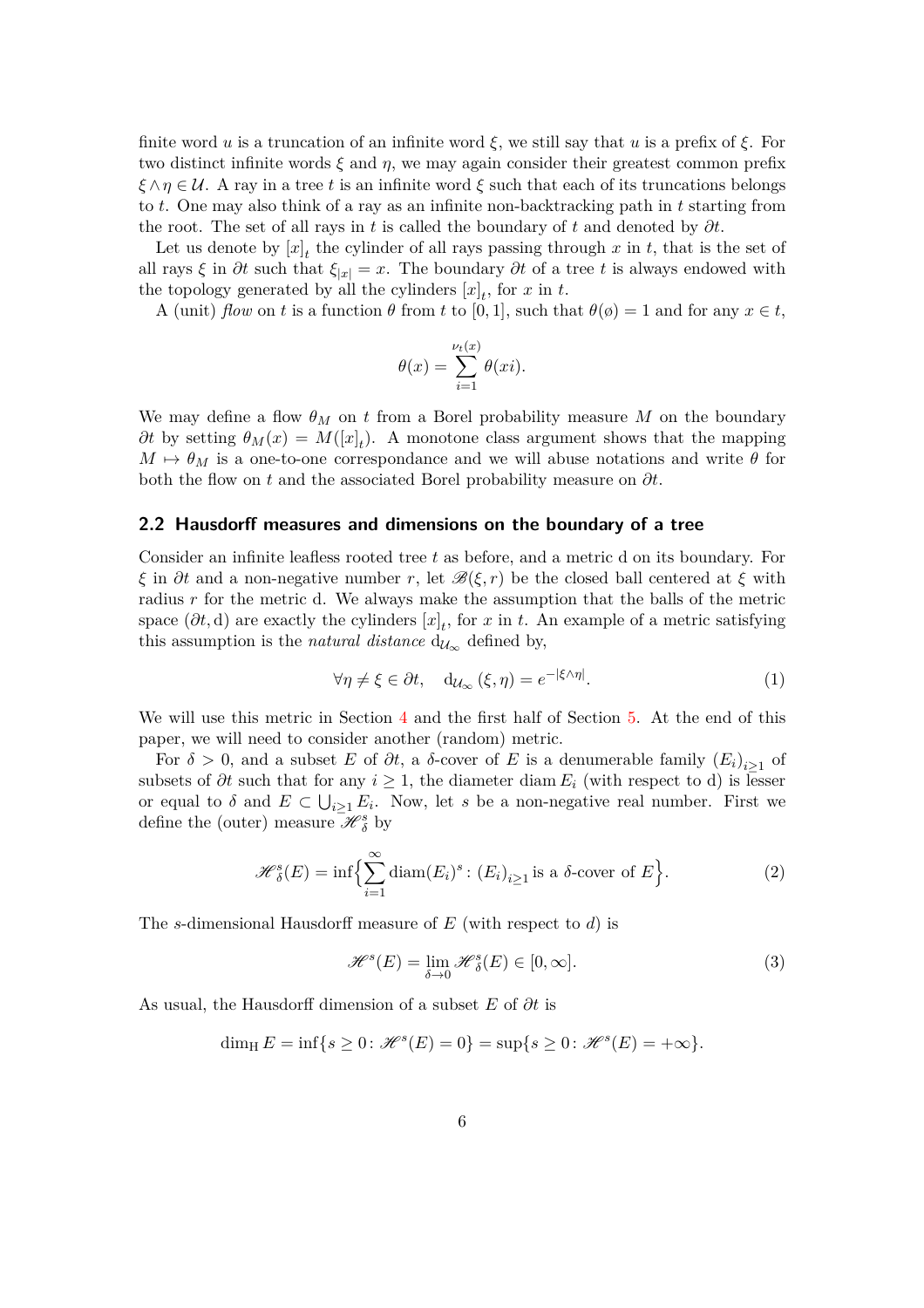finite word *u* is a truncation of an infinite word *ξ*, we still say that *u* is a prefix of *ξ*. For two distinct infinite words *ξ* and *η*, we may again consider their greatest common prefix  $\xi \wedge \eta \in \mathcal{U}$ . A ray in a tree *t* is an infinite word  $\xi$  such that each of its truncations belongs to *t*. One may also think of a ray as an infinite non-backtracking path in *t* starting from the root. The set of all rays in *t* is called the boundary of *t* and denoted by  $\partial t$ .

Let us denote by  $[x]_t$  the cylinder of all rays passing through  $x$  in  $t$ , that is the set of all rays  $\xi$  in  $\partial t$  such that  $\xi_{|x|} = x$ . The boundary  $\partial t$  of a tree *t* is always endowed with the topology generated by all the cylinders  $[x]_t$ , for  $x$  in  $t$ .

A (unit) *flow* on *t* is a function  $\theta$  from *t* to [0, 1], such that  $\theta(\emptyset) = 1$  and for any  $x \in t$ ,

$$
\theta(x) = \sum_{i=1}^{\nu_t(x)} \theta(xi).
$$

We may define a flow  $\theta_M$  on t from a Borel probability measure M on the boundary  $\partial t$  by setting  $\theta_M(x) = M([x]_t)$ . A monotone class argument shows that the mapping  $M \mapsto \theta_M$  is a one-to-one correspondance and we will abuse notations and write  $\theta$  for both the flow on *t* and the associated Borel probability measure on *∂t*.

### **2.2 Hausdorff measures and dimensions on the boundary of a tree**

Consider an infinite leafless rooted tree *t* as before, and a metric d on its boundary. For *ξ* in *∂t* and a non-negative number *r*, let  $\mathcal{B}(\xi, r)$  be the closed ball centered at *ξ* with radius *r* for the metric d. We always make the assumption that the balls of the metric space  $(\partial t, d)$  are exactly the cylinders  $[x]_t$ , for  $x$  in  $t$ . An example of a metric satisfying this assumption is the *natural distance*  $d_{\mathcal{U}_{\infty}}$  defined by,

<span id="page-5-1"></span>
$$
\forall \eta \neq \xi \in \partial t, \quad d_{\mathcal{U}_{\infty}}(\xi, \eta) = e^{-|\xi \wedge \eta|}. \tag{1}
$$

We will use this metric in Section [4](#page-12-0) and the first half of Section [5.](#page-18-0) At the end of this paper, we will need to consider another (random) metric.

For  $\delta > 0$ , and a subset *E* of  $\partial t$ , a  $\delta$ -cover of *E* is a denumerable family  $(E_i)_{i \geq 1}$  of subsets of  $\partial t$  such that for any  $i \geq 1$ , the diameter diam  $E_i$  (with respect to d) is lesser or equal to  $\delta$  and  $E \subset \bigcup_{i \geq 1} E_i$ . Now, let *s* be a non-negative real number. First we define the (outer) measure  $\mathscr{H}_{\delta}^s$  by

$$
\mathcal{H}_{\delta}^{s}(E) = \inf \Biggl\{ \sum_{i=1}^{\infty} \text{diam}(E_{i})^{s} : (E_{i})_{i \geq 1} \text{ is a } \delta \text{-cover of } E \Biggr\}. \tag{2}
$$

The *s*-dimensional Hausdorff measure of *E* (with respect to *d*) is

<span id="page-5-2"></span><span id="page-5-0"></span>
$$
\mathcal{H}^s(E) = \lim_{\delta \to 0} \mathcal{H}^s_{\delta}(E) \in [0, \infty].
$$
 (3)

As usual, the Hausdorff dimension of a subset *E* of *∂t* is

$$
\dim_{\rm H} E = \inf \{ s \ge 0 : \mathcal{H}^s(E) = 0 \} = \sup \{ s \ge 0 : \mathcal{H}^s(E) = +\infty \}.
$$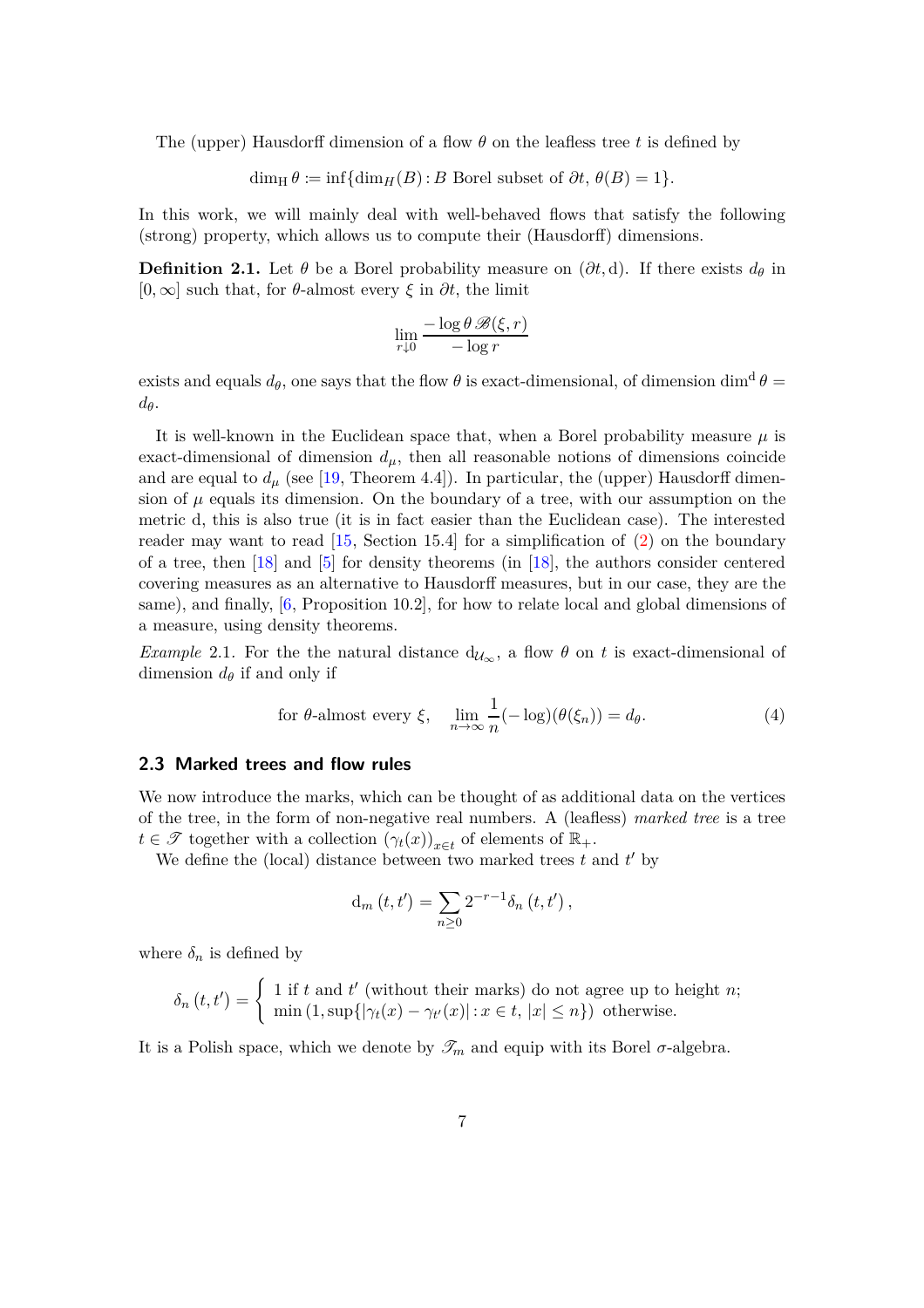The (upper) Hausdorff dimension of a flow  $\theta$  on the leafless tree t is defined by

$$
\dim_{\mathrm{H}} \theta := \inf \{ \dim_H(B) : B \text{ Borel subset of } \partial t, \theta(B) = 1 \}.
$$

In this work, we will mainly deal with well-behaved flows that satisfy the following (strong) property, which allows us to compute their (Hausdorff) dimensions.

**Definition 2.1.** Let  $\theta$  be a Borel probability measure on  $(\partial t, d)$ . If there exists  $d_{\theta}$  in [0*,*∞] such that, for *θ*-almost every *ξ* in *∂t*, the limit

$$
\lim_{r \downarrow 0} \frac{-\log \theta \mathcal{B}(\xi, r)}{-\log r}
$$

exists and equals  $d_{\theta}$ , one says that the flow  $\theta$  is exact-dimensional, of dimension  $\dim^d \theta =$ *dθ*.

It is well-known in the Euclidean space that, when a Borel probability measure  $\mu$  is exact-dimensional of dimension  $d_{\mu}$ , then all reasonable notions of dimensions coincide and are equal to  $d<sub>u</sub>$  (see [\[19,](#page-36-2) Theorem 4.4]). In particular, the (upper) Hausdorff dimension of  $\mu$  equals its dimension. On the boundary of a tree, with our assumption on the metric d, this is also true (it is in fact easier than the Euclidean case). The interested reader may want to read [\[15,](#page-36-3) Section 15.4] for a simplification of [\(2\)](#page-5-0) on the boundary of a tree, then [\[18\]](#page-36-4) and [\[5\]](#page-35-8) for density theorems (in [\[18\]](#page-36-4), the authors consider centered covering measures as an alternative to Hausdorff measures, but in our case, they are the same), and finally, [\[6,](#page-35-9) Proposition 10.2], for how to relate local and global dimensions of a measure, using density theorems.

*Example* 2.1. For the the natural distance  $d_{\mathcal{U}_{\infty}}$ , a flow  $\theta$  on *t* is exact-dimensional of dimension *d<sup>θ</sup>* if and only if

for 
$$
\theta
$$
-almost every  $\xi$ ,  $\lim_{n \to \infty} \frac{1}{n} (-\log)(\theta(\xi_n)) = d_\theta.$  (4)

### **2.3 Marked trees and flow rules**

We now introduce the marks, which can be thought of as additional data on the vertices of the tree, in the form of non-negative real numbers. A (leafless) *marked tree* is a tree  $t \in \mathscr{T}$  together with a collection  $(\gamma_t(x))_{x \in t}$  of elements of  $\mathbb{R}_+$ .

We define the (local) distance between two marked trees  $t$  and  $t'$  by

$$
d_m(t, t') = \sum_{n \geq 0} 2^{-r-1} \delta_n(t, t'),
$$

where  $\delta_n$  is defined by

$$
\delta_n(t, t') = \begin{cases} 1 \text{ if } t \text{ and } t' \text{ (without their marks) do not agree up to height } n; \\ \min(1, \sup\{|\gamma_t(x) - \gamma_{t'}(x)| : x \in t, |x| \le n\}) \text{ otherwise.} \end{cases}
$$

It is a Polish space, which we denote by  $\mathscr{T}_m$  and equip with its Borel  $\sigma$ -algebra.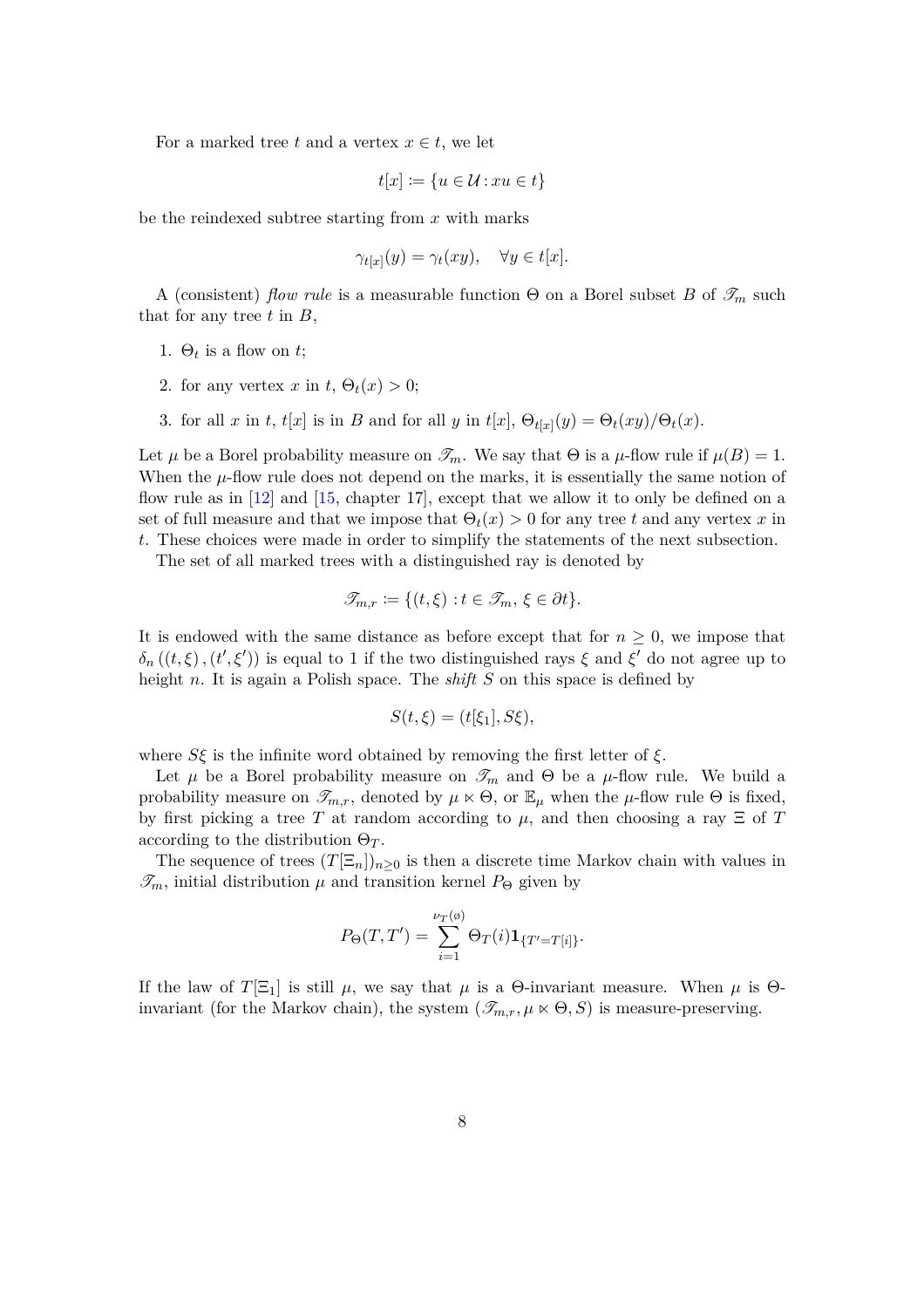For a marked tree *t* and a vertex  $x \in t$ , we let

$$
t[x] := \{ u \in \mathcal{U} : xu \in t \}
$$

be the reindexed subtree starting from *x* with marks

$$
\gamma_{t[x]}(y) = \gamma_t(xy), \quad \forall y \in t[x].
$$

A (consistent) *flow rule* is a measurable function  $\Theta$  on a Borel subset *B* of  $\mathscr{T}_m$  such that for any tree *t* in *B*,

- 1.  $\Theta_t$  is a flow on  $t$ ;
- 2. for any vertex *x* in  $t$ ,  $\Theta_t(x) > 0$ ;
- 3. for all *x* in *t*,  $t[x]$  is in *B* and for all *y* in  $t[x]$ ,  $\Theta_{t[x]}(y) = \Theta_t(xy)/\Theta_t(x)$ .

Let  $\mu$  be a Borel probability measure on  $\mathscr{T}_m$ . We say that  $\Theta$  is a  $\mu$ -flow rule if  $\mu(B) = 1$ . When the  $\mu$ -flow rule does not depend on the marks, it is essentially the same notion of flow rule as in [\[12\]](#page-35-0) and [\[15,](#page-36-3) chapter 17], except that we allow it to only be defined on a set of full measure and that we impose that  $\Theta_t(x) > 0$  for any tree *t* and any vertex *x* in *t*. These choices were made in order to simplify the statements of the next subsection.

The set of all marked trees with a distinguished ray is denoted by

$$
\mathscr{T}_{m,r} := \{ (t,\xi) : t \in \mathscr{T}_m, \, \xi \in \partial t \}.
$$

It is endowed with the same distance as before except that for  $n \geq 0$ , we impose that  $\delta_n((t,\xi), (t',\xi'))$  is equal to 1 if the two distinguished rays  $\xi$  and  $\xi'$  do not agree up to height *n*. It is again a Polish space. The *shift S* on this space is defined by

$$
S(t,\xi) = (t[\xi_1], S\xi),
$$

where  $S\xi$  is the infinite word obtained by removing the first letter of  $\xi$ .

Let  $\mu$  be a Borel probability measure on  $\mathscr{T}_m$  and  $\Theta$  be a  $\mu$ -flow rule. We build a probability measure on  $\mathscr{T}_{m,r}$ , denoted by  $\mu \times \Theta$ , or  $\mathbb{E}_{\mu}$  when the  $\mu$ -flow rule  $\Theta$  is fixed, by first picking a tree T at random according to  $\mu$ , and then choosing a ray  $\Xi$  of T according to the distribution  $\Theta_T$ .

The sequence of trees  $(T[\Xi_n])_{n>0}$  is then a discrete time Markov chain with values in  $\mathscr{T}_m$ , initial distribution  $\mu$  and transition kernel  $P_{\Theta}$  given by

$$
P_{\Theta}(T, T') = \sum_{i=1}^{\nu_T(\emptyset)} \Theta_T(i) \mathbf{1}_{\{T' = T[i]\}}.
$$

If the law of  $T[\Xi_1]$  is still  $\mu$ , we say that  $\mu$  is a  $\Theta$ -invariant measure. When  $\mu$  is  $\Theta$ invariant (for the Markov chain), the system  $(\mathcal{T}_{m,r}, \mu \ltimes \Theta, S)$  is measure-preserving.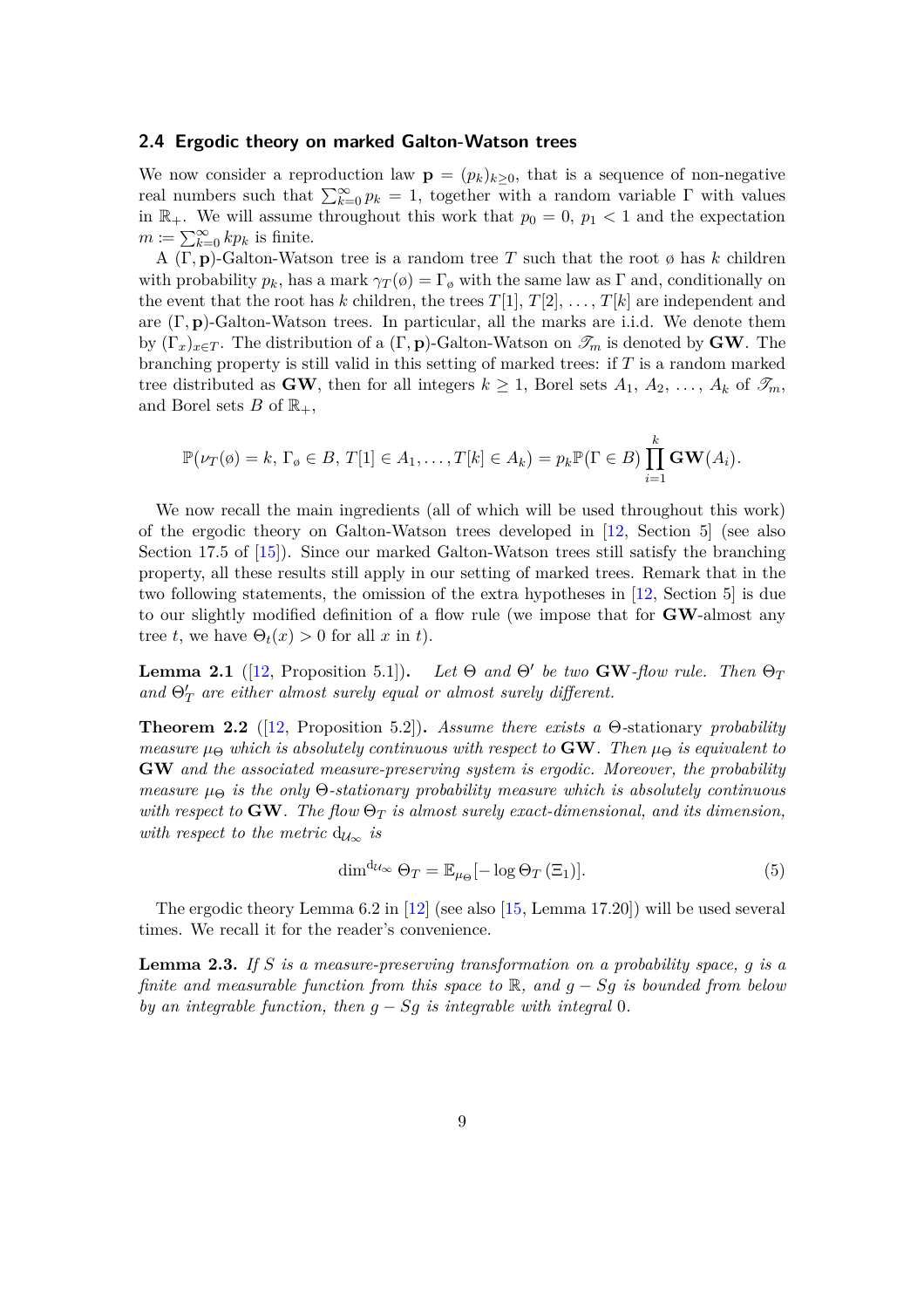### **2.4 Ergodic theory on marked Galton-Watson trees**

We now consider a reproduction law  $\mathbf{p} = (p_k)_{k \geq 0}$ , that is a sequence of non-negative real numbers such that  $\sum_{k=0}^{\infty} p_k = 1$ , together with a random variable  $\Gamma$  with values in  $\mathbb{R}_+$ . We will assume throughout this work that  $p_0 = 0$ ,  $p_1 < 1$  and the expectation  $m \coloneqq \sum_{k=0}^{\infty} k p_k$  is finite.

A (Γ*,* **p**)-Galton-Watson tree is a random tree *T* such that the root ø has *k* children with probability  $p_k$ , has a mark  $\gamma_T(\phi) = \Gamma_\phi$  with the same law as  $\Gamma$  and, conditionally on the event that the root has *k* children, the trees  $T[1], T[2], \ldots, T[k]$  are independent and are (Γ*,* **p**)-Galton-Watson trees. In particular, all the marks are i.i.d. We denote them by  $(\Gamma_x)_{x \in T}$ . The distribution of a  $(\Gamma, \mathbf{p})$ -Galton-Watson on  $\mathscr{T}_m$  is denoted by **GW**. The branching property is still valid in this setting of marked trees: if *T* is a random marked tree distributed as **GW**, then for all integers  $k \geq 1$ , Borel sets  $A_1, A_2, \ldots, A_k$  of  $\mathcal{I}_m$ , and Borel sets *B* of  $\mathbb{R}_+$ ,

$$
\mathbb{P}(\nu_T(\emptyset)=k,\,\Gamma_{\emptyset}\in B,\,T[1]\in A_1,\ldots,T[k]\in A_k)=p_k\mathbb{P}(\Gamma\in B)\prod_{i=1}^k\mathbf{GW}(A_i).
$$

We now recall the main ingredients (all of which will be used throughout this work) of the ergodic theory on Galton-Watson trees developed in [\[12,](#page-35-0) Section 5] (see also Section 17.5 of [\[15\]](#page-36-3)). Since our marked Galton-Watson trees still satisfy the branching property, all these results still apply in our setting of marked trees. Remark that in the two following statements, the omission of the extra hypotheses in [\[12,](#page-35-0) Section 5] is due to our slightly modified definition of a flow rule (we impose that for **GW**-almost any tree *t*, we have  $\Theta_t(x) > 0$  for all *x* in *t*).

<span id="page-8-3"></span>**Lemma 2.1** ([\[12,](#page-35-0) Proposition 5.1]). *Let*  $\Theta$  *and*  $\Theta'$  *be two* **GW**-flow rule. Then  $\Theta_T$  $and \Theta_T'$  are either almost surely equal or almost surely different.

<span id="page-8-0"></span>**Theorem 2.2** ([\[12,](#page-35-0) Proposition 5.2])**.** *Assume there exists a* Θ*-*stationary *probability measure*  $\mu_{\Theta}$  *which is absolutely continuous with respect to GW. Then*  $\mu_{\Theta}$  *<i>is equivalent to* **GW** *and the associated measure-preserving system is ergodic. Moreover, the probability measure µ*<sup>Θ</sup> *is the only* Θ*-stationary probability measure which is absolutely continuous with respect to*  $\bf GW$ *. The flow*  $\Theta_T$  *is almost surely exact-dimensional, and its dimension, with respect to the metric*  $d_{\mathcal{U}_{\infty}}$  *is* 

<span id="page-8-1"></span>
$$
\dim^{d_{\mathcal{U}_{\infty}}} \Theta_T = \mathbb{E}_{\mu_{\Theta}}[-\log \Theta_T \left(\Xi_1\right)].\tag{5}
$$

<span id="page-8-2"></span>The ergodic theory Lemma 6.2 in [\[12\]](#page-35-0) (see also [\[15,](#page-36-3) Lemma 17.20]) will be used several times. We recall it for the reader's convenience.

**Lemma 2.3.** *If S is a measure-preserving transformation on a probability space, g is a finite and measurable function from this space to* R*, and g* − *Sg is bounded from below by an integrable function, then g* − *Sg is integrable with integral* 0*.*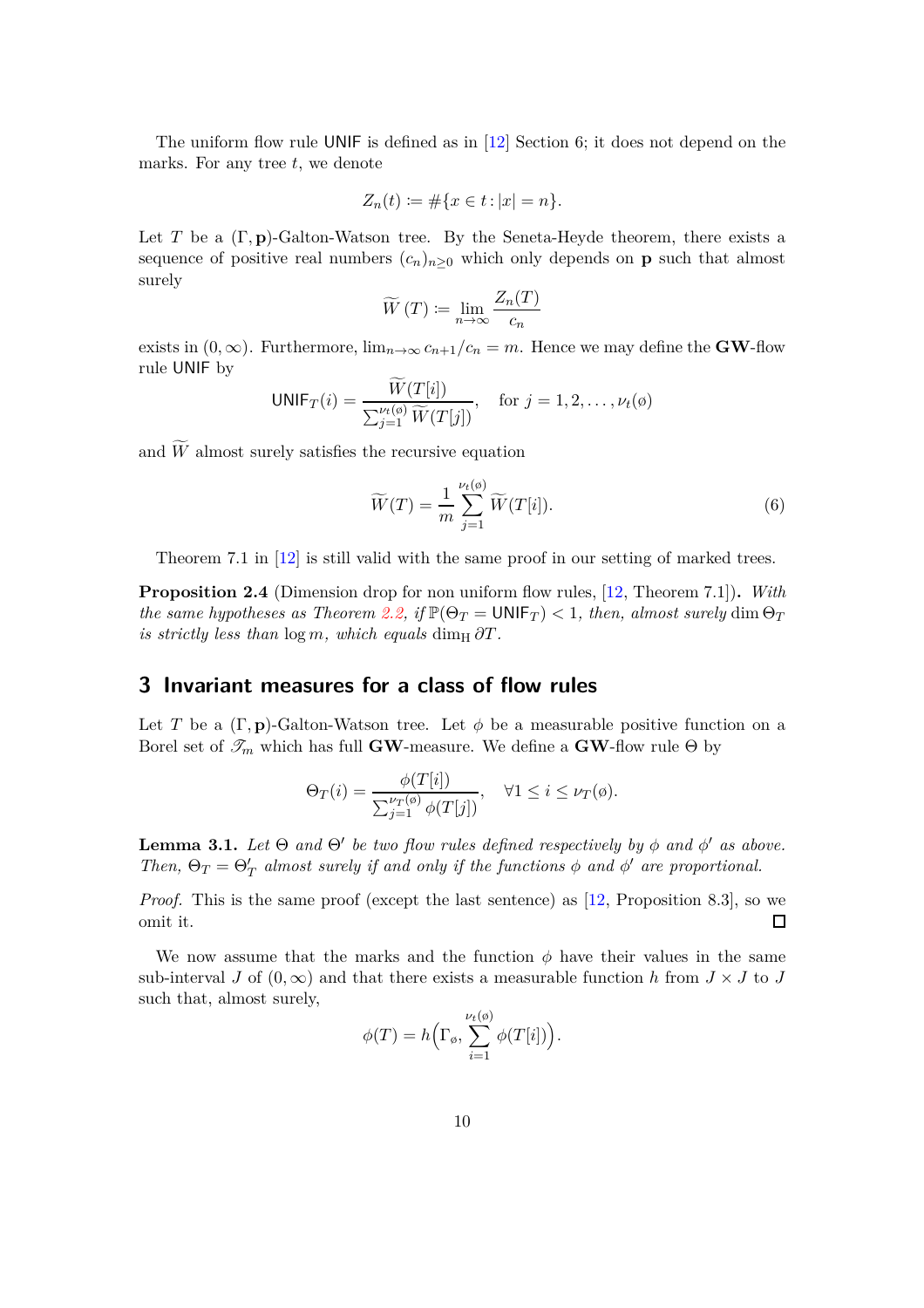The uniform flow rule UNIF is defined as in [\[12\]](#page-35-0) Section 6; it does not depend on the marks. For any tree *t*, we denote

$$
Z_n(t) := \# \{ x \in t : |x| = n \}.
$$

Let *T* be a (Γ*,* **p**)-Galton-Watson tree. By the Seneta-Heyde theorem, there exists a sequence of positive real numbers  $(c_n)_{n>0}$  which only depends on **p** such that almost surely

$$
\widetilde{W}(T) \coloneqq \lim_{n \to \infty} \frac{Z_n(T)}{c_n}
$$

exists in  $(0, \infty)$ . Furthermore,  $\lim_{n \to \infty} c_{n+1}/c_n = m$ . Hence we may define the **GW**-flow rule UNIF by

$$
\mathsf{UNIF}_{T}(i) = \frac{W(T[i])}{\sum_{j=1}^{\nu_t(\emptyset)} \widetilde{W}(T[j])}, \quad \text{for } j = 1, 2, \dots, \nu_t(\emptyset)
$$

and  $\widetilde{W}$  almost surely satisfies the recursive equation

<span id="page-9-3"></span>
$$
\widetilde{W}(T) = \frac{1}{m} \sum_{j=1}^{\nu_t(\phi)} \widetilde{W}(T[i]).
$$
\n(6)

<span id="page-9-1"></span>Theorem 7.1 in [\[12\]](#page-35-0) is still valid with the same proof in our setting of marked trees.

**Proposition 2.4** (Dimension drop for non uniform flow rules, [\[12,](#page-35-0) Theorem 7.1])**.** *With the same hypotheses as Theorem [2.2,](#page-8-0) if*  $\mathbb{P}(\Theta_T = \text{UNIF}_T) < 1$ , *then, almost surely* dim  $\Theta_T$ *is strictly less than*  $\log m$ *, which equals* dim<sub>H</sub>  $\partial T$ *.* 

# <span id="page-9-0"></span>**3 Invariant measures for a class of flow rules**

Let *T* be a  $(\Gamma, \mathbf{p})$ -Galton-Watson tree. Let  $\phi$  be a measurable positive function on a Borel set of  $\mathcal{T}_m$  which has full **GW**-measure. We define a **GW**-flow rule  $\Theta$  by

$$
\Theta_T(i) = \frac{\phi(T[i])}{\sum_{j=1}^{\nu_T(\emptyset)} \phi(T[j])}, \quad \forall 1 \le i \le \nu_T(\emptyset).
$$

<span id="page-9-2"></span>**Lemma 3.1.** Let  $\Theta$  and  $\Theta'$  be two flow rules defined respectively by  $\phi$  and  $\phi'$  as above. *Then,*  $\Theta_T = \Theta'_T$  *almost surely if and only if the functions*  $\phi$  *and*  $\phi'$  *are proportional.* 

*Proof.* This is the same proof (except the last sentence) as [\[12,](#page-35-0) Proposition 8.3], so we omit it.  $\Box$ 

We now assume that the marks and the function  $\phi$  have their values in the same sub-interval *J* of  $(0, \infty)$  and that there exists a measurable function *h* from  $J \times J$  to *J* such that, almost surely,

$$
\phi(T) = h\Big(\Gamma_{\emptyset}, \sum_{i=1}^{\nu_t(\emptyset)} \phi(T[i])\Big).
$$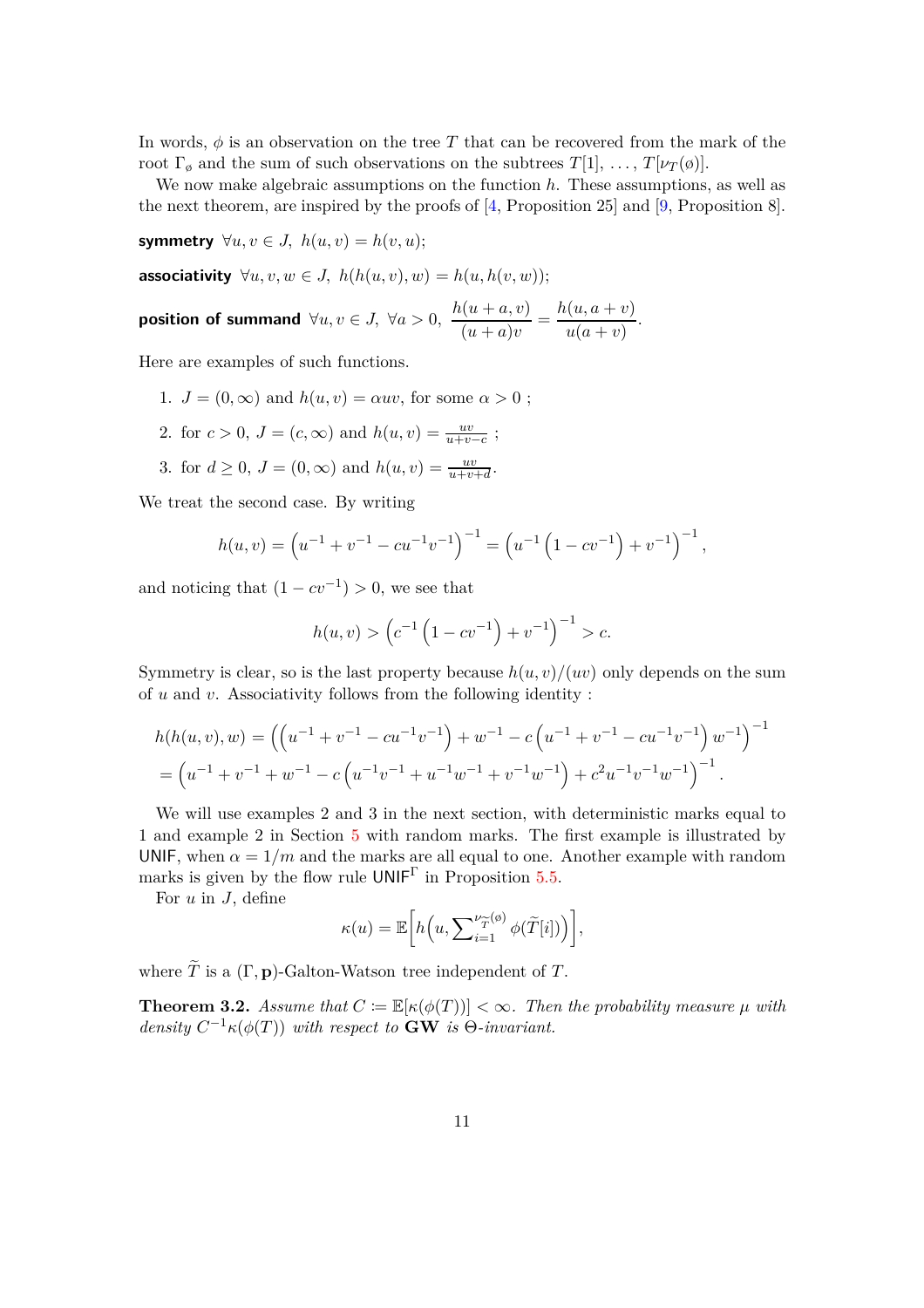In words,  $\phi$  is an observation on the tree T that can be recovered from the mark of the root  $\Gamma_{\alpha}$  and the sum of such observations on the subtrees  $T[1], \ldots, T[\nu_T(\emptyset)]$ .

We now make algebraic assumptions on the function *h*. These assumptions, as well as the next theorem, are inspired by the proofs of [\[4,](#page-35-3) Proposition 25] and [\[9,](#page-35-4) Proposition 8].

**symmetry**  $\forall u, v \in J$ ,  $h(u, v) = h(v, u)$ ;

**associativity**  $\forall u, v, w \in J$ ,  $h(h(u, v), w) = h(u, h(v, w));$ 

**position of summand** 
$$
\forall u, v \in J, \ \forall a > 0, \ \frac{h(u+a,v)}{(u+a)v} = \frac{h(u,a+v)}{u(a+v)}
$$
.

Here are examples of such functions.

- 1.  $J = (0, \infty)$  and  $h(u, v) = \alpha uv$ , for some  $\alpha > 0$ ;
- 2. for  $c > 0$ ,  $J = (c, \infty)$  and  $h(u, v) = \frac{uv}{u+v-c}$ ;
- 3. for  $d \ge 0$ ,  $J = (0, \infty)$  and  $h(u, v) = \frac{uv}{u + v + d}$ .

We treat the second case. By writing

$$
h(u,v) = \left(u^{-1} + v^{-1} - cu^{-1}v^{-1}\right)^{-1} = \left(u^{-1}\left(1 - cv^{-1}\right) + v^{-1}\right)^{-1},
$$

and noticing that  $(1 - cv^{-1}) > 0$ , we see that

$$
h(u,v) > \left(c^{-1}\left(1 - cv^{-1}\right) + v^{-1}\right)^{-1} > c.
$$

Symmetry is clear, so is the last property because  $h(u, v)/(uv)$  only depends on the sum of *u* and *v*. Associativity follows from the following identity :

$$
h(h(u, v), w) = \left( \left( u^{-1} + v^{-1} - cu^{-1}v^{-1} \right) + w^{-1} - c \left( u^{-1} + v^{-1} - cu^{-1}v^{-1} \right) w^{-1} \right)^{-1}
$$
  
=  $\left( u^{-1} + v^{-1} + w^{-1} - c \left( u^{-1}v^{-1} + u^{-1}w^{-1} + v^{-1}w^{-1} \right) + c^2 u^{-1}v^{-1}w^{-1} \right)^{-1}$ .

We will use examples 2 and 3 in the next section, with deterministic marks equal to 1 and example 2 in Section [5](#page-18-0) with random marks. The first example is illustrated by UNIF, when  $\alpha = 1/m$  and the marks are all equal to one. Another example with random marks is given by the flow rule  $\text{UNIF}^{\Gamma}$  in Proposition [5.5.](#page-28-0)

For *u* in *J*, define

$$
\kappa(u) = \mathbb{E}\bigg[h\Big(u,\sum\nolimits_{i=1}^{\nu_{\widetilde{T}}(\mathbf{0})} \phi(\widetilde{T}[i])\Big)\bigg],
$$

<span id="page-10-0"></span>where  $\widetilde{T}$  is a  $(\Gamma, \mathbf{p})$ -Galton-Watson tree independent of *T*.

**Theorem 3.2.** *Assume that*  $C \coloneqq \mathbb{E}[\kappa(\phi(T))] < \infty$ *. Then the probability measure*  $\mu$  *with density*  $C^{-1}\kappa(\phi(T))$  *with respect to* **GW** *is*  $\Theta$ *-invariant.*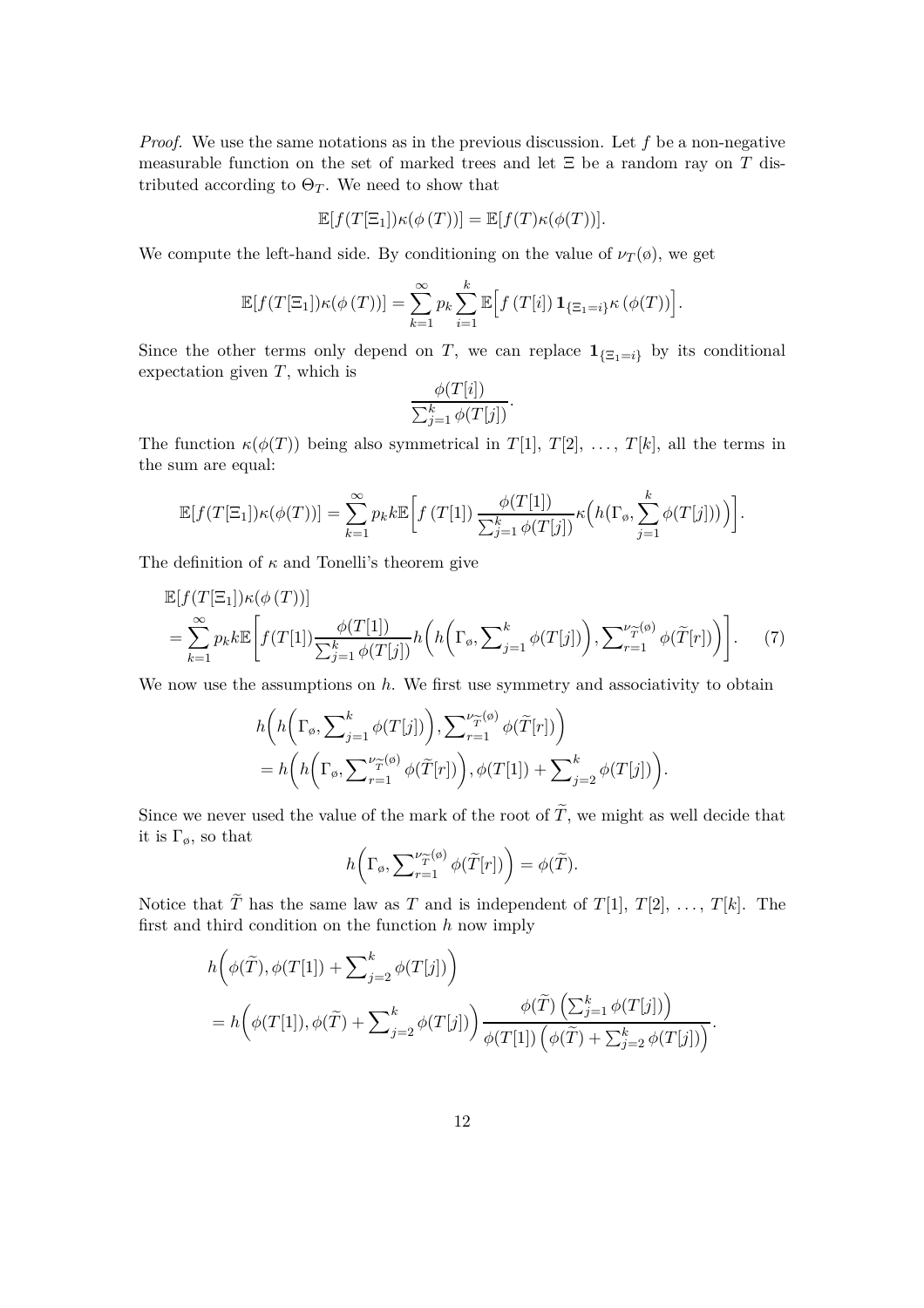*Proof.* We use the same notations as in the previous discussion. Let *f* be a non-negative measurable function on the set of marked trees and let Ξ be a random ray on *T* distributed according to  $\Theta_T$ . We need to show that

$$
\mathbb{E}[f(T[\Xi_1])\kappa(\phi(T))] = \mathbb{E}[f(T)\kappa(\phi(T))].
$$

We compute the left-hand side. By conditioning on the value of  $\nu_T(\phi)$ , we get

$$
\mathbb{E}[f(T[\Xi_1])\kappa(\phi(T))] = \sum_{k=1}^{\infty} p_k \sum_{i=1}^{k} \mathbb{E}[f(T[i]) \mathbf{1}_{\{\Xi_1=i\}} \kappa(\phi(T))].
$$

Since the other terms only depend on *T*, we can replace  $\mathbf{1}_{\{\Xi_1=i\}}$  by its conditional expectation given *T*, which is *φ*(*T*[*i*])

<span id="page-11-0"></span>
$$
\frac{\phi(T[i])}{\sum_{j=1}^k \phi(T[j])}.
$$

The function  $\kappa(\phi(T))$  being also symmetrical in *T*[1], *T*[2], ..., *T*[k], all the terms in the sum are equal:

$$
\mathbb{E}[f(T[\Xi_1])\kappa(\phi(T))] = \sum_{k=1}^{\infty} p_k k \mathbb{E}\bigg[f(T[1]) \frac{\phi(T[1])}{\sum_{j=1}^k \phi(T[j])} \kappa\Big(h(\Gamma_\phi, \sum_{j=1}^k \phi(T[j]))\Big)\bigg].
$$

The definition of *κ* and Tonelli's theorem give

$$
\mathbb{E}[f(T[\Xi_1])\kappa(\phi(T))]
$$
\n
$$
= \sum_{k=1}^{\infty} p_k k \mathbb{E}\left[f(T[1]) \frac{\phi(T[1])}{\sum_{j=1}^k \phi(T[j])} h\left(h\left(\Gamma_\emptyset, \sum_{j=1}^k \phi(T[j])\right), \sum_{r=1}^{\nu_{\widetilde{T}}(\phi)} \phi(\widetilde{T}[r])\right)\right].
$$
\n(7)

We now use the assumptions on *h*. We first use symmetry and associativity to obtain

$$
h\bigg(h\bigg(\Gamma_{\varnothing}, \sum_{j=1}^k \phi(T[j])\bigg), \sum_{r=1}^{\nu_{\widetilde{T}}(\varnothing)} \phi(\widetilde{T}[r])\bigg) \\ = h\bigg(h\bigg(\Gamma_{\varnothing}, \sum_{r=1}^{\nu_{\widetilde{T}}(\varnothing)} \phi(\widetilde{T}[r])\bigg), \phi(T[1]) + \sum_{j=2}^k \phi(T[j])\bigg).
$$

Since we never used the value of the mark of the root of  $\widetilde{T}$ , we might as well decide that it is  $\Gamma_{\emptyset}$ , so that

$$
h\bigg(\Gamma_{\varnothing}, \sum_{r=1}^{\nu_{\widetilde{T}}(\varnothing)} \phi(\widetilde{T}[r])\bigg) = \phi(\widetilde{T}).
$$

Notice that  $\widetilde{T}$  has the same law as  $T$  and is independent of  $T[1], T[2], \ldots, T[k]$ . The first and third condition on the function *h* now imply

$$
\begin{split} &h\bigg(\phi(\widetilde{T}),\phi(T[1])+\sum\nolimits_{j=2}^{k}\phi(T[j])\bigg)\\ &=h\bigg(\phi(T[1]),\phi(\widetilde{T})+\sum\nolimits_{j=2}^{k}\phi(T[j])\bigg)\frac{\phi(\widetilde{T})\left(\sum\nolimits_{j=1}^{k}\phi(T[j])\right)}{\phi(T[1])\left(\phi(\widetilde{T})+\sum\nolimits_{j=2}^{k}\phi(T[j])\right)}. \end{split}
$$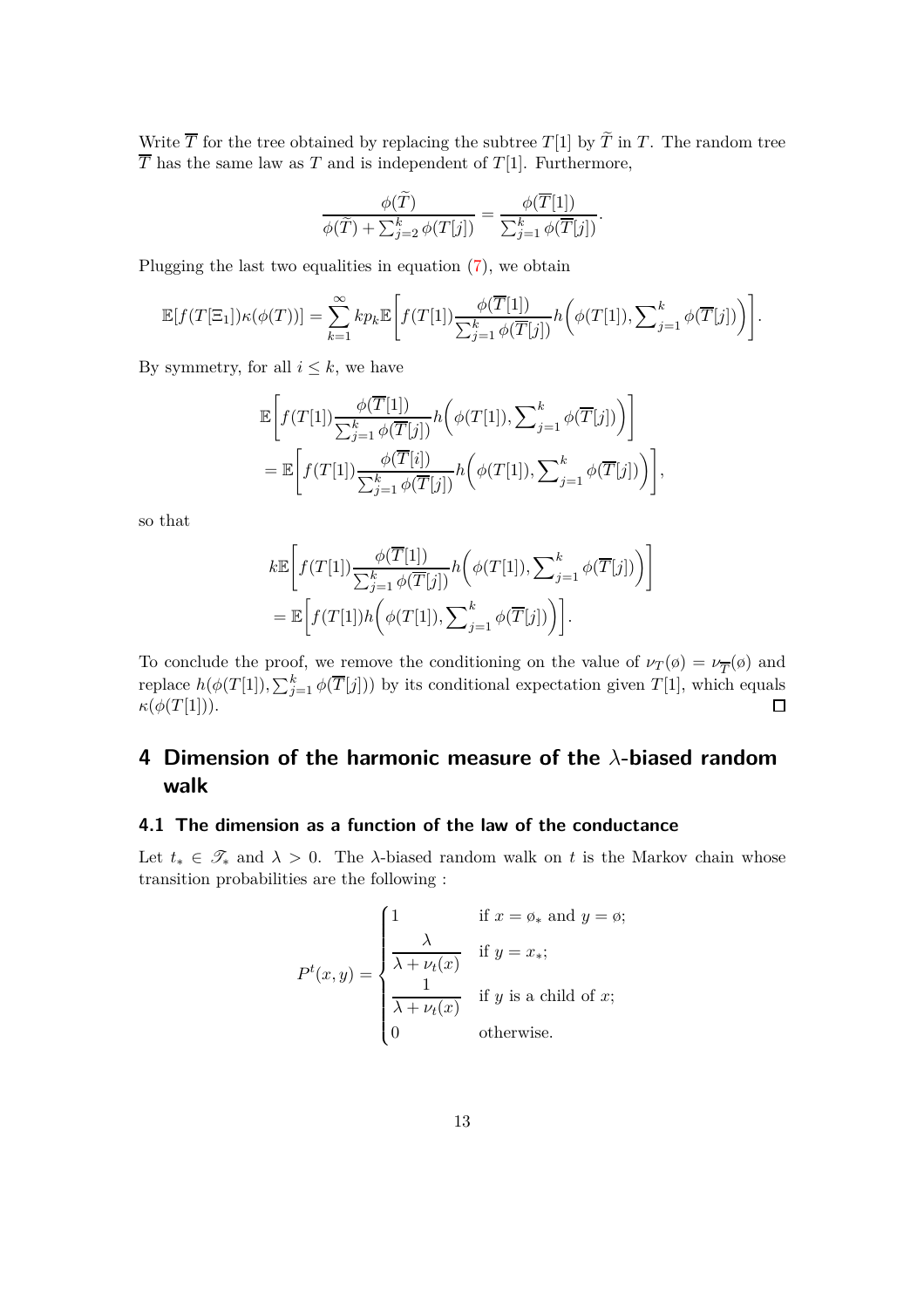Write  $\overline{T}$  for the tree obtained by replacing the subtree  $T[1]$  by  $\widetilde{T}$  in  $T$ . The random tree  $\overline{T}$  has the same law as *T* and is independent of *T*[1]. Furthermore,

$$
\frac{\phi(\widetilde{T})}{\phi(\widetilde{T}) + \sum_{j=2}^k \phi(T[j])} = \frac{\phi(\overline{T}[1])}{\sum_{j=1}^k \phi(\overline{T}[j])}.
$$

Plugging the last two equalities in equation [\(7\)](#page-11-0), we obtain

$$
\mathbb{E}[f(T[\Xi_1])\kappa(\phi(T))] = \sum_{k=1}^{\infty} k p_k \mathbb{E}\bigg[f(T[1]) \frac{\phi(\overline{T}[1])}{\sum_{j=1}^k \phi(\overline{T}[j])} h\bigg(\phi(T[1]), \sum_{j=1}^k \phi(\overline{T}[j])\bigg)\bigg].
$$

By symmetry, for all  $i \leq k$ , we have

$$
\mathbb{E}\Bigg[f(T[1])\frac{\phi(\overline{T}[1])}{\sum_{j=1}^k \phi(\overline{T}[j])}h\Big(\phi(T[1]),\sum_{j=1}^k \phi(\overline{T}[j])\Big)\Bigg]\\=\mathbb{E}\Bigg[f(T[1])\frac{\phi(\overline{T}[i])}{\sum_{j=1}^k \phi(\overline{T}[j])}h\Big(\phi(T[1]),\sum_{j=1}^k \phi(\overline{T}[j])\Big)\Bigg],
$$

so that

$$
k \mathbb{E}\bigg[f(T[1])\frac{\phi(\overline{T}[1])}{\sum_{j=1}^k \phi(\overline{T}[j])} h\bigg(\phi(T[1]), \sum_{j=1}^k \phi(\overline{T}[j])\bigg)\bigg] = \mathbb{E}\bigg[f(T[1]) h\bigg(\phi(T[1]), \sum_{j=1}^k \phi(\overline{T}[j])\bigg)\bigg].
$$

To conclude the proof, we remove the conditioning on the value of  $\nu_T(\phi) = \nu_{\overline{T}}(\phi)$  and replace  $h(\phi(T[1]), \sum_{j=1}^{k} \phi(\overline{T}[j]))$  by its conditional expectation given  $T[1]$ , which equals  $\kappa(\phi(T[1]))$ .

# <span id="page-12-0"></span>**4 Dimension of the harmonic measure of the** *λ***-biased random walk**

## **4.1 The dimension as a function of the law of the conductance**

Let  $t_* \in \mathcal{T}_*$  and  $\lambda > 0$ . The *λ*-biased random walk on *t* is the Markov chain whose transition probabilities are the following :

$$
P^{t}(x, y) = \begin{cases} 1 & \text{if } x = \emptyset_* \text{ and } y = \emptyset; \\ \frac{\lambda}{\lambda + \nu_{t}(x)} & \text{if } y = x_*; \\ \frac{1}{\lambda + \nu_{t}(x)} & \text{if } y \text{ is a child of } x; \\ 0 & \text{otherwise.} \end{cases}
$$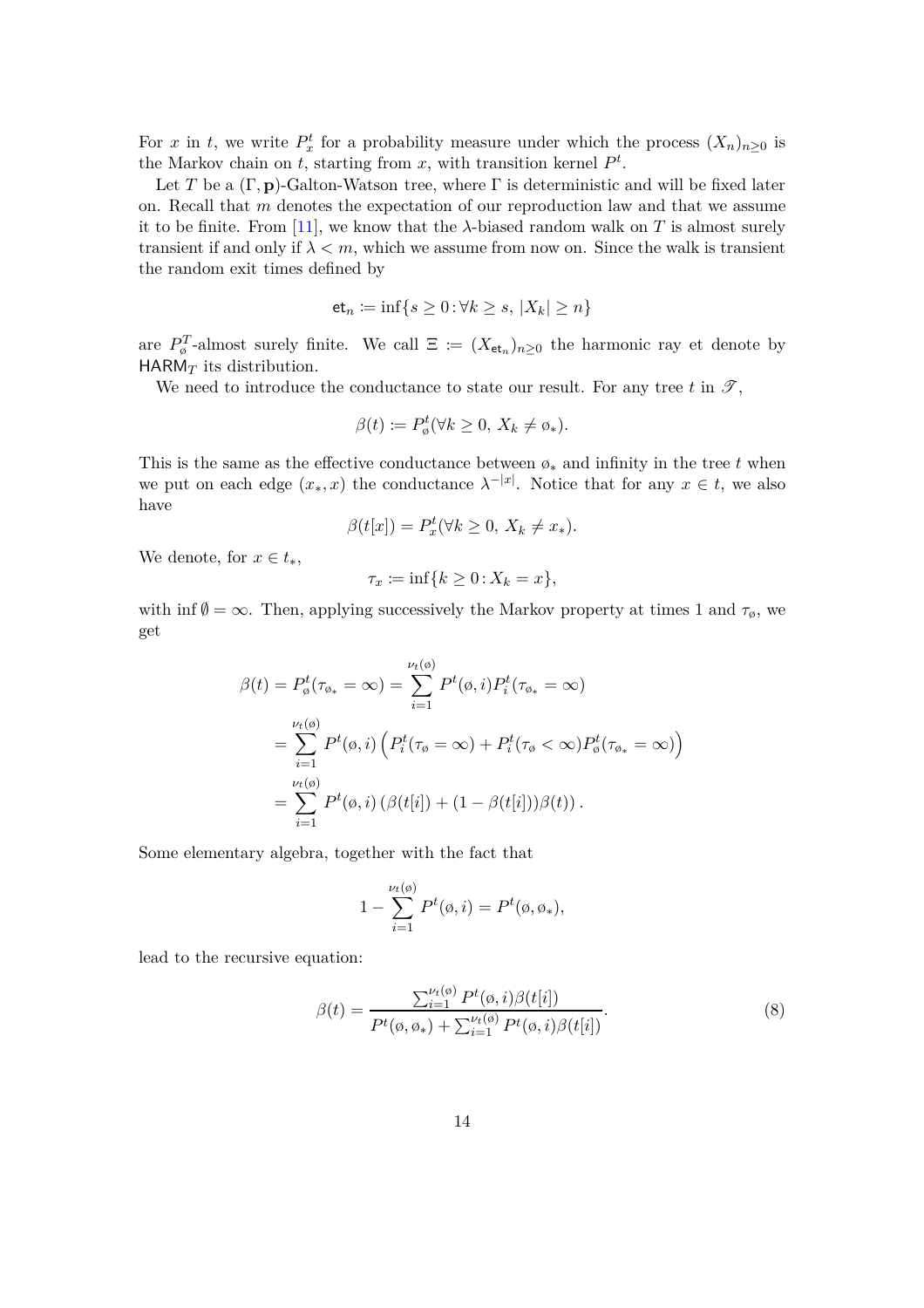For *x* in *t*, we write  $P_x^t$  for a probability measure under which the process  $(X_n)_{n\geq 0}$  is the Markov chain on  $t$ , starting from  $x$ , with transition kernel  $P<sup>t</sup>$ .

Let *T* be a  $(\Gamma, \mathbf{p})$ -Galton-Watson tree, where  $\Gamma$  is deterministic and will be fixed later on. Recall that *m* denotes the expectation of our reproduction law and that we assume it to be finite. From [\[11\]](#page-35-10), we know that the  $\lambda$ -biased random walk on T is almost surely transient if and only if  $\lambda \leq m$ , which we assume from now on. Since the walk is transient the random exit times defined by

$$
\mathsf{et}_n \coloneqq \inf\{s \ge 0 : \forall k \ge s, \, |X_k| \ge n\}
$$

are  $P_{\phi}^{T}$ -almost surely finite. We call  $\Xi := (X_{\epsilon t_n})_{n \geq 0}$  the harmonic ray et denote by HARM $_T$  its distribution.

We need to introduce the conductance to state our result. For any tree  $t$  in  $\mathscr{T}$ ,

$$
\beta(t) \coloneqq P_{\phi}^t(\forall k \ge 0, \, X_k \ne \emptyset_*)
$$

This is the same as the effective conductance between  $\mathfrak{o}_*$  and infinity in the tree *t* when we put on each edge  $(x_*, x)$  the conductance  $\lambda^{-|x|}$ . Notice that for any  $x \in t$ , we also have

$$
\beta(t[x]) = P_x^t(\forall k \ge 0, X_k \ne x_*).
$$

We denote, for  $x \in t_*$ ,

$$
\tau_x \coloneqq \inf\{k \ge 0 : X_k = x\},\
$$

with inf  $\emptyset = \infty$ . Then, applying successively the Markov property at times 1 and  $\tau_{\emptyset}$ , we get

$$
\beta(t) = P_{\emptyset}^{t}(\tau_{\emptyset_{*}} = \infty) = \sum_{i=1}^{\nu_{t}(\emptyset)} P^{t}(\emptyset, i) P_{i}^{t}(\tau_{\emptyset_{*}} = \infty)
$$
  
= 
$$
\sum_{i=1}^{\nu_{t}(\emptyset)} P^{t}(\emptyset, i) \left( P_{i}^{t}(\tau_{\emptyset} = \infty) + P_{i}^{t}(\tau_{\emptyset} < \infty) P_{\emptyset}^{t}(\tau_{\emptyset_{*}} = \infty) \right)
$$
  
= 
$$
\sum_{i=1}^{\nu_{t}(\emptyset)} P^{t}(\emptyset, i) \left( \beta(t[i]) + (1 - \beta(t[i]) \right) \beta(t) \right).
$$

Some elementary algebra, together with the fact that

$$
1 - \sum_{i=1}^{\nu_t(\emptyset)} P^t(\emptyset, i) = P^t(\emptyset, \emptyset_*)
$$

lead to the recursive equation:

<span id="page-13-0"></span>
$$
\beta(t) = \frac{\sum_{i=1}^{\nu_t(\emptyset)} P^t(\emptyset, i)\beta(t[i])}{P^t(\emptyset, \emptyset_*) + \sum_{i=1}^{\nu_t(\emptyset)} P^t(\emptyset, i)\beta(t[i])}.
$$
\n(8)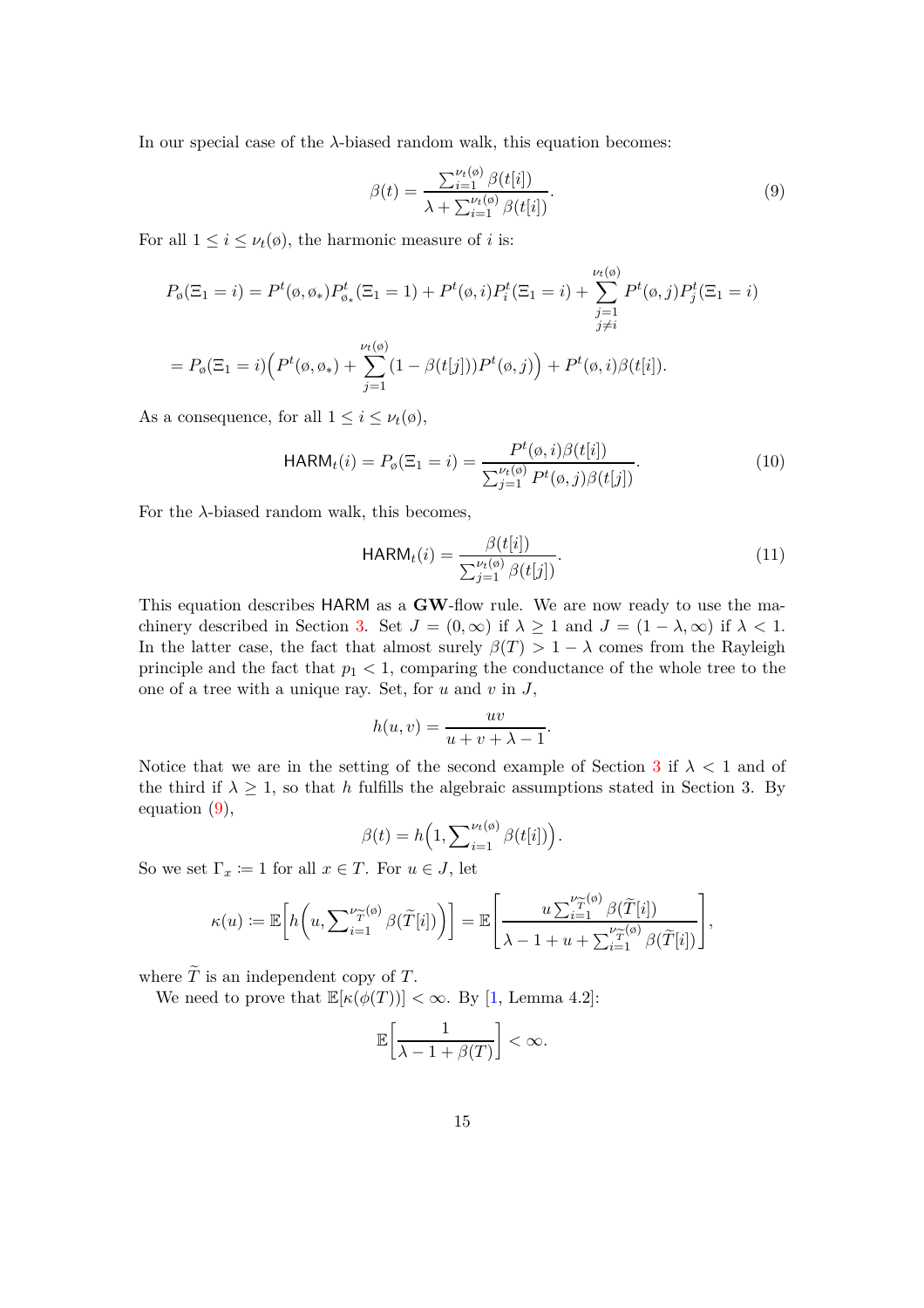In our special case of the  $\lambda$ -biased random walk, this equation becomes:

<span id="page-14-0"></span>
$$
\beta(t) = \frac{\sum_{i=1}^{\nu_t(\emptyset)} \beta(t[i])}{\lambda + \sum_{i=1}^{\nu_t(\emptyset)} \beta(t[i])}.
$$
\n(9)

For all  $1 \leq i \leq \nu_t(\emptyset)$ , the harmonic measure of *i* is:

$$
P_{\emptyset}(\Xi_1 = i) = P^t(\emptyset, \emptyset_*) P^t_{\emptyset_*}(\Xi_1 = 1) + P^t(\emptyset, i) P^t_i(\Xi_1 = i) + \sum_{\substack{j=1 \ j \neq i}}^{\nu_t(\emptyset)} P^t(\emptyset, j) P^t_j(\Xi_1 = i)
$$
  
= 
$$
P_{\emptyset}(\Xi_1 = i) \Big( P^t(\emptyset, \emptyset_*) + \sum_{j=1}^{\nu_t(\emptyset)} (1 - \beta(t[j])) P^t(\emptyset, j) \Big) + P^t(\emptyset, i) \beta(t[i]).
$$

As a consequence, for all  $1 \leq i \leq \nu_t(\emptyset)$ ,

<span id="page-14-2"></span>*j*=1

$$
HARM_{t}(i) = P_{\emptyset}(\Xi_{1} = i) = \frac{P^{t}(\emptyset, i)\beta(t[i])}{\sum_{j=1}^{\nu_{t}(\emptyset)} P^{t}(\emptyset, j)\beta(t[j])}.
$$
\n(10)

For the  $\lambda$ -biased random walk, this becomes,

<span id="page-14-1"></span>
$$
HARM_t(i) = \frac{\beta(t[i])}{\sum_{j=1}^{\nu_t(\wp)} \beta(t[j])}.
$$
\n(11)

This equation describes HARM as a **GW**-flow rule. We are now ready to use the ma-chinery described in Section [3.](#page-9-0) Set  $J = (0, \infty)$  if  $\lambda > 1$  and  $J = (1 - \lambda, \infty)$  if  $\lambda < 1$ . In the latter case, the fact that almost surely  $\beta(T) > 1 - \lambda$  comes from the Rayleigh principle and the fact that  $p_1 < 1$ , comparing the conductance of the whole tree to the one of a tree with a unique ray. Set, for *u* and *v* in *J*,

$$
h(u,v) = \frac{uv}{u+v+\lambda-1}.
$$

Notice that we are in the setting of the second example of Section [3](#page-9-0) if  $\lambda < 1$  and of the third if  $\lambda \geq 1$ , so that *h* fulfills the algebraic assumptions stated in Section 3. By equation [\(9\)](#page-14-0),

$$
\beta(t) = h\left(1, \sum_{i=1}^{\nu_t(\emptyset)} \beta(t[i])\right).
$$

So we set  $\Gamma_x \coloneqq 1$  for all  $x \in T$ . For  $u \in J$ , let

$$
\kappa(u) := \mathbb{E}\bigg[h\bigg(u,\sum_{i=1}^{\nu_{\widetilde{T}}(\mathfrak{g})}\beta(\widetilde{T}[i])\bigg)\bigg] = \mathbb{E}\Bigg[\frac{u\sum_{i=1}^{\nu_{\widetilde{T}}(\mathfrak{g})}\beta(\widetilde{T}[i])}{\lambda-1+u+\sum_{i=1}^{\nu_{\widetilde{T}}(\mathfrak{g})}\beta(\widetilde{T}[i])}\Bigg],
$$

where  $\widetilde{T}$  is an independent copy of  $T$ .

We need to prove that  $\mathbb{E}[\kappa(\phi(T))] < \infty$ . By [\[1,](#page-35-7) Lemma 4.2]:

$$
\mathbb{E}\left[\frac{1}{\lambda - 1 + \beta(T)}\right] < \infty.
$$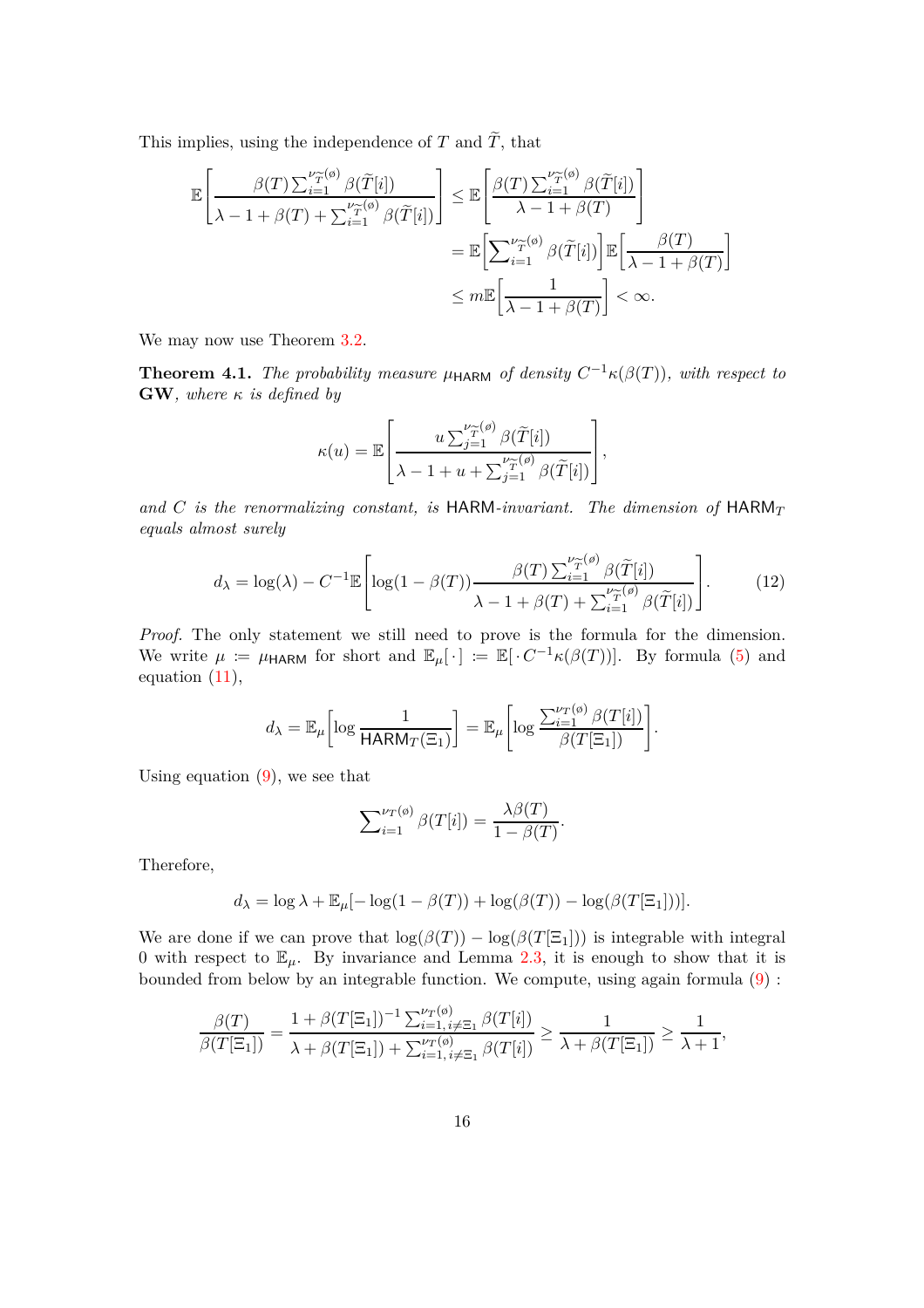This implies, using the independence of *T* and  $\widetilde{T}$ , that

$$
\mathbb{E}\left[\frac{\beta(T)\sum_{i=1}^{\nu_{\widetilde{T}}(\theta)}\beta(\widetilde{T}[i])}{\lambda - 1 + \beta(T) + \sum_{i=1}^{\nu_{\widetilde{T}}(\theta)}\beta(\widetilde{T}[i])}\right] \leq \mathbb{E}\left[\frac{\beta(T)\sum_{i=1}^{\nu_{\widetilde{T}}(\theta)}\beta(\widetilde{T}[i])}{\lambda - 1 + \beta(T)}\right]
$$

$$
= \mathbb{E}\left[\sum_{i=1}^{\nu_{\widetilde{T}}(\theta)}\beta(\widetilde{T}[i])\right]\mathbb{E}\left[\frac{\beta(T)}{\lambda - 1 + \beta(T)}\right]
$$

$$
\leq m\mathbb{E}\left[\frac{1}{\lambda - 1 + \beta(T)}\right] < \infty.
$$

<span id="page-15-0"></span>We may now use Theorem [3.2.](#page-10-0)

**Theorem 4.1.** *The probability measure*  $\mu_{\text{HARM}}$  *of density*  $C^{-1}\kappa(\beta(T))$ *, with respect to* **GW***, where κ is defined by*

$$
\kappa(u) = \mathbb{E}\left[\frac{u\sum_{j=1}^{\nu} \beta(\widetilde{T}[i])}{\lambda - 1 + u + \sum_{j=1}^{\nu} \widetilde{T}^{(\varnothing)}} \beta(\widetilde{T}[i])\right],
$$

*and C is the renormalizing constant, is* HARM*-invariant. The dimension of* HARM*<sup>T</sup> equals almost surely*

<span id="page-15-1"></span>
$$
d_{\lambda} = \log(\lambda) - C^{-1} \mathbb{E} \left[ \log(1 - \beta(T)) \frac{\beta(T) \sum_{i=1}^{\nu} \widetilde{\tau}^{(\emptyset)}(\beta(\widetilde{T}[i])}{\lambda - 1 + \beta(T) + \sum_{i=1}^{\nu} \widetilde{\tau}^{(\emptyset)}(\beta(\widetilde{T}[i])} \right]. \tag{12}
$$

*Proof.* The only statement we still need to prove is the formula for the dimension. We write  $\mu := \mu_{\text{HARM}}$  for short and  $\mathbb{E}_{\mu}[\cdot] := \mathbb{E}[\cdot C^{-1} \kappa(\beta(T))]$ . By formula [\(5\)](#page-8-1) and equation [\(11\)](#page-14-1),

$$
d_{\lambda} = \mathbb{E}_{\mu} \left[ \log \frac{1}{\mathsf{HARM}_{T}(\Xi_{1})} \right] = \mathbb{E}_{\mu} \left[ \log \frac{\sum_{i=1}^{\nu_{T}(s)} \beta(T[i])}{\beta(T[\Xi_{1}])} \right].
$$

Using equation  $(9)$ , we see that

$$
\sum_{i=1}^{\nu_T(\emptyset)} \beta(T[i]) = \frac{\lambda \beta(T)}{1 - \beta(T)}.
$$

Therefore,

$$
d_{\lambda} = \log \lambda + \mathbb{E}_{\mu}[-\log(1-\beta(T)) + \log(\beta(T)) - \log(\beta(T[\Xi_1]))].
$$

We are done if we can prove that  $\log(\beta(T)) - \log(\beta(T[\Xi_1]))$  is integrable with integral 0 with respect to  $\mathbb{E}_{\mu}$ . By invariance and Lemma [2.3,](#page-8-2) it is enough to show that it is bounded from below by an integrable function. We compute, using again formula [\(9\)](#page-14-0) :

$$
\frac{\beta(T)}{\beta(T[\Xi_1])} = \frac{1 + \beta(T[\Xi_1])^{-1} \sum_{i=1, i \neq \Xi_1}^{\nu_T(\emptyset)} \beta(T[i])}{\lambda + \beta(T[\Xi_1]) + \sum_{i=1, i \neq \Xi_1}^{\nu_T(\emptyset)} \beta(T[i])} \ge \frac{1}{\lambda + \beta(T[\Xi_1])} \ge \frac{1}{\lambda + 1},
$$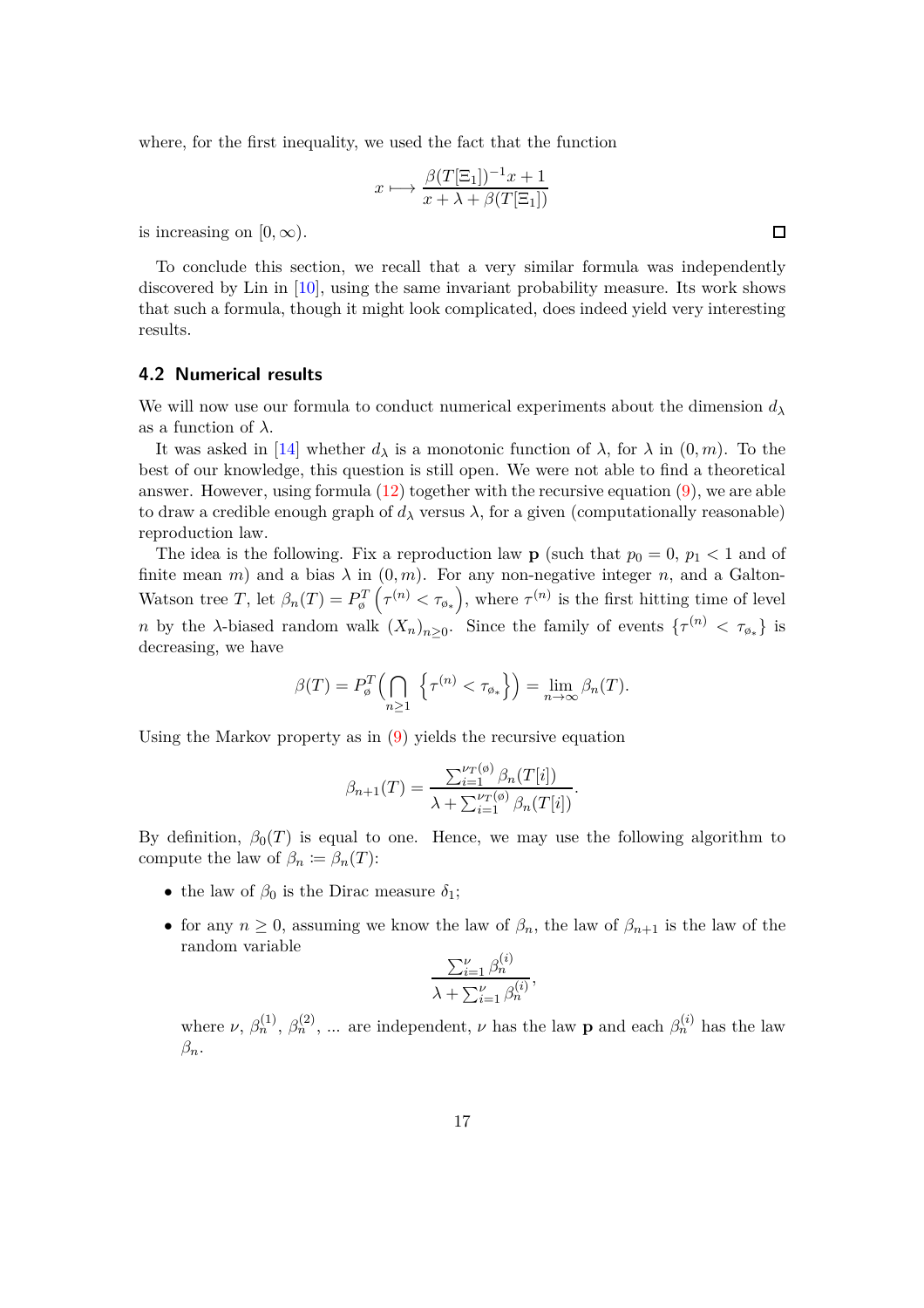where, for the first inequality, we used the fact that the function

$$
x \longmapsto \frac{\beta(T[\Xi_1])^{-1}x + 1}{x + \lambda + \beta(T[\Xi_1])}
$$

is increasing on  $[0, \infty)$ .

To conclude this section, we recall that a very similar formula was independently discovered by Lin in [\[10\]](#page-35-5), using the same invariant probability measure. Its work shows that such a formula, though it might look complicated, does indeed yield very interesting results.

### **4.2 Numerical results**

We will now use our formula to conduct numerical experiments about the dimension  $d<sub>\lambda</sub>$ as a function of  $\lambda$ .

It was asked in [\[14\]](#page-35-6) whether  $d<sub>\lambda</sub>$  is a monotonic function of  $\lambda$ , for  $\lambda$  in  $(0, m)$ . To the best of our knowledge, this question is still open. We were not able to find a theoretical answer. However, using formula  $(12)$  together with the recursive equation  $(9)$ , we are able to draw a credible enough graph of  $d<sub>\lambda</sub>$  versus  $\lambda$ , for a given (computationally reasonable) reproduction law.

The idea is the following. Fix a reproduction law **p** (such that  $p_0 = 0$ ,  $p_1 < 1$  and of finite mean *m*) and a bias  $\lambda$  in  $(0, m)$ . For any non-negative integer *n*, and a Galton-Watson tree *T*, let  $\beta_n(T) = P_{\varphi}^T(\tau^{(n)} < \tau_{\varphi_*}),$  where  $\tau^{(n)}$  is the first hitting time of level *n* by the *λ*-biased random walk  $(X_n)_{n\geq 0}$ . Since the family of events  $\{\tau^{(n)} < \tau_{\phi_*}\}$  is decreasing, we have

$$
\beta(T) = P_{\emptyset}^T \Big( \bigcap_{n \ge 1} \left\{ \tau^{(n)} < \tau_{\emptyset_*} \right\} \Big) = \lim_{n \to \infty} \beta_n(T).
$$

Using the Markov property as in [\(9\)](#page-14-0) yields the recursive equation

$$
\beta_{n+1}(T) = \frac{\sum_{i=1}^{\nu_T(s)} \beta_n(T[i])}{\lambda + \sum_{i=1}^{\nu_T(s)} \beta_n(T[i])}.
$$

By definition,  $\beta_0(T)$  is equal to one. Hence, we may use the following algorithm to compute the law of  $\beta_n := \beta_n(T)$ :

- the law of  $\beta_0$  is the Dirac measure  $\delta_1$ ;
- for any  $n \geq 0$ , assuming we know the law of  $\beta_n$ , the law of  $\beta_{n+1}$  is the law of the random variable

$$
\frac{\sum_{i=1}^{\nu} \beta_n^{(i)}}{\lambda + \sum_{i=1}^{\nu} \beta_n^{(i)}},
$$

where  $\nu$ ,  $\beta_n^{(1)}$ ,  $\beta_n^{(2)}$ , ... are independent,  $\nu$  has the law **p** and each  $\beta_n^{(i)}$  has the law *βn*.

 $\Box$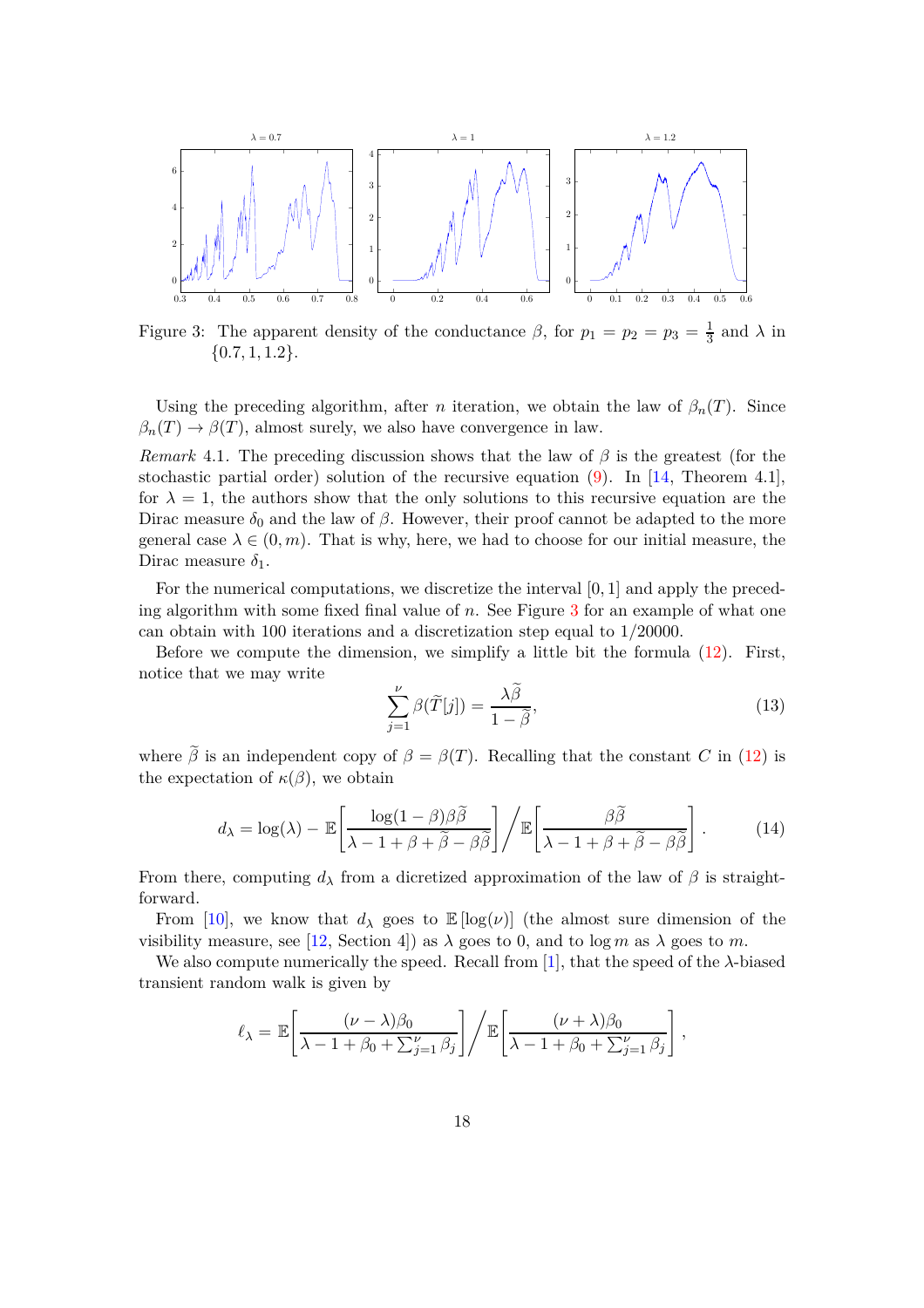

<span id="page-17-0"></span>Figure 3: The apparent density of the conductance  $\beta$ , for  $p_1 = p_2 = p_3 = \frac{1}{3}$  $\frac{1}{3}$  and  $\lambda$  in {0*.*7*,* 1*,* 1*.*2}.

Using the preceding algorithm, after *n* iteration, we obtain the law of  $\beta_n(T)$ . Since  $\beta_n(T) \to \beta(T)$ , almost surely, we also have convergence in law.

*Remark* 4.1. The preceding discussion shows that the law of  $\beta$  is the greatest (for the stochastic partial order) solution of the recursive equation  $(9)$ . In [\[14,](#page-35-6) Theorem 4.1], for  $\lambda = 1$ , the authors show that the only solutions to this recursive equation are the Dirac measure  $\delta_0$  and the law of  $\beta$ . However, their proof cannot be adapted to the more general case  $\lambda \in (0, m)$ . That is why, here, we had to choose for our initial measure, the Dirac measure  $\delta_1$ .

For the numerical computations, we discretize the interval [0*,* 1] and apply the preceding algorithm with some fixed final value of *n*. See Figure [3](#page-17-0) for an example of what one can obtain with 100 iterations and a discretization step equal to 1*/*20000.

Before we compute the dimension, we simplify a little bit the formula  $(12)$ . First, notice that we may write

<span id="page-17-1"></span>
$$
\sum_{j=1}^{\nu} \beta(\tilde{T}[j]) = \frac{\lambda \tilde{\beta}}{1 - \tilde{\beta}},
$$
\n(13)

where  $\tilde{\beta}$  is an independent copy of  $\beta = \beta(T)$ . Recalling that the constant *C* in [\(12\)](#page-15-1) is the expectation of  $\kappa(\beta)$ , we obtain

$$
d_{\lambda} = \log(\lambda) - \mathbb{E}\left[\frac{\log(1-\beta)\beta\tilde{\beta}}{\lambda - 1 + \beta + \tilde{\beta} - \beta\tilde{\beta}}\right] \bigg/ \mathbb{E}\left[\frac{\beta\tilde{\beta}}{\lambda - 1 + \beta + \tilde{\beta} - \beta\tilde{\beta}}\right].
$$
 (14)

From there, computing  $d<sub>\lambda</sub>$  from a dicretized approximation of the law of  $\beta$  is straightforward.

From [\[10\]](#page-35-5), we know that  $d<sub>\lambda</sub>$  goes to  $\mathbb{E} [\log(\nu)]$  (the almost sure dimension of the visibility measure, see [\[12,](#page-35-0) Section 4]) as  $\lambda$  goes to 0, and to log *m* as  $\lambda$  goes to *m*.

We also compute numerically the speed. Recall from  $[1]$ , that the speed of the  $\lambda$ -biased transient random walk is given by

$$
\ell_{\lambda} = \mathbb{E}\left[\frac{(\nu - \lambda)\beta_0}{\lambda - 1 + \beta_0 + \sum_{j=1}^{\nu} \beta_j}\right] / \mathbb{E}\left[\frac{(\nu + \lambda)\beta_0}{\lambda - 1 + \beta_0 + \sum_{j=1}^{\nu} \beta_j}\right],
$$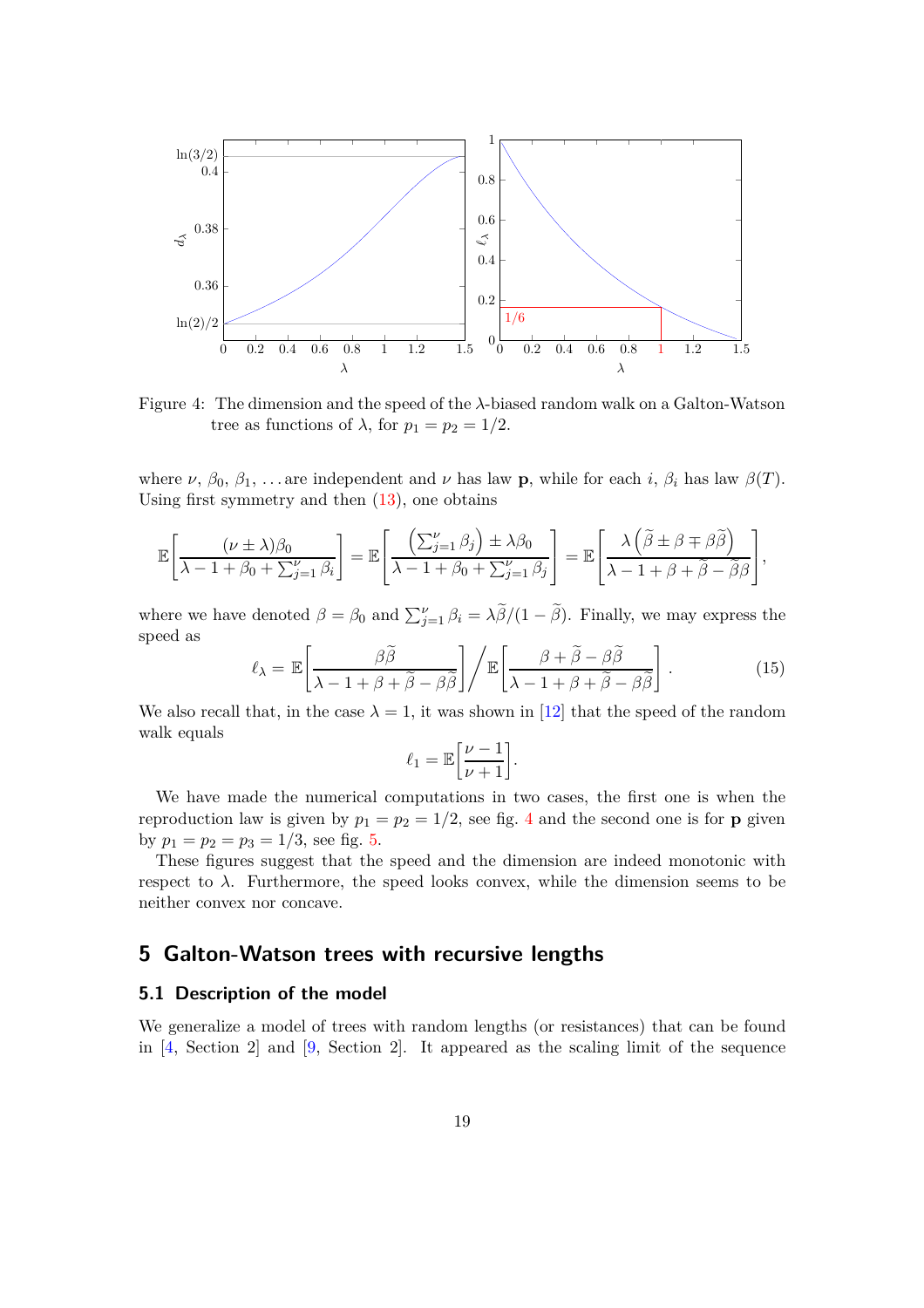

<span id="page-18-1"></span>Figure 4: The dimension and the speed of the *λ*-biased random walk on a Galton-Watson tree as functions of  $\lambda$ , for  $p_1 = p_2 = 1/2$ .

where  $\nu$ ,  $\beta_0$ ,  $\beta_1$ , ... are independent and  $\nu$  has law **p**, while for each *i*,  $\beta_i$  has law  $\beta(T)$ . Using first symmetry and then  $(13)$ , one obtains

$$
\mathbb{E}\left[\frac{(\nu \pm \lambda)\beta_0}{\lambda - 1 + \beta_0 + \sum_{j=1}^{\nu} \beta_i}\right] = \mathbb{E}\left[\frac{\left(\sum_{j=1}^{\nu} \beta_j\right) \pm \lambda \beta_0}{\lambda - 1 + \beta_0 + \sum_{j=1}^{\nu} \beta_j}\right] = \mathbb{E}\left[\frac{\lambda \left(\widetilde{\beta} \pm \beta \mp \beta \widetilde{\beta}\right)}{\lambda - 1 + \beta + \widetilde{\beta} - \widetilde{\beta}\beta}\right],
$$

where we have denoted  $\beta = \beta_0$  and  $\sum_{j=1}^{\nu} \beta_i = \lambda \tilde{\beta}/(1-\tilde{\beta})$ . Finally, we may express the speed as

$$
\ell_{\lambda} = \mathbb{E}\left[\frac{\beta \tilde{\beta}}{\lambda - 1 + \beta + \tilde{\beta} - \beta \tilde{\beta}}\right] \bigg/ \mathbb{E}\left[\frac{\beta + \tilde{\beta} - \beta \tilde{\beta}}{\lambda - 1 + \beta + \tilde{\beta} - \beta \tilde{\beta}}\right].
$$
 (15)

We also recall that, in the case  $\lambda = 1$ , it was shown in [\[12\]](#page-35-0) that the speed of the random walk equals

$$
\ell_1 = \mathbb{E}\bigg[\frac{\nu-1}{\nu+1}\bigg].
$$

We have made the numerical computations in two cases, the first one is when the reproduction law is given by  $p_1 = p_2 = 1/2$ , see fig. [4](#page-18-1) and the second one is for **p** given by  $p_1 = p_2 = p_3 = 1/3$ , see fig. [5.](#page-19-0)

These figures suggest that the speed and the dimension are indeed monotonic with respect to  $\lambda$ . Furthermore, the speed looks convex, while the dimension seems to be neither convex nor concave.

# <span id="page-18-0"></span>**5 Galton-Watson trees with recursive lengths**

### **5.1 Description of the model**

We generalize a model of trees with random lengths (or resistances) that can be found in [\[4,](#page-35-3) Section 2] and [\[9,](#page-35-4) Section 2]. It appeared as the scaling limit of the sequence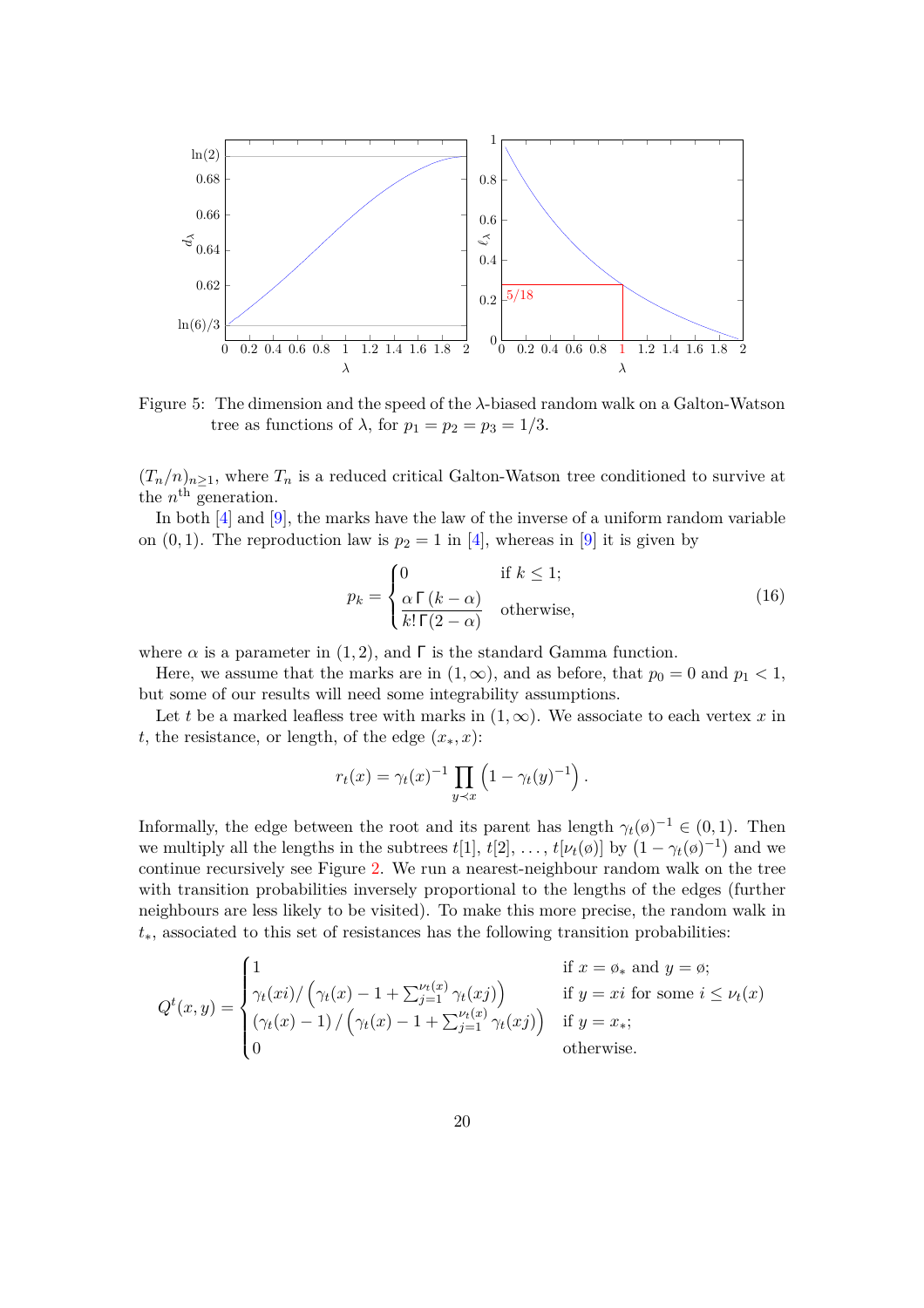

<span id="page-19-0"></span>Figure 5: The dimension and the speed of the *λ*-biased random walk on a Galton-Watson tree as functions of  $\lambda$ , for  $p_1 = p_2 = p_3 = 1/3$ .

 $(T_n/n)_{n\geq 1}$ , where  $T_n$  is a reduced critical Galton-Watson tree conditioned to survive at the  $n^{\text{th}}$  generation.

In both [\[4\]](#page-35-3) and [\[9\]](#page-35-4), the marks have the law of the inverse of a uniform random variable on  $(0, 1)$ . The reproduction law is  $p_2 = 1$  in [\[4\]](#page-35-3), whereas in [\[9\]](#page-35-4) it is given by

<span id="page-19-1"></span>
$$
p_k = \begin{cases} 0 & \text{if } k \le 1; \\ \frac{\alpha \Gamma(k - \alpha)}{k! \Gamma(2 - \alpha)} & \text{otherwise,} \end{cases}
$$
(16)

where  $\alpha$  is a parameter in (1, 2), and  $\Gamma$  is the standard Gamma function.

Here, we assume that the marks are in  $(1, \infty)$ , and as before, that  $p_0 = 0$  and  $p_1 < 1$ , but some of our results will need some integrability assumptions.

Let *t* be a marked leafless tree with marks in  $(1, \infty)$ . We associate to each vertex *x* in *t*, the resistance, or length, of the edge  $(x_*, x)$ :

$$
r_t(x) = \gamma_t(x)^{-1} \prod_{y \prec x} \left(1 - \gamma_t(y)^{-1}\right).
$$

Informally, the edge between the root and its parent has length  $\gamma_t(\phi)^{-1} \in (0,1)$ . Then we multiply all the lengths in the subtrees  $t[1], t[2], \ldots, t[\nu_t(\emptyset)]$  by  $(1 - \gamma_t(\emptyset)^{-1})$  and we continue recursively see Figure [2.](#page-3-0) We run a nearest-neighbour random walk on the tree with transition probabilities inversely proportional to the lengths of the edges (further neighbours are less likely to be visited). To make this more precise, the random walk in *t*∗, associated to this set of resistances has the following transition probabilities:

$$
Q^{t}(x,y) = \begin{cases} 1 & \text{if } x = \emptyset_* \text{ and } y = \emptyset; \\ \gamma_t(xi) / (\gamma_t(x) - 1 + \sum_{j=1}^{\nu_t(x)} \gamma_t(xj)) & \text{if } y = xi \text{ for some } i \leq \nu_t(x) \\ (\gamma_t(x) - 1) / (\gamma_t(x) - 1 + \sum_{j=1}^{\nu_t(x)} \gamma_t(xj)) & \text{if } y = x_*; \\ 0 & \text{otherwise.} \end{cases}
$$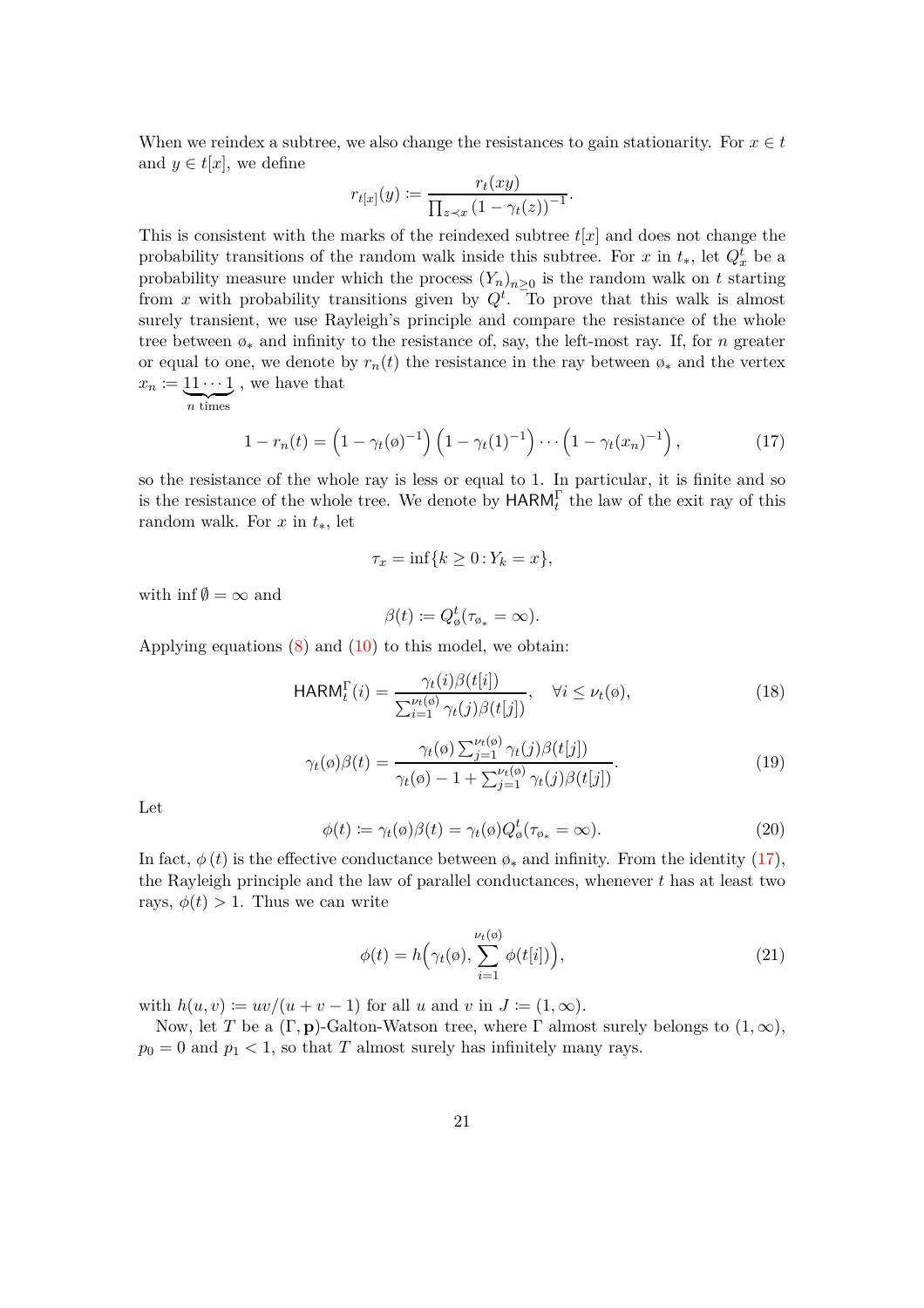When we reindex a subtree, we also change the resistances to gain stationarity. For  $x \in t$ and  $y \in t[x]$ , we define *rt*(*xy*)

$$
r_{t[x]}(y) := \frac{r_t(xy)}{\prod_{z \prec x} (1 - \gamma_t(z))^{-1}}.
$$

This is consistent with the marks of the reindexed subtree  $t[x]$  and does not change the probability transitions of the random walk inside this subtree. For *x* in  $t_*$ , let  $Q_x^t$  be a probability measure under which the process  $(Y_n)_{n\geq 0}$  is the random walk on *t* starting from x with probability transitions given by  $Q^t$ . To prove that this walk is almost surely transient, we use Rayleigh's principle and compare the resistance of the whole tree between ø<sup>∗</sup> and infinity to the resistance of, say, the left-most ray. If, for *n* greater or equal to one, we denote by  $r_n(t)$  the resistance in the ray between  $\phi_*$  and the vertex  $x_n \coloneqq 11 \cdots 1$ , we have that

 $\overline{n}$  times

<span id="page-20-0"></span>
$$
1 - r_n(t) = \left(1 - \gamma_t(\phi)^{-1}\right) \left(1 - \gamma_t(1)^{-1}\right) \cdots \left(1 - \gamma_t(x_n)^{-1}\right),\tag{17}
$$

so the resistance of the whole ray is less or equal to 1. In particular, it is finite and so is the resistance of the whole tree. We denote by  $\mathsf{HARM}^\Gamma_t$  the law of the exit ray of this random walk. For *x* in *t*∗, let

$$
\tau_x = \inf\{k \ge 0 : Y_k = x\},\
$$

with inf  $\emptyset = \infty$  and

<span id="page-20-3"></span>
$$
\beta(t) := Q_{\emptyset}^t(\tau_{\emptyset_*} = \infty).
$$

<span id="page-20-4"></span>Applying equations  $(8)$  and  $(10)$  to this model, we obtain:

$$
\mathsf{HARM}_{t}^{\Gamma}(i) = \frac{\gamma_{t}(i)\beta(t[i])}{\sum_{i=1}^{\nu_{t}(\emptyset)}\gamma_{t}(j)\beta(t[j])}, \quad \forall i \leq \nu_{t}(\emptyset), \tag{18}
$$

$$
\gamma_t(\emptyset)\beta(t) = \frac{\gamma_t(\emptyset)\sum_{j=1}^{\nu_t(\emptyset)}\gamma_t(j)\beta(t[j])}{\gamma_t(\emptyset) - 1 + \sum_{j=1}^{\nu_t(\emptyset)}\gamma_t(j)\beta(t[j])}.\tag{19}
$$

<span id="page-20-2"></span>Let

$$
\phi(t) := \gamma_t(\phi)\beta(t) = \gamma_t(\phi)Q_{\phi}^t(\tau_{\phi_*} = \infty).
$$
\n(20)

In fact,  $\phi(t)$  is the effective conductance between  $\phi_*$  and infinity. From the identity [\(17\)](#page-20-0), the Rayleigh principle and the law of parallel conductances, whenever *t* has at least two rays,  $\phi(t) > 1$ . Thus we can write

<span id="page-20-1"></span>
$$
\phi(t) = h\Big(\gamma_t(\emptyset), \sum_{i=1}^{\nu_t(\emptyset)} \phi(t[i])\Big),\tag{21}
$$

with  $h(u, v) := uv/(u + v - 1)$  for all *u* and *v* in  $J = (1, \infty)$ .

Now, let *T* be a  $(\Gamma, \mathbf{p})$ -Galton-Watson tree, where  $\Gamma$  almost surely belongs to  $(1, \infty)$ ,  $p_0 = 0$  and  $p_1 < 1$ , so that *T* almost surely has infinitely many rays.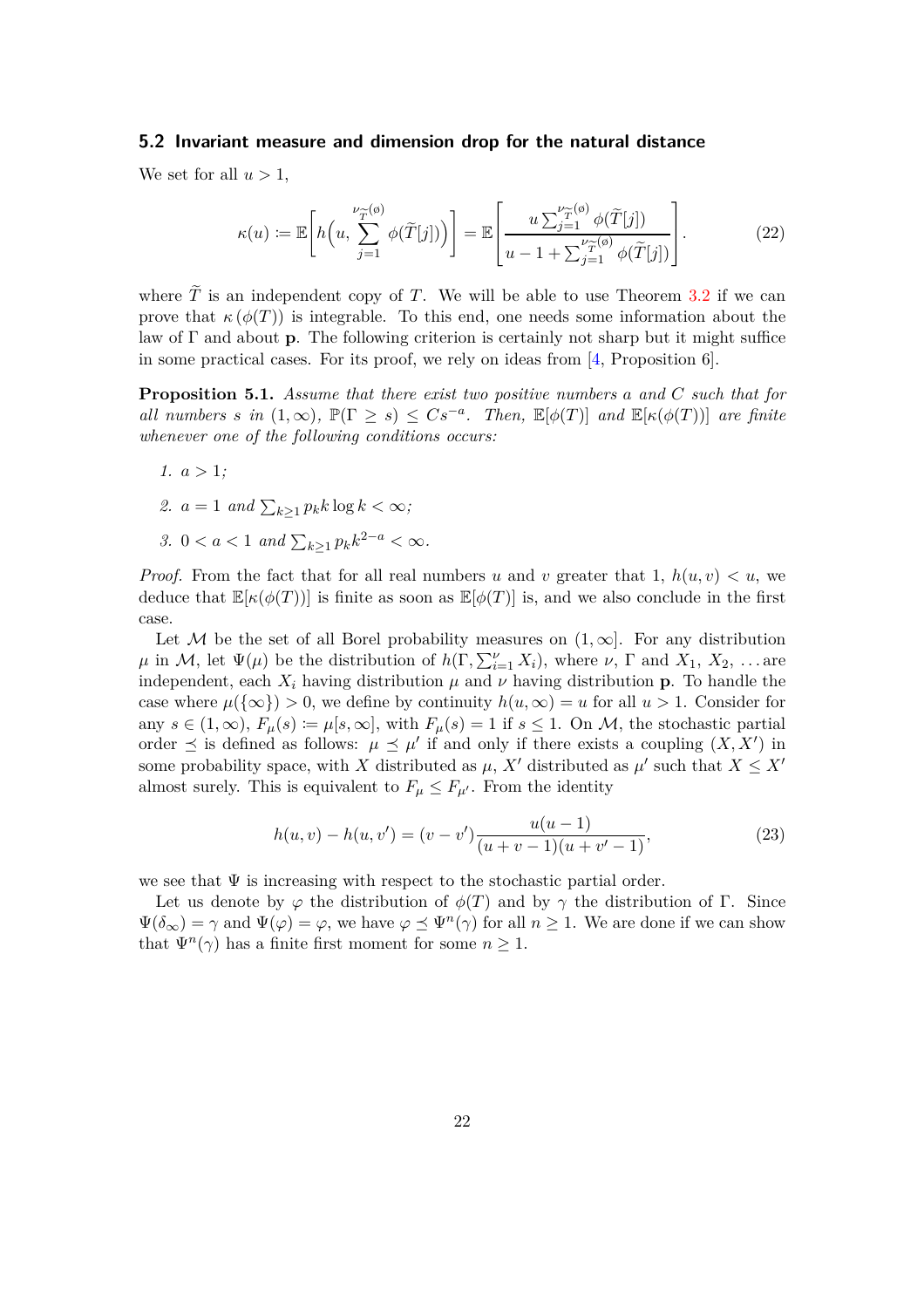### **5.2 Invariant measure and dimension drop for the natural distance**

We set for all  $u > 1$ ,

<span id="page-21-0"></span>
$$
\kappa(u) := \mathbb{E}\left[h\left(u, \sum_{j=1}^{\nu_{\widetilde{T}}(\theta)} \phi(\widetilde{T}[j])\right)\right] = \mathbb{E}\left[\frac{u \sum_{j=1}^{\nu_{\widetilde{T}}(\theta)} \phi(\widetilde{T}[j])}{u - 1 + \sum_{j=1}^{\nu_{\widetilde{T}}(\theta)} \phi(\widetilde{T}[j])}\right].
$$
\n(22)

where  $\tilde{T}$  is an independent copy of *T*. We will be able to use Theorem [3.2](#page-10-0) if we can prove that  $\kappa$  ( $\phi(T)$ ) is integrable. To this end, one needs some information about the law of Γ and about **p**. The following criterion is certainly not sharp but it might suffice in some practical cases. For its proof, we rely on ideas from [\[4,](#page-35-3) Proposition 6].

**Proposition 5.1.** *Assume that there exist two positive numbers a and C such that for all numbers s in*  $(1, \infty)$ ,  $\mathbb{P}(\Gamma \ge s) \le Cs^{-a}$ . Then,  $\mathbb{E}[\phi(T)]$  and  $\mathbb{E}[\kappa(\phi(T))]$  are finite *whenever one of the following conditions occurs:*

- *1. a >* 1*;*
- 2.  $a = 1$  *and*  $\sum_{k \geq 1} p_k k \log k < \infty$ ;
- *3.*  $0 < a < 1$  *and*  $\sum_{k \geq 1} p_k k^{2-a} < \infty$ *.*

*Proof.* From the fact that for all real numbers *u* and *v* greater that 1,  $h(u, v) < u$ , we deduce that  $\mathbb{E}[\kappa(\phi(T))]$  is finite as soon as  $\mathbb{E}[\phi(T)]$  is, and we also conclude in the first case.

Let M be the set of all Borel probability measures on  $(1,\infty]$ . For any distribution *µ* in *M*, let  $\Psi(\mu)$  be the distribution of  $h(\Gamma, \sum_{i=1}^{\nu} X_i)$ , where  $\nu$ ,  $\Gamma$  and  $X_1, X_2, \ldots$  are independent, each  $X_i$  having distribution  $\mu$  and  $\nu$  having distribution **p**. To handle the case where  $\mu({\{\infty\}}) > 0$ , we define by continuity  $h(u, \infty) = u$  for all  $u > 1$ . Consider for any  $s \in (1,\infty)$ ,  $F_\mu(s) := \mu[s,\infty]$ , with  $F_\mu(s) = 1$  if  $s \leq 1$ . On M, the stochastic partial order  $\preceq$  is defined as follows:  $\mu \preceq \mu'$  if and only if there exists a coupling  $(X, X')$  in some probability space, with *X* distributed as  $\mu$ , *X'* distributed as  $\mu'$  such that  $X \leq X'$ almost surely. This is equivalent to  $F_{\mu} \leq F_{\mu'}$ . From the identity

$$
h(u, v) - h(u, v') = (v - v') \frac{u(u - 1)}{(u + v - 1)(u + v' - 1)},
$$
\n(23)

we see that  $\Psi$  is increasing with respect to the stochastic partial order.

Let us denote by  $\varphi$  the distribution of  $\phi(T)$  and by  $\gamma$  the distribution of Γ. Since  $\Psi(\delta_{\infty}) = \gamma$  and  $\Psi(\varphi) = \varphi$ , we have  $\varphi \preceq \Psi^{n}(\gamma)$  for all  $n \geq 1$ . We are done if we can show that  $\Psi^{n}(\gamma)$  has a finite first moment for some  $n \geq 1$ .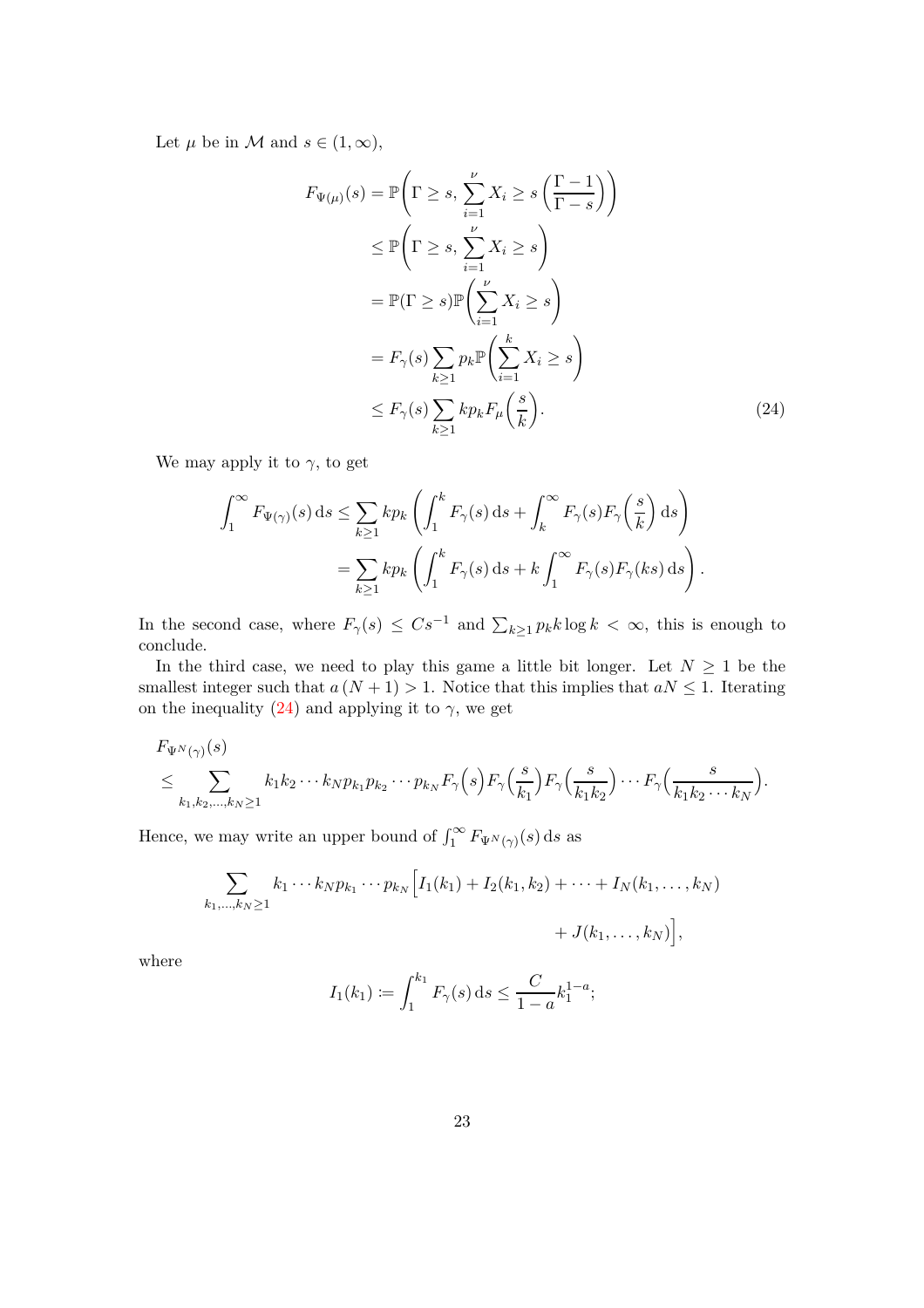Let  $\mu$  be in M and  $s \in (1, \infty)$ ,

<span id="page-22-0"></span>
$$
F_{\Psi(\mu)}(s) = \mathbb{P}\left(\Gamma \ge s, \sum_{i=1}^{\nu} X_i \ge s \left(\frac{\Gamma - 1}{\Gamma - s}\right)\right)
$$
  
\n
$$
\le \mathbb{P}\left(\Gamma \ge s, \sum_{i=1}^{\nu} X_i \ge s\right)
$$
  
\n
$$
= \mathbb{P}(\Gamma \ge s) \mathbb{P}\left(\sum_{i=1}^{\nu} X_i \ge s\right)
$$
  
\n
$$
= F_{\gamma}(s) \sum_{k \ge 1} p_k \mathbb{P}\left(\sum_{i=1}^k X_i \ge s\right)
$$
  
\n
$$
\le F_{\gamma}(s) \sum_{k \ge 1} k p_k F_{\mu}\left(\frac{s}{k}\right).
$$
 (24)

We may apply it to  $\gamma$ , to get

$$
\int_{1}^{\infty} F_{\Psi(\gamma)}(s) ds \le \sum_{k \ge 1} k p_k \left( \int_{1}^{k} F_{\gamma}(s) ds + \int_{k}^{\infty} F_{\gamma}(s) F_{\gamma}\left(\frac{s}{k}\right) ds \right)
$$
  
= 
$$
\sum_{k \ge 1} k p_k \left( \int_{1}^{k} F_{\gamma}(s) ds + k \int_{1}^{\infty} F_{\gamma}(s) F_{\gamma}(ks) ds \right).
$$

In the second case, where  $F_\gamma(s) \leq Cs^{-1}$  and  $\sum_{k\geq 1} p_k k \log k < \infty$ , this is enough to conclude.

In the third case, we need to play this game a little bit longer. Let  $N \geq 1$  be the smallest integer such that  $a(N + 1) > 1$ . Notice that this implies that  $aN \leq 1$ . Iterating on the inequality [\(24\)](#page-22-0) and applying it to  $\gamma$ , we get

$$
F_{\Psi^N(\gamma)}(s)
$$
  
\n
$$
\leq \sum_{k_1,k_2,\dots,k_N\geq 1} k_1k_2\cdots k_N p_{k_1}p_{k_2}\cdots p_{k_N}F_{\gamma}(s)F_{\gamma}\Big(\frac{s}{k_1}\Big)F_{\gamma}\Big(\frac{s}{k_1k_2}\Big)\cdots F_{\gamma}\Big(\frac{s}{k_1k_2\cdots k_N}\Big).
$$

Hence, we may write an upper bound of  $\int_1^\infty F_{\Psi^N(\gamma)}(s) \, ds$  as

$$
\sum_{k_1,\dots,k_N\geq 1} k_1\cdots k_N p_{k_1}\cdots p_{k_N} \Big[ I_1(k_1) + I_2(k_1,k_2) + \cdots + I_N(k_1,\dots,k_N) + J(k_1,\dots,k_N) \Big],
$$

where

$$
I_1(k_1) := \int_1^{k_1} F_{\gamma}(s) \, ds \le \frac{C}{1 - a} k_1^{1 - a};
$$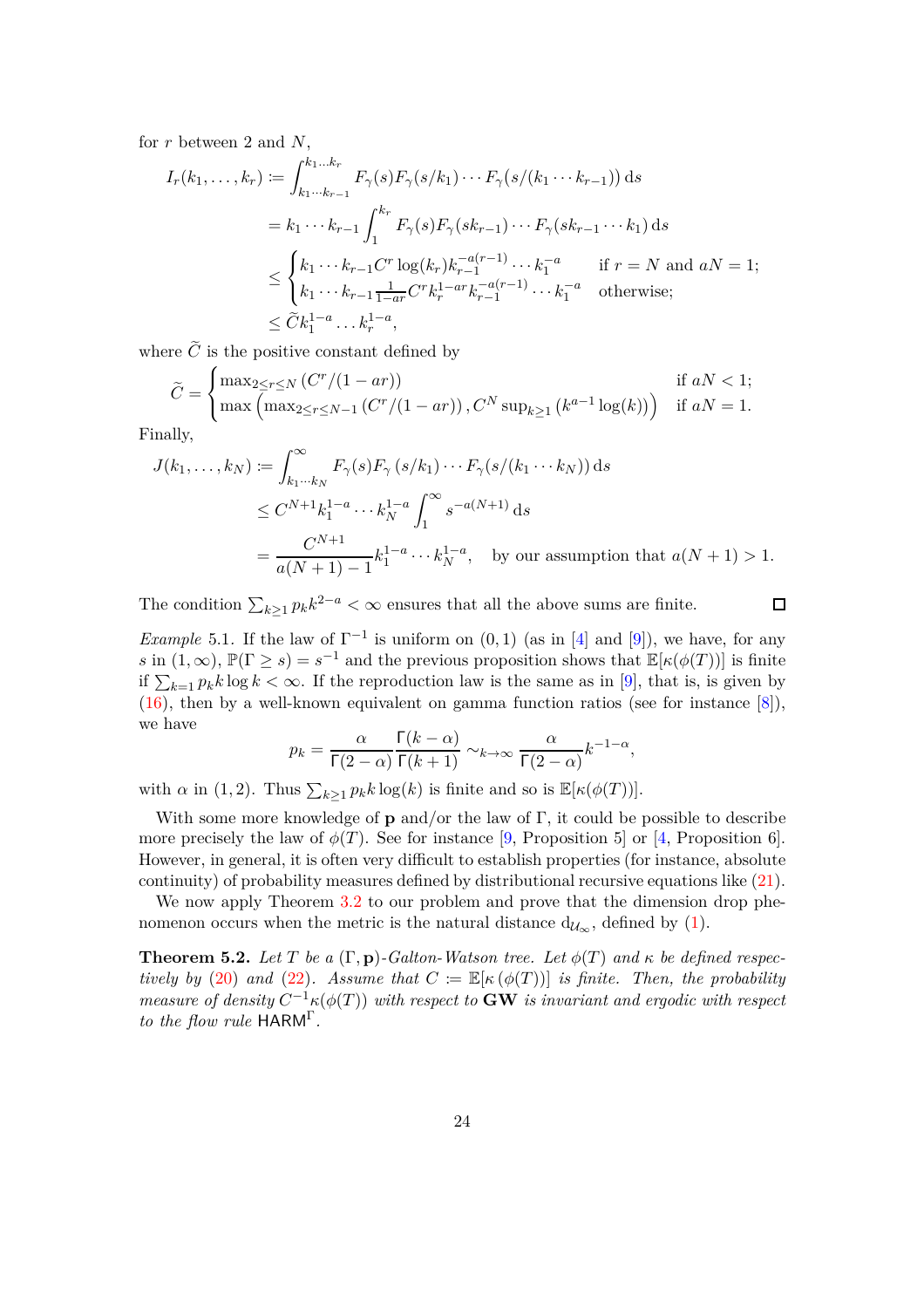for *r* between 2 and *N*,

$$
I_r(k_1, \ldots, k_r) := \int_{k_1 \cdots k_{r-1}}^{k_1 \cdots k_r} F_{\gamma}(s) F_{\gamma}(s/k_1) \cdots F_{\gamma}(s/(k_1 \cdots k_{r-1})) ds
$$
  
\n
$$
= k_1 \cdots k_{r-1} \int_1^{k_r} F_{\gamma}(s) F_{\gamma}(s k_{r-1}) \cdots F_{\gamma}(s k_{r-1} \cdots k_1) ds
$$
  
\n
$$
\leq \begin{cases} k_1 \cdots k_{r-1} C^r \log(k_r) k_{r-1}^{-a(r-1)} \cdots k_1^{-a} & \text{if } r = N \text{ and } aN = 1; \\ k_1 \cdots k_{r-1} \frac{1}{1-ar} C^r k_r^{1-ar} k_{r-1}^{-a(r-1)} \cdots k_1^{-a} & \text{otherwise;} \\ \leq \tilde{C} k_1^{1-a} \cdots k_r^{1-a}, \end{cases}
$$

where  $\tilde{C}$  is the positive constant defined by

$$
\widetilde{C} = \begin{cases}\n\max_{2 \le r \le N} \left( C^r / (1 - ar) \right) & \text{if } aN < 1; \\
\max \left( \max_{2 \le r \le N-1} \left( C^r / (1 - ar) \right), C^N \sup_{k \ge 1} \left( k^{a-1} \log(k) \right) \right) & \text{if } aN = 1.\n\end{cases}
$$

Finally,

$$
J(k_1, ..., k_N) := \int_{k_1...k_N}^{\infty} F_{\gamma}(s) F_{\gamma}(s/k_1) \cdots F_{\gamma}(s/(k_1...k_N)) ds
$$
  
\n
$$
\leq C^{N+1} k_1^{1-a} \cdots k_N^{1-a} \int_1^{\infty} s^{-a(N+1)} ds
$$
  
\n
$$
= \frac{C^{N+1}}{a(N+1) - 1} k_1^{1-a} \cdots k_N^{1-a}, \text{ by our assumption that } a(N+1) > 1.
$$

 $\Box$ 

The condition  $\sum_{k\geq 1} p_k k^{2-a} < \infty$  ensures that all the above sums are finite.

*Example* 5.1. If the law of  $\Gamma^{-1}$  is uniform on  $(0,1)$  (as in [\[4\]](#page-35-3) and [\[9\]](#page-35-4)), we have, for any *s* in  $(1, \infty)$ ,  $\mathbb{P}(\Gamma \ge s) = s^{-1}$  and the previous proposition shows that  $\mathbb{E}[\kappa(\phi(T))]$  is finite if  $\sum_{k=1} p_k k \log k < \infty$ . If the reproduction law is the same as in [\[9\]](#page-35-4), that is, is given by  $(16)$ , then by a well-known equivalent on gamma function ratios (see for instance  $[8]$ ), we have

$$
p_k = \frac{\alpha}{\Gamma(2-\alpha)} \frac{\Gamma(k-\alpha)}{\Gamma(k+1)} \sim_{k \to \infty} \frac{\alpha}{\Gamma(2-\alpha)} k^{-1-\alpha},
$$

with  $\alpha$  in (1,2). Thus  $\sum_{k\geq 1} p_k k \log(k)$  is finite and so is  $\mathbb{E}[\kappa(\phi(T))].$ 

With some more knowledge of **p** and/or the law of Γ, it could be possible to describe more precisely the law of  $\phi(T)$ . See for instance [\[9,](#page-35-4) Proposition 5] or [\[4,](#page-35-3) Proposition 6]. However, in general, it is often very difficult to establish properties (for instance, absolute continuity) of probability measures defined by distributional recursive equations like [\(21\)](#page-20-1).

<span id="page-23-0"></span>We now apply Theorem [3.2](#page-10-0) to our problem and prove that the dimension drop phenomenon occurs when the metric is the natural distance  $d_{\mathcal{U}_{\infty}}$ , defined by [\(1\)](#page-5-1).

**Theorem 5.2.** Let T be a  $(\Gamma, \mathbf{p})$ -Galton-Watson tree. Let  $\phi(T)$  and  $\kappa$  be defined respec*tively by* [\(20\)](#page-20-2) *and* [\(22\)](#page-21-0)*.* Assume that  $C := \mathbb{E}[\kappa(\phi(T))]$  *is finite. Then, the probability measure of density*  $C^{-1} \kappa(\phi(T))$  *with respect to* **GW** *is invariant and ergodic with respect to the flow rule* HARM<sup>Γ</sup> *.*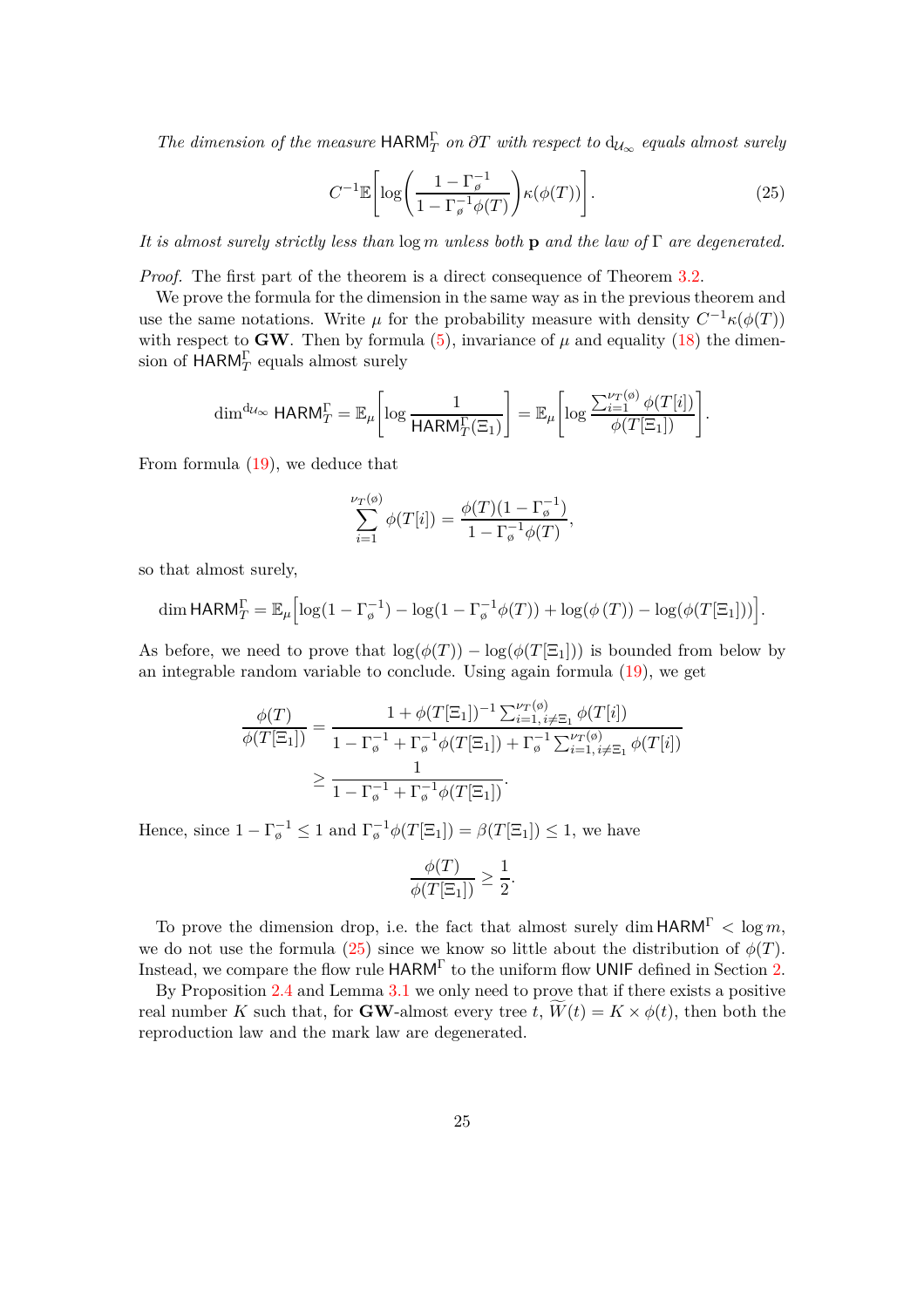*The dimension of the measure*  $\text{HARM}_{T}^{\Gamma}$  *on*  $\partial T$  *with respect to*  $d_{\mathcal{U}_{\infty}}$  *equals almost surely* 

<span id="page-24-0"></span>
$$
C^{-1}\mathbb{E}\left[\log\left(\frac{1-\Gamma_{\theta}^{-1}}{1-\Gamma_{\theta}^{-1}\phi(T)}\right)\kappa(\phi(T))\right].
$$
\n(25)

*It is almost surely strictly less than* log *m unless both* **p** *and the law of* Γ *are degenerated.*

*Proof.* The first part of the theorem is a direct consequence of Theorem [3.2.](#page-10-0)

We prove the formula for the dimension in the same way as in the previous theorem and use the same notations. Write  $\mu$  for the probability measure with density  $C^{-1}\kappa(\phi(T))$ with respect to **GW**. Then by formula  $(5)$ , invariance of  $\mu$  and equality  $(18)$  the dimension of  ${\sf HARM}_{T}^{\Gamma}$  equals almost surely

$$
\dim^{d_{\mathcal{U}_{\infty}}} \textsf{HARM}_{T}^{\Gamma} = \mathbb{E}_{\mu} \bigg[ \log \frac{1}{\textsf{HARM}_{T}^{\Gamma}(\Xi_{1})} \bigg] = \mathbb{E}_{\mu} \bigg[ \log \frac{\sum_{i=1}^{\nu_{T}(\emptyset)} \phi(T[i])}{\phi(T[\Xi_{1}])} \bigg].
$$

From formula [\(19\)](#page-20-4), we deduce that

$$
\sum_{i=1}^{\nu_T(\phi)} \phi(T[i]) = \frac{\phi(T)(1 - \Gamma_{\phi}^{-1})}{1 - \Gamma_{\phi}^{-1}\phi(T)},
$$

so that almost surely,

$$
\dim \text{HARM}_{T}^{\Gamma} = \mathbb{E}_{\mu} \Big[ \log(1 - \Gamma_{\emptyset}^{-1}) - \log(1 - \Gamma_{\emptyset}^{-1} \phi(T)) + \log(\phi(T)) - \log(\phi(T[\Xi_1])) \Big].
$$

As before, we need to prove that  $\log(\phi(T)) - \log(\phi(T[\Xi_1]))$  is bounded from below by an integrable random variable to conclude. Using again formula [\(19\)](#page-20-4), we get

$$
\frac{\phi(T)}{\phi(T[\Xi_1])} = \frac{1 + \phi(T[\Xi_1])^{-1} \sum_{i=1, i \neq \Xi_1}^{\nu_T(\phi)} \phi(T[i])}{1 - \Gamma_{\phi}^{-1} + \Gamma_{\phi}^{-1} \phi(T[\Xi_1]) + \Gamma_{\phi}^{-1} \sum_{i=1, i \neq \Xi_1}^{\nu_T(\phi)} \phi(T[i])}
$$
\n
$$
\geq \frac{1}{1 - \Gamma_{\phi}^{-1} + \Gamma_{\phi}^{-1} \phi(T[\Xi_1])}.
$$

Hence, since  $1 - \Gamma_{\emptyset}^{-1} \leq 1$  and  $\Gamma_{\emptyset}^{-1} \phi(T[\Xi_1]) = \beta(T[\Xi_1]) \leq 1$ , we have

$$
\frac{\phi(T)}{\phi(T[\Xi_1])} \ge \frac{1}{2}.
$$

To prove the dimension drop, i.e. the fact that almost surely  $\dim$  **HARM<sup>T</sup>**  $\lt$  log *m*, we do not use the formula [\(25\)](#page-24-0) since we know so little about the distribution of  $\phi(T)$ . Instead, we compare the flow rule  $\mathsf{HARM}^\Gamma$  to the uniform flow UNIF defined in Section [2.](#page-4-0)

By Proposition [2.4](#page-9-1) and Lemma [3.1](#page-9-2) we only need to prove that if there exists a positive real number *K* such that, for **GW**-almost every tree *t*,  $\widetilde{W}(t) = K \times \phi(t)$ , then both the reproduction law and the mark law are degenerated.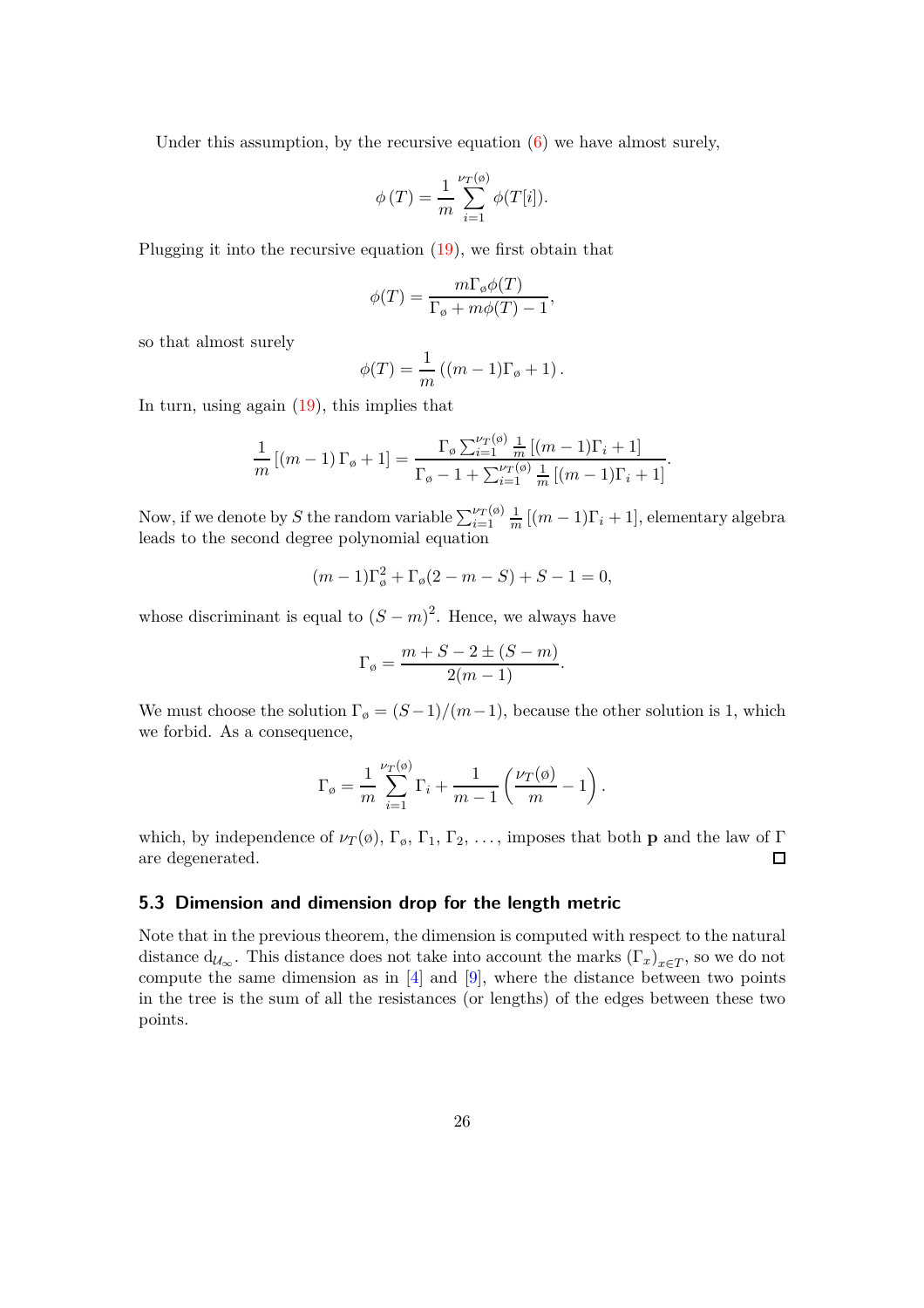Under this assumption, by the recursive equation  $(6)$  we have almost surely,

$$
\phi(T) = \frac{1}{m} \sum_{i=1}^{\nu_T(\phi)} \phi(T[i]).
$$

Plugging it into the recursive equation [\(19\)](#page-20-4), we first obtain that

$$
\phi(T) = \frac{m\Gamma_{\varphi}\phi(T)}{\Gamma_{\varphi} + m\phi(T) - 1},
$$

so that almost surely

$$
\phi(T) = \frac{1}{m} ((m-1)\Gamma_{\emptyset} + 1).
$$

In turn, using again [\(19\)](#page-20-4), this implies that

$$
\frac{1}{m}[(m-1)\Gamma_{\emptyset}+1]=\frac{\Gamma_{\emptyset}\sum_{i=1}^{\nu_T(\emptyset)}\frac{1}{m}[(m-1)\Gamma_i+1]}{\Gamma_{\emptyset}-1+\sum_{i=1}^{\nu_T(\emptyset)}\frac{1}{m}[(m-1)\Gamma_i+1]}.
$$

Now, if we denote by *S* the random variable  $\sum_{i=1}^{\nu_T(\emptyset)} \frac{1}{m} [(m-1)\Gamma_i + 1]$ , elementary algebra leads to the second degree polynomial equation

$$
(m-1)\Gamma_{\emptyset}^{2} + \Gamma_{\emptyset}(2 - m - S) + S - 1 = 0,
$$

whose discriminant is equal to  $(S - m)^2$ . Hence, we always have

$$
\Gamma_{\emptyset} = \frac{m + S - 2 \pm (S - m)}{2(m - 1)}.
$$

We must choose the solution  $\Gamma_{\phi} = (S-1)/(m-1)$ , because the other solution is 1, which we forbid. As a consequence,

$$
\Gamma_{\emptyset} = \frac{1}{m} \sum_{i=1}^{\nu_T(\emptyset)} \Gamma_i + \frac{1}{m-1} \left( \frac{\nu_T(\emptyset)}{m} - 1 \right).
$$

which, by independence of  $\nu_T(\emptyset)$ ,  $\Gamma_{\emptyset}$ ,  $\Gamma_1$ ,  $\Gamma_2$ , ..., imposes that both **p** and the law of Γ are degenerated.  $\Box$ 

### **5.3 Dimension and dimension drop for the length metric**

Note that in the previous theorem, the dimension is computed with respect to the natural distance  $d_{\mathcal{U}_{\infty}}$ . This distance does not take into account the marks  $(\Gamma_x)_{x \in T}$ , so we do not compute the same dimension as in [\[4\]](#page-35-3) and [\[9\]](#page-35-4), where the distance between two points in the tree is the sum of all the resistances (or lengths) of the edges between these two points.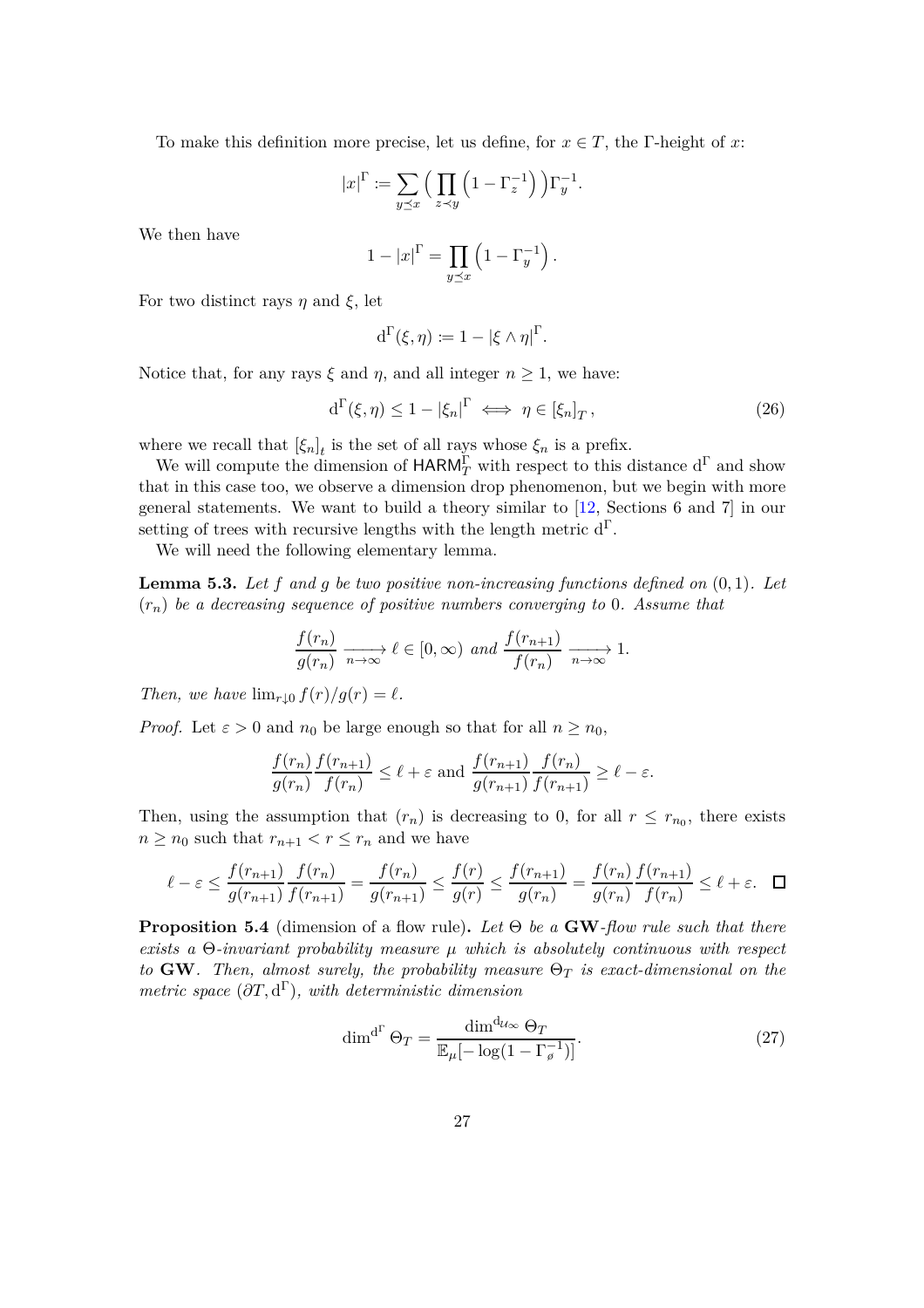To make this definition more precise, let us define, for  $x \in T$ , the Γ-height of *x*:

$$
|x|^{\Gamma} := \sum_{y \preceq x} \Big( \prod_{z \prec y} \Big( 1 - \Gamma_z^{-1} \Big) \Big) \Gamma_y^{-1}.
$$

We then have

$$
1 - |x|^{\Gamma} = \prod_{y \preceq x} \left( 1 - \Gamma_y^{-1} \right).
$$

For two distinct rays  $\eta$  and  $\xi$ , let

$$
d^{\Gamma}(\xi,\eta) \coloneqq 1 - |\xi \wedge \eta|^{\Gamma}.
$$

Notice that, for any rays  $\xi$  and  $\eta$ , and all integer  $n \geq 1$ , we have:

$$
d^{\Gamma}(\xi,\eta) \le 1 - |\xi_n|^{\Gamma} \iff \eta \in [\xi_n]_T, \tag{26}
$$

where we recall that  $[\xi_n]_t$  is the set of all rays whose  $\xi_n$  is a prefix.

We will compute the dimension of  ${\sf HARM}_{T}^{\Gamma}$  with respect to this distance  $\text{d}^{\Gamma}$  and show that in this case too, we observe a dimension drop phenomenon, but we begin with more general statements. We want to build a theory similar to [\[12,](#page-35-0) Sections 6 and 7] in our setting of trees with recursive lengths with the length metric  $d^{\Gamma}$ .

We will need the following elementary lemma.

**Lemma 5.3.** *Let f and g be two positive non-increasing functions defined on* (0*,* 1)*. Let* (*rn*) *be a decreasing sequence of positive numbers converging to* 0*. Assume that*

$$
\frac{f(r_n)}{g(r_n)} \xrightarrow[n \to \infty]{} \ell \in [0, \infty) \text{ and } \frac{f(r_{n+1})}{f(r_n)} \xrightarrow[n \to \infty]{} 1.
$$

*Then, we have*  $\lim_{r\downarrow 0} f(r)/g(r) = \ell$ .

*Proof.* Let  $\varepsilon > 0$  and  $n_0$  be large enough so that for all  $n \geq n_0$ ,

$$
\frac{f(r_n)}{g(r_n)} \frac{f(r_{n+1})}{f(r_n)} \le \ell + \varepsilon \text{ and } \frac{f(r_{n+1})}{g(r_{n+1})} \frac{f(r_n)}{f(r_{n+1})} \ge \ell - \varepsilon.
$$

Then, using the assumption that  $(r_n)$  is decreasing to 0, for all  $r \leq r_{n_0}$ , there exists  $n \geq n_0$  such that  $r_{n+1} < r \leq r_n$  and we have

$$
\ell - \varepsilon \le \frac{f(r_{n+1})}{g(r_{n+1})} \frac{f(r_n)}{f(r_{n+1})} = \frac{f(r_n)}{g(r_{n+1})} \le \frac{f(r)}{g(r)} \le \frac{f(r_{n+1})}{g(r_n)} = \frac{f(r_n)}{g(r_n)} \frac{f(r_{n+1})}{f(r_n)} \le \ell + \varepsilon. \quad \Box
$$

<span id="page-26-0"></span>**Proposition 5.4** (dimension of a flow rule)**.** *Let* Θ *be a* **GW***-flow rule such that there exists a* Θ*-invariant probability measure µ which is absolutely continuous with respect to* **GW***. Then, almost surely, the probability measure*  $\Theta_T$  *is exact-dimensional on the metric space*  $(\partial T, d^{\Gamma})$ *, with deterministic dimension* 

<span id="page-26-1"></span>
$$
\dim^{\mathbf{d}^{\Gamma}} \Theta_T = \frac{\dim^{d_{\mathcal{U}_{\infty}}} \Theta_T}{\mathbb{E}_{\mu}[-\log(1 - \Gamma_{\beta}^{-1})]}.
$$
\n(27)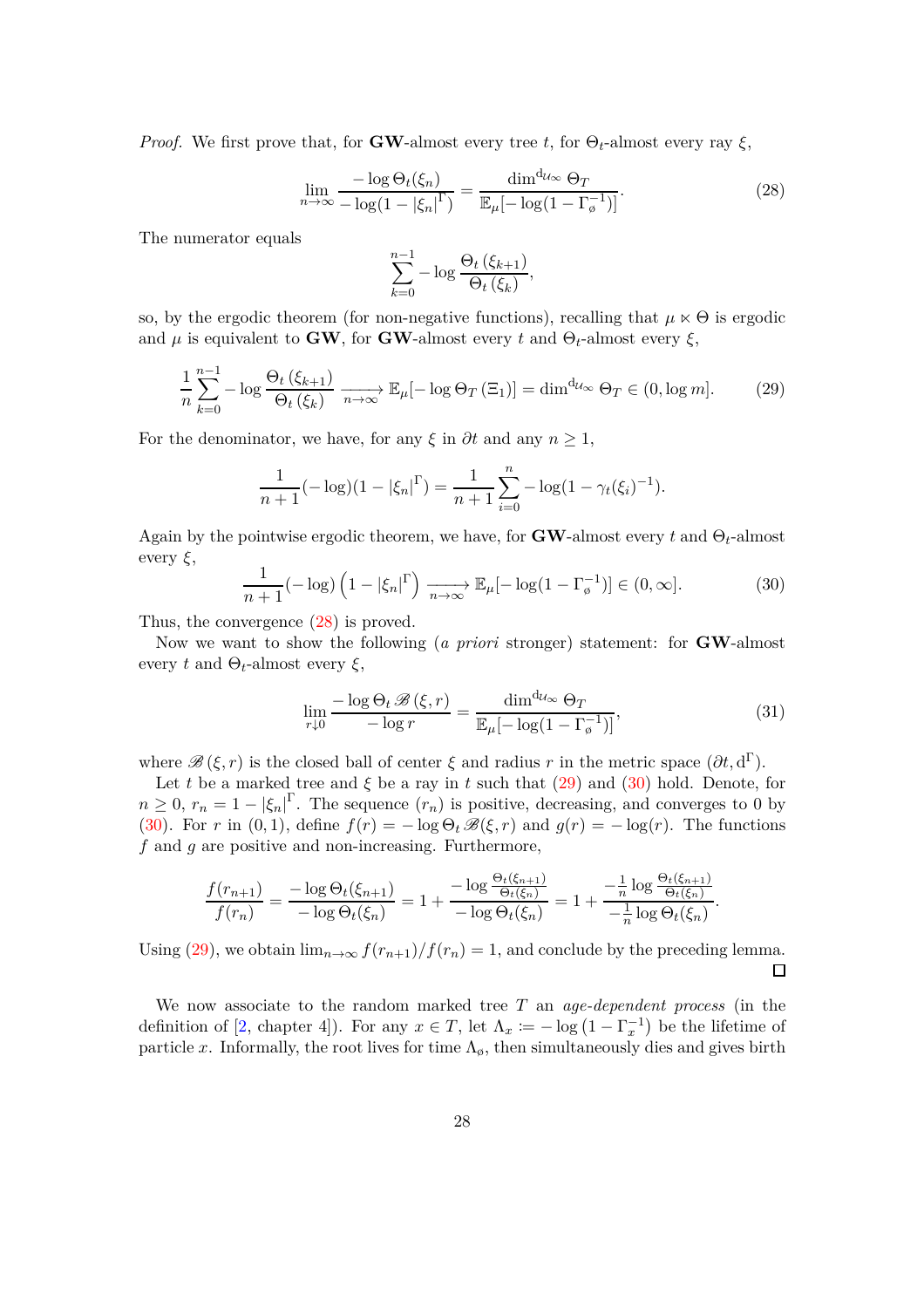*Proof.* We first prove that, for **GW**-almost every tree *t*, for  $\Theta_t$ -almost every ray  $\xi$ ,

$$
\lim_{n \to \infty} \frac{-\log \Theta_t(\xi_n)}{-\log(1 - |\xi_n|^{\Gamma})} = \frac{\dim^{d_{\mathcal{U}_{\infty}}} \Theta_T}{\mathbb{E}_{\mu}[-\log(1 - \Gamma_{\varnothing}^{-1})]}.
$$
\n(28)

The numerator equals

<span id="page-27-1"></span><span id="page-27-0"></span>
$$
\sum_{k=0}^{n-1} -\log \frac{\Theta_t(\xi_{k+1})}{\Theta_t(\xi_k)},
$$

so, by the ergodic theorem (for non-negative functions), recalling that  $\mu \times \Theta$  is ergodic and  $\mu$  is equivalent to **GW**, for **GW**-almost every *t* and  $\Theta_t$ -almost every  $\xi$ ,

$$
\frac{1}{n}\sum_{k=0}^{n-1} -\log \frac{\Theta_t(\xi_{k+1})}{\Theta_t(\xi_k)} \xrightarrow[n \to \infty]{} \mathbb{E}_{\mu}[-\log \Theta_T(\Xi_1)] = \dim^{d_{\mathcal{U}_{\infty}}} \Theta_T \in (0, \log m]. \tag{29}
$$

For the denominator, we have, for any  $\xi$  in  $\partial t$  and any  $n \geq 1$ ,

$$
\frac{1}{n+1}(-\log)(1-|\xi_n|^{\Gamma}) = \frac{1}{n+1}\sum_{i=0}^{n} -\log(1-\gamma_t(\xi_i)^{-1}).
$$

Again by the pointwise ergodic theorem, we have, for **GW**-almost every *t* and Θ*t*-almost every *ξ*,

<span id="page-27-2"></span>
$$
\frac{1}{n+1}(-\log)\left(1-|\xi_n|^{\Gamma}\right) \xrightarrow[n \to \infty]{} \mathbb{E}_{\mu}[-\log(1-\Gamma_{\varnothing}^{-1})] \in (0,\infty].
$$
 (30)

Thus, the convergence [\(28\)](#page-27-0) is proved.

Now we want to show the following (*a priori* stronger) statement: for **GW**-almost every *t* and  $\Theta_t$ -almost every  $\xi$ ,

$$
\lim_{r \downarrow 0} \frac{-\log \Theta_t \mathcal{B}(\xi, r)}{-\log r} = \frac{\dim^{d_{\mathcal{U}_{\infty}}} \Theta_T}{\mathbb{E}_{\mu}[-\log(1 - \Gamma_{\varnothing}^{-1})]},
$$
\n(31)

*.*

where  $\mathscr{B}(\xi, r)$  is the closed ball of center  $\xi$  and radius  $r$  in the metric space  $(\partial t, d^{\Gamma})$ .

Let *t* be a marked tree and  $\xi$  be a ray in *t* such that [\(29\)](#page-27-1) and [\(30\)](#page-27-2) hold. Denote, for  $n \geq 0$ ,  $r_n = 1 - |\xi_n|^{\Gamma}$ . The sequence  $(r_n)$  is positive, decreasing, and converges to 0 by [\(30\)](#page-27-2). For *r* in  $(0,1)$ , define  $f(r) = -\log \Theta_t \mathscr{B}(\xi, r)$  and  $g(r) = -\log(r)$ . The functions *f* and *g* are positive and non-increasing. Furthermore,

$$
\frac{f(r_{n+1})}{f(r_n)} = \frac{-\log \Theta_t(\xi_{n+1})}{-\log \Theta_t(\xi_n)} = 1 + \frac{-\log \frac{\Theta_t(\xi_{n+1})}{\Theta_t(\xi_n)}}{-\log \Theta_t(\xi_n)} = 1 + \frac{-\frac{1}{n} \log \frac{\Theta_t(\xi_{n+1})}{\Theta_t(\xi_n)}}{-\frac{1}{n} \log \Theta_t(\xi_n)}
$$

Using [\(29\)](#page-27-1), we obtain  $\lim_{n\to\infty} f(r_{n+1})/f(r_n) = 1$ , and conclude by the preceding lemma.  $\Box$ 

We now associate to the random marked tree *T* an *age-dependent process* (in the definition of [\[2,](#page-35-12) chapter 4]). For any  $x \in T$ , let  $\Lambda_x := -\log(1 - \Gamma_x^{-1})$  be the lifetime of particle *x*. Informally, the root lives for time  $\Lambda_{\phi}$ , then simultaneously dies and gives birth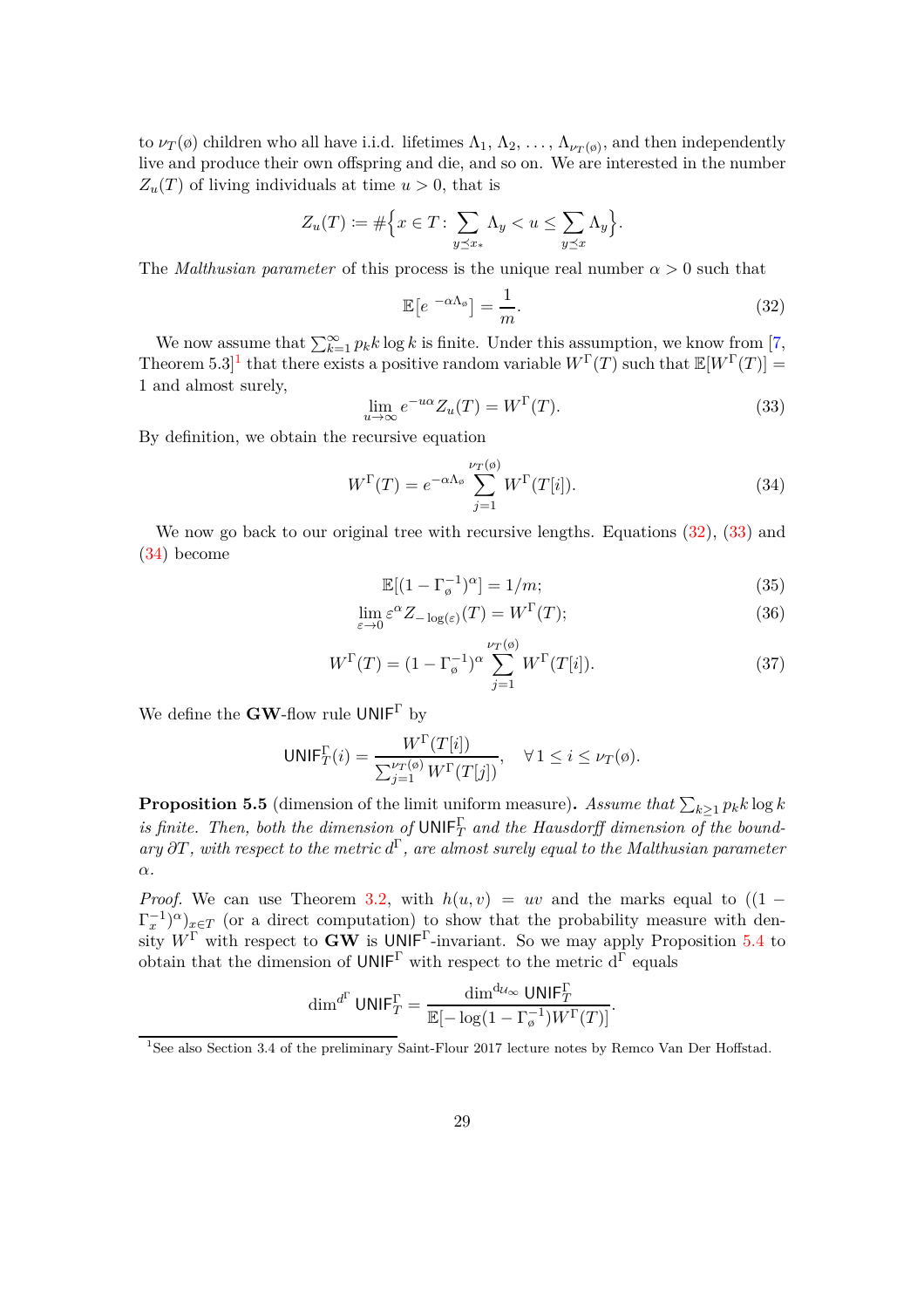to  $\nu_T(\emptyset)$  children who all have i.i.d. lifetimes  $\Lambda_1, \Lambda_2, \ldots, \Lambda_{\nu_T(\emptyset)}$ , and then independently live and produce their own offspring and die, and so on. We are interested in the number  $Z_u(T)$  of living individuals at time  $u > 0$ , that is

$$
Z_u(T):=\#\Big\{x\in T\colon \sum_{y\preceq x_*}\Lambda_y
$$

The *Malthusian parameter* of this process is the unique real number *α >* 0 such that

<span id="page-28-2"></span>
$$
\mathbb{E}\left[e^{-\alpha\Lambda_{\phi}}\right] = \frac{1}{m}.\tag{32}
$$

We now assume that  $\sum_{k=1}^{\infty} p_k k \log k$  is finite. Under this assumption, we know from [\[7,](#page-35-13) Theorem 5.3<sup>|[1](#page-28-1)</sup> that there exists a positive random variable  $W^{\Gamma}(T)$  such that  $\mathbb{E}[W^{\Gamma}(T)] =$ 1 and almost surely,

<span id="page-28-4"></span><span id="page-28-3"></span>
$$
\lim_{u \to \infty} e^{-u\alpha} Z_u(T) = W^{\Gamma}(T). \tag{33}
$$

By definition, we obtain the recursive equation

$$
W^{\Gamma}(T) = e^{-\alpha \Lambda_{\varphi}} \sum_{j=1}^{\nu_T(\varphi)} W^{\Gamma}(T[i]). \qquad (34)
$$

We now go back to our original tree with recursive lengths. Equations  $(32)$ ,  $(33)$  and [\(34\)](#page-28-4) become

<span id="page-28-6"></span><span id="page-28-5"></span>
$$
\mathbb{E}[(1-\Gamma_{\emptyset}^{-1})^{\alpha}] = 1/m; \tag{35}
$$

$$
\lim_{\varepsilon \to 0} \varepsilon^{\alpha} Z_{-\log(\varepsilon)}(T) = W^{\Gamma}(T); \tag{36}
$$

$$
W^{\Gamma}(T) = (1 - \Gamma_{\emptyset}^{-1})^{\alpha} \sum_{j=1}^{\nu_T(\emptyset)} W^{\Gamma}(T[i]).
$$
\n(37)

We define the **GW**-flow rule UNIF<sup>Γ</sup> by

$$
\mathsf{UNIF}_T^{\Gamma}(i) = \frac{W^{\Gamma}(T[i])}{\sum_{j=1}^{\nu_T(\emptyset)} W^{\Gamma}(T[j])}, \quad \forall \, 1 \leq i \leq \nu_T(\emptyset).
$$

<span id="page-28-0"></span>**Proposition 5.5** (dimension of the limit uniform measure). Assume that  $\sum_{k\geq 1} p_k k \log k$ *is finite. Then, both the dimension of*  $\text{UNIF}_T^{\Gamma}$  *and the Hausdorff dimension of the boundary ∂T, with respect to the metric d* <sup>Γ</sup>*, are almost surely equal to the Malthusian parameter α.*

*Proof.* We can use Theorem [3.2,](#page-10-0) with  $h(u, v) = uv$  and the marks equal to ((1 −  $(\Gamma_x^{-1})^{\alpha})_{x \in T}$  (or a direct computation) to show that the probability measure with density  $W^{\Gamma}$  with respect to **GW** is  $UNIF^{\Gamma}$ -invariant. So we may apply Proposition [5.4](#page-26-0) to obtain that the dimension of  $\text{UNIF}^{\Gamma}$  with respect to the metric  $d^{\Gamma}$  equals

$$
\dim^{d^{\Gamma}} \textsf{UNIF}_{T}^{\Gamma} = \frac{\dim^{d_{\mathcal{U}_{\infty}}} \textsf{UNIF}_{T}^{\Gamma}}{\mathbb{E}[-\log(1-\Gamma_{\varnothing}^{-1})W^{\Gamma}(T)]}.
$$

<span id="page-28-1"></span> $^{1}\mathrm{See}$  also Section 3.4 of the preliminary Saint-Flour 2017 lecture notes by Remco Van Der Hoffstad.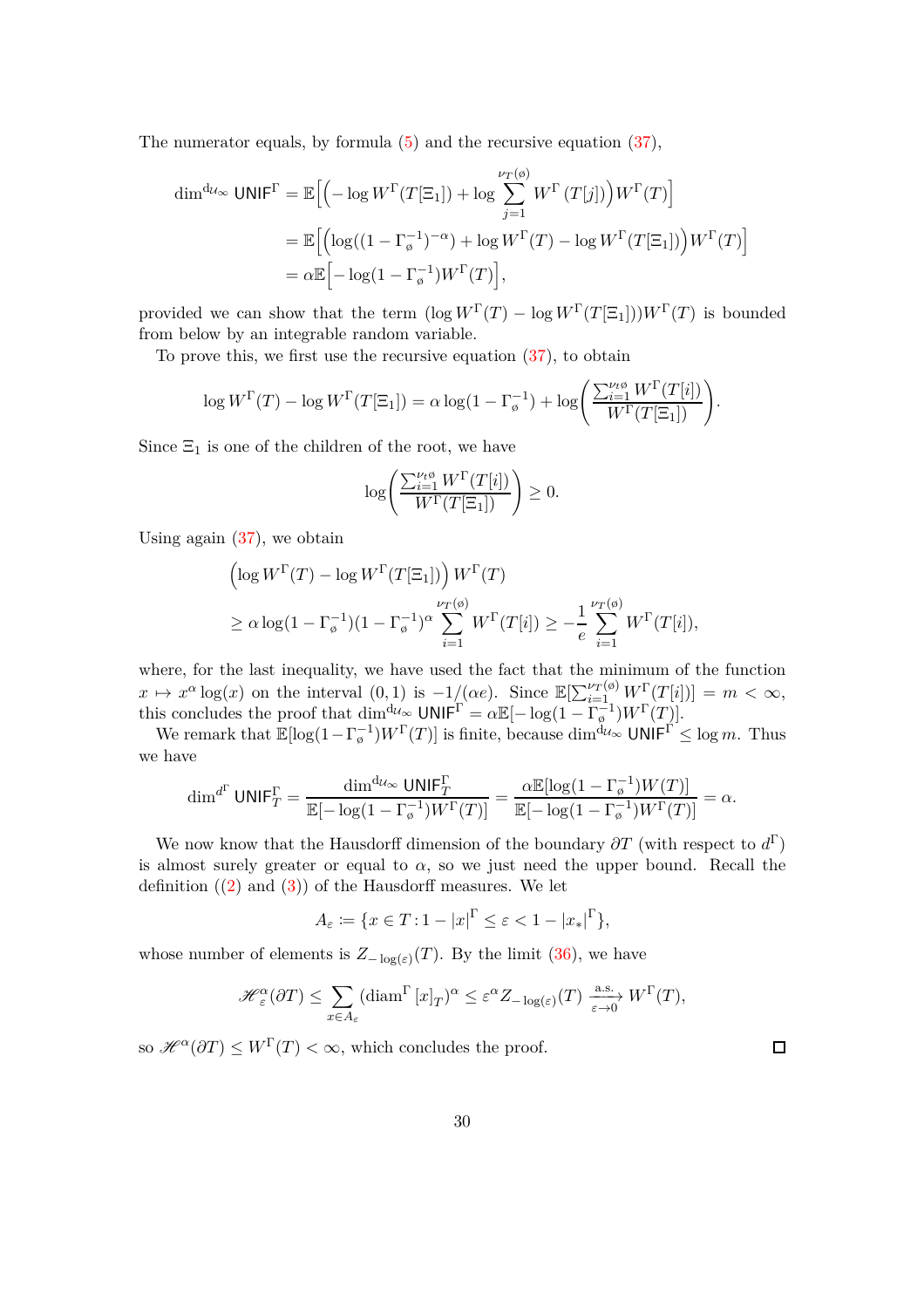The numerator equals, by formula [\(5\)](#page-8-1) and the recursive equation [\(37\)](#page-28-5),

$$
\dim^{d_{\mathcal{U}_{\infty}}} UNIF^{\Gamma} = \mathbb{E}\Big[\Big(-\log W^{\Gamma}(T[\Xi_1]) + \log \sum_{j=1}^{\nu_T(\mathfrak{g})} W^{\Gamma}(T[j])\Big) W^{\Gamma}(T)\Big]
$$
  
= 
$$
\mathbb{E}\Big[\Big(\log((1-\Gamma_{\mathfrak{g}}^{-1})^{-\alpha}) + \log W^{\Gamma}(T) - \log W^{\Gamma}(T[\Xi_1])\Big) W^{\Gamma}(T)\Big]
$$
  
= 
$$
\alpha \mathbb{E}\Big[-\log(1-\Gamma_{\mathfrak{g}}^{-1}) W^{\Gamma}(T)\Big],
$$

provided we can show that the term  $(\log W^{T}(T) - \log W^{T}(T[\Xi_1]))W^{T}(T)$  is bounded from below by an integrable random variable.

To prove this, we first use the recursive equation [\(37\)](#page-28-5), to obtain

$$
\log W^{\Gamma}(T) - \log W^{\Gamma}(T[\Xi_1]) = \alpha \log(1 - \Gamma_{\emptyset}^{-1}) + \log \left( \frac{\sum_{i=1}^{\nu_t \emptyset} W^{\Gamma}(T[i])}{W^{\Gamma}(T[\Xi_1])} \right).
$$

Since  $\Xi_1$  is one of the children of the root, we have

$$
\log\left(\frac{\sum_{i=1}^{\nu_t\theta} W^{\Gamma}(T[i])}{W^{\Gamma}(T[\Xi_1])}\right) \geq 0.
$$

Using again  $(37)$ , we obtain

$$
\left(\log W^{\Gamma}(T) - \log W^{\Gamma}(T[\Xi_1])\right) W^{\Gamma}(T)
$$
  

$$
\geq \alpha \log(1 - \Gamma_{\varnothing}^{-1})(1 - \Gamma_{\varnothing}^{-1})^{\alpha} \sum_{i=1}^{\nu_T(\varnothing)} W^{\Gamma}(T[i]) \geq -\frac{1}{e} \sum_{i=1}^{\nu_T(\varnothing)} W^{\Gamma}(T[i]),
$$

where, for the last inequality, we have used the fact that the minimum of the function  $x \mapsto x^{\alpha} \log(x)$  on the interval  $(0,1)$  is  $-1/(\alpha e)$ . Since  $\mathbb{E}[\sum_{i=1}^{\nu_{T}(\emptyset)} W_{\Gamma}^{\Gamma}(T[i])] = m < \infty$ , this concludes the proof that  $\dim^{\mathcal{d}_{\mathcal{U}_{\infty}}}$  UNIF<sup> $\Gamma = \alpha \mathbb{E}[-\log(1 - \Gamma_{\phi}^{-1})W^{\Gamma}(T)].$ </sup>

We remark that  $\mathbb{E}[\log(1-\Gamma_{\emptyset}^{-1})W^{\Gamma}(T)]$  is finite, because  $\dim^{d_{\mathcal{U}_{\infty}}}$  UNIF<sup>T</sup>  $\leq \log m$ . Thus we have

$$
\dim^{d^{\Gamma}} \textsf{UNIF}_{T}^{\Gamma} = \frac{\dim^{d_{\mathcal{U}_{\infty}}} \textsf{UNIF}_{T}^{\Gamma}}{\mathbb{E}[-\log(1-\Gamma_{\mathfrak{g}}^{-1})W^{\Gamma}(T)]} = \frac{\alpha \mathbb{E}[\log(1-\Gamma_{\mathfrak{g}}^{-1})W(T)]}{\mathbb{E}[-\log(1-\Gamma_{\mathfrak{g}}^{-1})W^{\Gamma}(T)]} = \alpha.
$$

We now know that the Hausdorff dimension of the boundary *∂T* (with respect to *d* Γ) is almost surely greater or equal to  $\alpha$ , so we just need the upper bound. Recall the definition  $(2)$  and  $(3)$ ) of the Hausdorff measures. We let

$$
A_{\varepsilon} \coloneqq \{ x \in T : 1 - |x|^{\Gamma} \le \varepsilon < 1 - |x_*|^{\Gamma} \},
$$

whose number of elements is  $Z_{-\log(\varepsilon)}(T)$ . By the limit [\(36\)](#page-28-6), we have

$$
\mathscr{H}_{\varepsilon}^{\alpha}(\partial T) \leq \sum_{x \in A_{\varepsilon}} (\text{diam}^{\Gamma}[x]_{T})^{\alpha} \leq \varepsilon^{\alpha} Z_{-\log(\varepsilon)}(T) \xrightarrow[\varepsilon \to 0]{\text{a.s.}} W^{\Gamma}(T),
$$

so  $\mathscr{H}^{\alpha}(\partial T) \leq W^{\Gamma}(T) < \infty$ , which concludes the proof.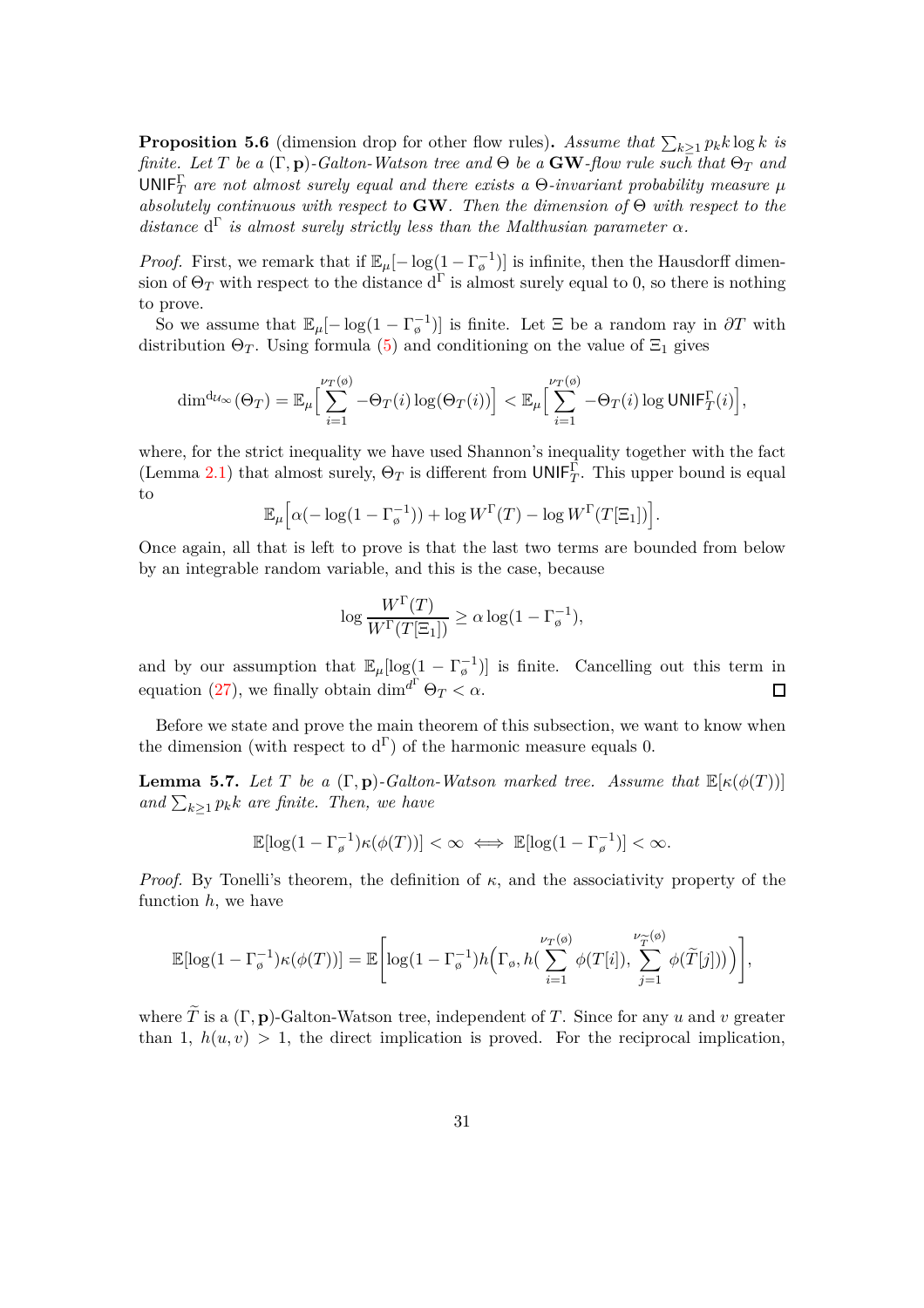**Proposition 5.6** (dimension drop for other flow rules). Assume that  $\sum_{k\geq 1} p_k k \log k$  is *finite.* Let *T* be a  $(\Gamma, \mathbf{p})$ -Galton-Watson tree and  $\Theta$  be a **GW**-flow rule such that  $\Theta_T$  and  $\mathsf{UNIF}_T^\Gamma$  *are not almost surely equal and there exists a*  $\Theta$ -*invariant probability measure*  $\mu$ *absolutely continuous with respect to* **GW***. Then the dimension of* Θ *with respect to the* distance  $d^{\Gamma}$  *is almost surely strictly less than the Malthusian parameter*  $\alpha$ *.* 

*Proof.* First, we remark that if  $\mathbb{E}_{\mu}[-\log(1-\Gamma_{\varphi}^{-1})]$  is infinite, then the Hausdorff dimension of  $\Theta_T$  with respect to the distance d<sup>Γ</sup> is almost surely equal to 0, so there is nothing to prove.

So we assume that  $\mathbb{E}_{\mu}[-\log(1-\Gamma_{\emptyset}^{-1})]$  is finite. Let  $\Xi$  be a random ray in  $\partial T$  with distribution  $\Theta_T$ . Using formula [\(5\)](#page-8-1) and conditioning on the value of  $\Xi_1$  gives

$$
\dim^{d_{\mathcal{U}_{\infty}}}(\Theta_T) = \mathbb{E}_{\mu} \Big[ \sum_{i=1}^{\nu_T(\mathfrak{g})} -\Theta_T(i) \log(\Theta_T(i)) \Big] < \mathbb{E}_{\mu} \Big[ \sum_{i=1}^{\nu_T(\mathfrak{g})} -\Theta_T(i) \log \mathrm{UNIF}_T^{\Gamma}(i) \Big],
$$

where, for the strict inequality we have used Shannon's inequality together with the fact (Lemma [2.1\)](#page-8-3) that almost surely,  $\Theta_T$  is different from UNIF<sub>T</sub>. This upper bound is equal to

$$
\mathbb{E}_{\mu} \Big[ \alpha ( - \log(1 - \Gamma_{\varnothing}^{-1})) + \log W^{\Gamma}(T) - \log W^{\Gamma}(T[\Xi_1]) \Big].
$$

Once again, all that is left to prove is that the last two terms are bounded from below by an integrable random variable, and this is the case, because

$$
\log \frac{W^{\Gamma}(T)}{W^{\Gamma}(T[\Xi_1])} \ge \alpha \log(1 - \Gamma_{\varnothing}^{-1}),
$$

and by our assumption that  $\mathbb{E}_{\mu}[\log(1 - \Gamma_{\phi}^{-1})]$  is finite. Cancelling out this term in equation [\(27\)](#page-26-1), we finally obtain  $\dim^{d^{\Gamma}} \Theta_T < \alpha$ .  $\Box$ 

Before we state and prove the main theorem of this subsection, we want to know when the dimension (with respect to  $d^{\Gamma}$ ) of the harmonic measure equals 0.

**Lemma 5.7.** *Let T be a* ( $\Gamma$ *, p*)*-Galton-Watson marked tree. Assume that*  $\mathbb{E}[\kappa(\phi(T))]$  $and \sum_{k\geq 1} p_k k$  are finite. Then, we have

$$
\mathbb{E}[\log(1-\Gamma_{\beta}^{-1})\kappa(\phi(T))] < \infty \iff \mathbb{E}[\log(1-\Gamma_{\beta}^{-1})] < \infty.
$$

*Proof.* By Tonelli's theorem, the definition of *κ*, and the associativity property of the function *h*, we have

$$
\mathbb{E}[\log(1-\Gamma_{\emptyset}^{-1})\kappa(\phi(T))] = \mathbb{E}\Bigg[\log(1-\Gamma_{\emptyset}^{-1})h\Big(\Gamma_{\emptyset}, h\Big(\sum_{i=1}^{\nu_{T}(\emptyset)}\phi(T[i]),\sum_{j=1}^{\nu_{\widetilde{T}}(\emptyset)}\phi(\widetilde{T}[j])\Big)\Big)\Bigg],
$$

where  $\widetilde{T}$  is a  $(\Gamma, \mathbf{p})$ -Galton-Watson tree, independent of *T*. Since for any *u* and *v* greater than 1,  $h(u, v) > 1$ , the direct implication is proved. For the reciprocal implication,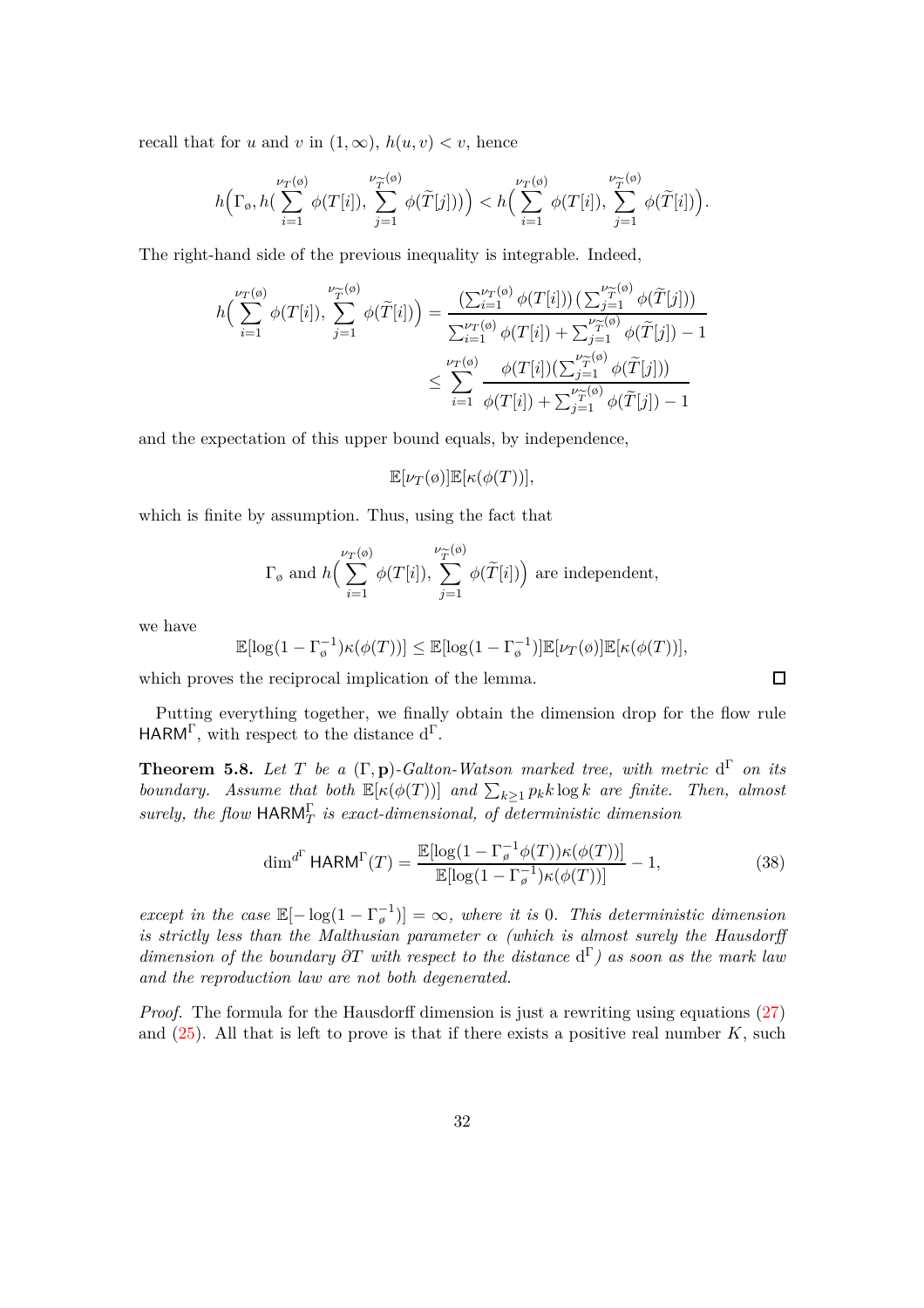recall that for *u* and *v* in  $(1, \infty)$ ,  $h(u, v) < v$ , hence

$$
h\Big(\Gamma_\emptyset, h\Big(\sum_{i=1}^{\nu_{\widetilde{T}}(\emptyset)}\phi\big(T[i]\big), \sum_{j=1}^{\nu_{\widetilde{T}}(\emptyset)}\phi\big(\widetilde{T}[j]\big)\big)\Big) < h\Big(\sum_{i=1}^{\nu_{\widetilde{T}}(\emptyset)}\phi\big(T[i]\big), \sum_{j=1}^{\nu_{\widetilde{T}}(\emptyset)}\phi\big(\widetilde{T}[i]\big)\Big).
$$

The right-hand side of the previous inequality is integrable. Indeed,

$$
h\left(\sum_{i=1}^{\nu_{\widetilde{T}}(\emptyset)}\phi(T[i]),\sum_{j=1}^{\nu_{\widetilde{T}}(\emptyset)}\phi(\widetilde{T}[i])\right) = \frac{\left(\sum_{i=1}^{\nu_{T}(\emptyset)}\phi(T[i])\right)\left(\sum_{j=1}^{\nu_{\widetilde{T}}(\emptyset)}\phi(\widetilde{T}[j])\right)}{\sum_{i=1}^{\nu_{T}(\emptyset)}\phi(T[i]) + \sum_{j=1}^{\nu_{\widetilde{T}}(\emptyset)}\phi(\widetilde{T}[j]) - 1}
$$
  

$$
\leq \sum_{i=1}^{\nu_{T}(\emptyset)}\frac{\phi(T[i])\left(\sum_{j=1}^{\nu_{\widetilde{T}}(\emptyset)}\phi(\widetilde{T}[j])\right)}{\phi(T[i]) + \sum_{j=1}^{\nu_{\widetilde{T}}(\emptyset)}\phi(\widetilde{T}[j]) - 1}
$$

and the expectation of this upper bound equals, by independence,

$$
\mathbb{E}[\nu_T(\phi)]\mathbb{E}[\kappa(\phi(T))],
$$

which is finite by assumption. Thus, using the fact that

$$
\Gamma_{\varphi}
$$
 and  $h\left(\sum_{i=1}^{\nu_{\widetilde{T}}(\varphi)} \phi(T[i]), \sum_{j=1}^{\nu_{\widetilde{T}}(\varphi)} \phi(\widetilde{T}[i])\right)$  are independent,

we have

$$
\mathbb{E}[\log(1-\Gamma_{\beta}^{-1})\kappa(\phi(T))] \leq \mathbb{E}[\log(1-\Gamma_{\beta}^{-1})]\mathbb{E}[\nu_T(\phi)]\mathbb{E}[\kappa(\phi(T))],
$$

which proves the reciprocal implication of the lemma.

Putting everything together, we finally obtain the dimension drop for the flow rule  $\mathsf{HARM}^{\Gamma}$ , with respect to the distance  $d^{\Gamma}$ .

**Theorem 5.8.** *Let T be a* (Γ*,* **p**)*-Galton-Watson marked tree, with metric* d <sup>Γ</sup> *on its boundary.* Assume that both  $\mathbb{E}[\kappa(\phi(T))]$  and  $\sum_{k\geq 1} p_k k \log k$  are finite. Then, almost  $surely, the flow  $HARM_T^{\Gamma}$  is exact-dimensional, of deterministic dimension$ 

$$
\dim^{d^{\Gamma}} \mathsf{HARM}^{\Gamma}(T) = \frac{\mathbb{E}[\log(1 - \Gamma_{\beta}^{-1} \phi(T)) \kappa(\phi(T))]}{\mathbb{E}[\log(1 - \Gamma_{\beta}^{-1}) \kappa(\phi(T))]} - 1,
$$
\n(38)

*except in the case*  $\mathbb{E}[-\log(1-\Gamma_{\emptyset}^{-1})] = \infty$ , where it is 0. This deterministic dimension *is strictly less than the Malthusian parameter*  $\alpha$  *(which is almost surely the Hausdorff dimension of the boundary ∂T with respect to the distance* d <sup>Γ</sup>*) as soon as the mark law and the reproduction law are not both degenerated.*

*Proof.* The formula for the Hausdorff dimension is just a rewriting using equations [\(27\)](#page-26-1) and  $(25)$ . All that is left to prove is that if there exists a positive real number  $K$ , such

<span id="page-31-0"></span> $\Box$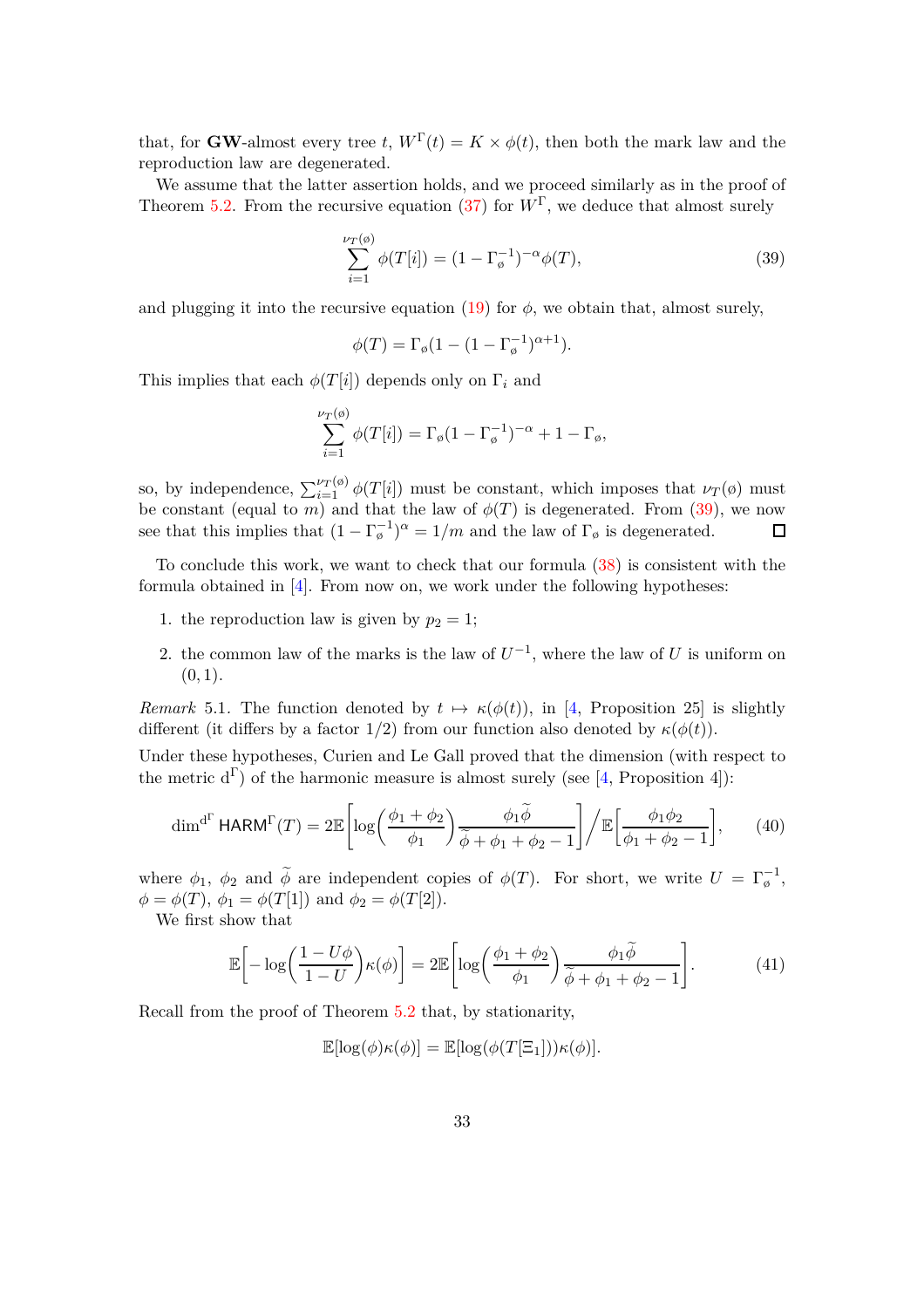that, for **GW**-almost every tree *t*,  $W^{\Gamma}(t) = K \times \phi(t)$ , then both the mark law and the reproduction law are degenerated.

We assume that the latter assertion holds, and we proceed similarly as in the proof of Theorem [5.2.](#page-23-0) From the recursive equation [\(37\)](#page-28-5) for  $W^{\Gamma}$ , we deduce that almost surely

<span id="page-32-0"></span>
$$
\sum_{i=1}^{\nu_T(\phi)} \phi(T[i]) = (1 - \Gamma_{\phi}^{-1})^{-\alpha} \phi(T), \tag{39}
$$

and plugging it into the recursive equation  $(19)$  for  $\phi$ , we obtain that, almost surely,

$$
\phi(T) = \Gamma_{\emptyset} (1 - (1 - \Gamma_{\emptyset}^{-1})^{\alpha + 1}).
$$

This implies that each  $\phi(T[i])$  depends only on  $\Gamma_i$  and

$$
\sum_{i=1}^{\nu_T(\phi)} \phi(T[i]) = \Gamma_{\phi}(1 - \Gamma_{\phi}^{-1})^{-\alpha} + 1 - \Gamma_{\phi},
$$

so, by independence,  $\sum_{i=1}^{\nu_T(\phi)} \phi(T[i])$  must be constant, which imposes that  $\nu_T(\phi)$  must be constant (equal to  $\overline{m}$ ) and that the law of  $\phi(T)$  is degenerated. From [\(39\)](#page-32-0), we now see that this implies that  $(1 - \Gamma_{\varphi}^{-1})^{\alpha} = 1/m$  and the law of  $\Gamma_{\varphi}$  is degenerated.  $\Box$ 

To conclude this work, we want to check that our formula [\(38\)](#page-31-0) is consistent with the formula obtained in [\[4\]](#page-35-3). From now on, we work under the following hypotheses:

- 1. the reproduction law is given by  $p_2 = 1$ ;
- 2. the common law of the marks is the law of  $U^{-1}$ , where the law of *U* is uniform on  $(0, 1)$ .

*Remark* 5.1. The function denoted by  $t \mapsto \kappa(\phi(t))$ , in [\[4,](#page-35-3) Proposition 25] is slightly different (it differs by a factor 1/2) from our function also denoted by  $\kappa(\phi(t))$ .

Under these hypotheses, Curien and Le Gall proved that the dimension (with respect to the metric  $d^{\Gamma}$ ) of the harmonic measure is almost surely (see [\[4,](#page-35-3) Proposition 4]):

$$
\dim^{\mathbf{d}^{\Gamma}} \mathsf{HARM}^{\Gamma}(T) = 2\mathbb{E}\left[\log\left(\frac{\phi_1 + \phi_2}{\phi_1}\right) \frac{\phi_1 \widetilde{\phi}}{\widetilde{\phi} + \phi_1 + \phi_2 - 1}\right] \bigg/ \mathbb{E}\left[\frac{\phi_1 \phi_2}{\phi_1 + \phi_2 - 1}\right],\qquad(40)
$$

where  $\phi_1$ ,  $\phi_2$  and  $\widetilde{\phi}$  are independent copies of  $\phi(T)$ . For short, we write  $U = \Gamma_{\phi}^{-1}$ ,  $\phi = \phi(T), \ \phi_1 = \phi(T[1]) \text{ and } \ \phi_2 = \phi(T[2]).$ 

We first show that

<span id="page-32-1"></span>
$$
\mathbb{E}\left[-\log\left(\frac{1-U\phi}{1-U}\right)\kappa(\phi)\right] = 2\mathbb{E}\left[\log\left(\frac{\phi_1+\phi_2}{\phi_1}\right)\frac{\phi_1\widetilde{\phi}}{\widetilde{\phi}+\phi_1+\phi_2-1}\right].\tag{41}
$$

Recall from the proof of Theorem [5.2](#page-23-0) that, by stationarity,

<span id="page-32-2"></span>
$$
\mathbb{E}[\log(\phi)\kappa(\phi)] = \mathbb{E}[\log(\phi(T[\Xi_1]))\kappa(\phi)].
$$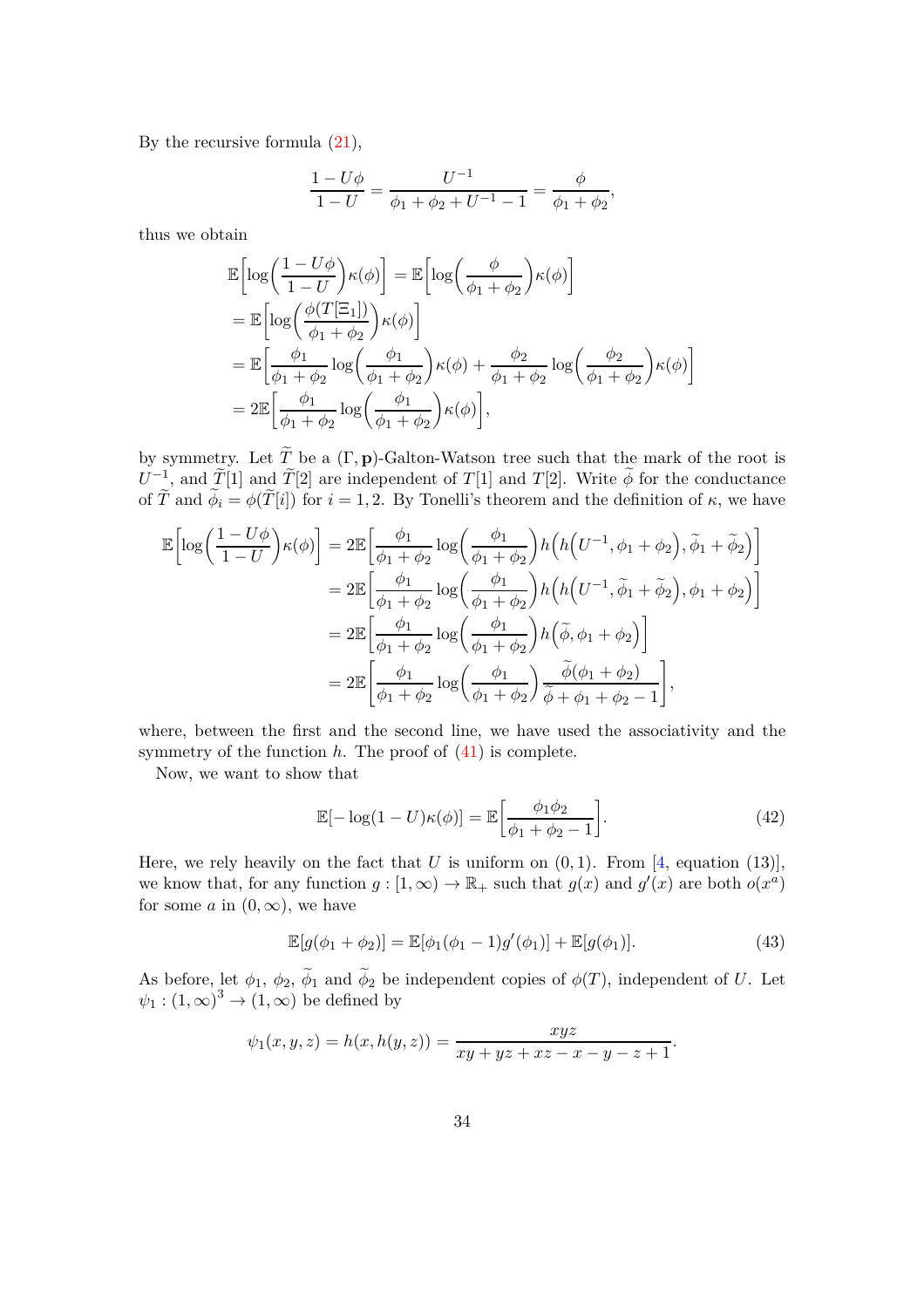By the recursive formula [\(21\)](#page-20-1),

$$
\frac{1 - U\phi}{1 - U} = \frac{U^{-1}}{\phi_1 + \phi_2 + U^{-1} - 1} = \frac{\phi}{\phi_1 + \phi_2},
$$

thus we obtain

$$
\mathbb{E}\left[\log\left(\frac{1-U\phi}{1-U}\right)\kappa(\phi)\right] = \mathbb{E}\left[\log\left(\frac{\phi}{\phi_1+\phi_2}\right)\kappa(\phi)\right]
$$
  
\n
$$
= \mathbb{E}\left[\log\left(\frac{\phi(T[\Xi_1])}{\phi_1+\phi_2}\right)\kappa(\phi)\right]
$$
  
\n
$$
= \mathbb{E}\left[\frac{\phi_1}{\phi_1+\phi_2}\log\left(\frac{\phi_1}{\phi_1+\phi_2}\right)\kappa(\phi) + \frac{\phi_2}{\phi_1+\phi_2}\log\left(\frac{\phi_2}{\phi_1+\phi_2}\right)\kappa(\phi)\right]
$$
  
\n
$$
= 2\mathbb{E}\left[\frac{\phi_1}{\phi_1+\phi_2}\log\left(\frac{\phi_1}{\phi_1+\phi_2}\right)\kappa(\phi)\right],
$$

by symmetry. Let  $\widetilde{T}$  be a  $(\Gamma, \mathbf{p})$ -Galton-Watson tree such that the mark of the root is  $U^{-1}$ , and  $\widetilde{T}[1]$  and  $\widetilde{T}[2]$  are independent of *T*[1] and *T*[2]. Write  $\widetilde{\phi}$  for the conductance of *T* and  $\phi_i = \phi(T[i])$  for  $i = 1, 2$ . By Tonelli's theorem and the definition of  $\kappa$ , we have

$$
\mathbb{E}\left[\log\left(\frac{1-U\phi}{1-U}\right)\kappa(\phi)\right] = 2\mathbb{E}\left[\frac{\phi_1}{\phi_1+\phi_2}\log\left(\frac{\phi_1}{\phi_1+\phi_2}\right)h\left(h\left(U^{-1},\phi_1+\phi_2\right),\tilde{\phi}_1+\tilde{\phi}_2\right)\right]
$$
  
\n
$$
= 2\mathbb{E}\left[\frac{\phi_1}{\phi_1+\phi_2}\log\left(\frac{\phi_1}{\phi_1+\phi_2}\right)h\left(h\left(U^{-1},\tilde{\phi}_1+\tilde{\phi}_2\right),\phi_1+\phi_2\right)\right]
$$
  
\n
$$
= 2\mathbb{E}\left[\frac{\phi_1}{\phi_1+\phi_2}\log\left(\frac{\phi_1}{\phi_1+\phi_2}\right)h\left(\tilde{\phi},\phi_1+\phi_2\right)\right]
$$
  
\n
$$
= 2\mathbb{E}\left[\frac{\phi_1}{\phi_1+\phi_2}\log\left(\frac{\phi_1}{\phi_1+\phi_2}\right)\frac{\tilde{\phi}(\phi_1+\phi_2)}{\tilde{\phi}+\phi_1+\phi_2-1}\right],
$$

where, between the first and the second line, we have used the associativity and the symmetry of the function  $h$ . The proof of  $(41)$  is complete.

Now, we want to show that

<span id="page-33-1"></span>
$$
\mathbb{E}[-\log(1-U)\kappa(\phi)] = \mathbb{E}\bigg[\frac{\phi_1\phi_2}{\phi_1+\phi_2-1}\bigg].\tag{42}
$$

Here, we rely heavily on the fact that  $U$  is uniform on  $(0, 1)$ . From [\[4,](#page-35-3) equation (13)], we know that, for any function  $g: [1, \infty) \to \mathbb{R}_+$  such that  $g(x)$  and  $g'(x)$  are both  $o(x^a)$ for some *a* in  $(0, \infty)$ , we have

<span id="page-33-0"></span>
$$
\mathbb{E}[g(\phi_1 + \phi_2)] = \mathbb{E}[\phi_1(\phi_1 - 1)g'(\phi_1)] + \mathbb{E}[g(\phi_1)].
$$
\n(43)

As before, let  $\phi_1$ ,  $\phi_2$ ,  $\phi_1$  and  $\phi_2$  be independent copies of  $\phi(T)$ , independent of *U*. Let  $\psi_1: (1, \infty)^3 \to (1, \infty)$  be defined by

$$
\psi_1(x, y, z) = h(x, h(y, z)) = \frac{xyz}{xy + yz + xz - x - y - z + 1}.
$$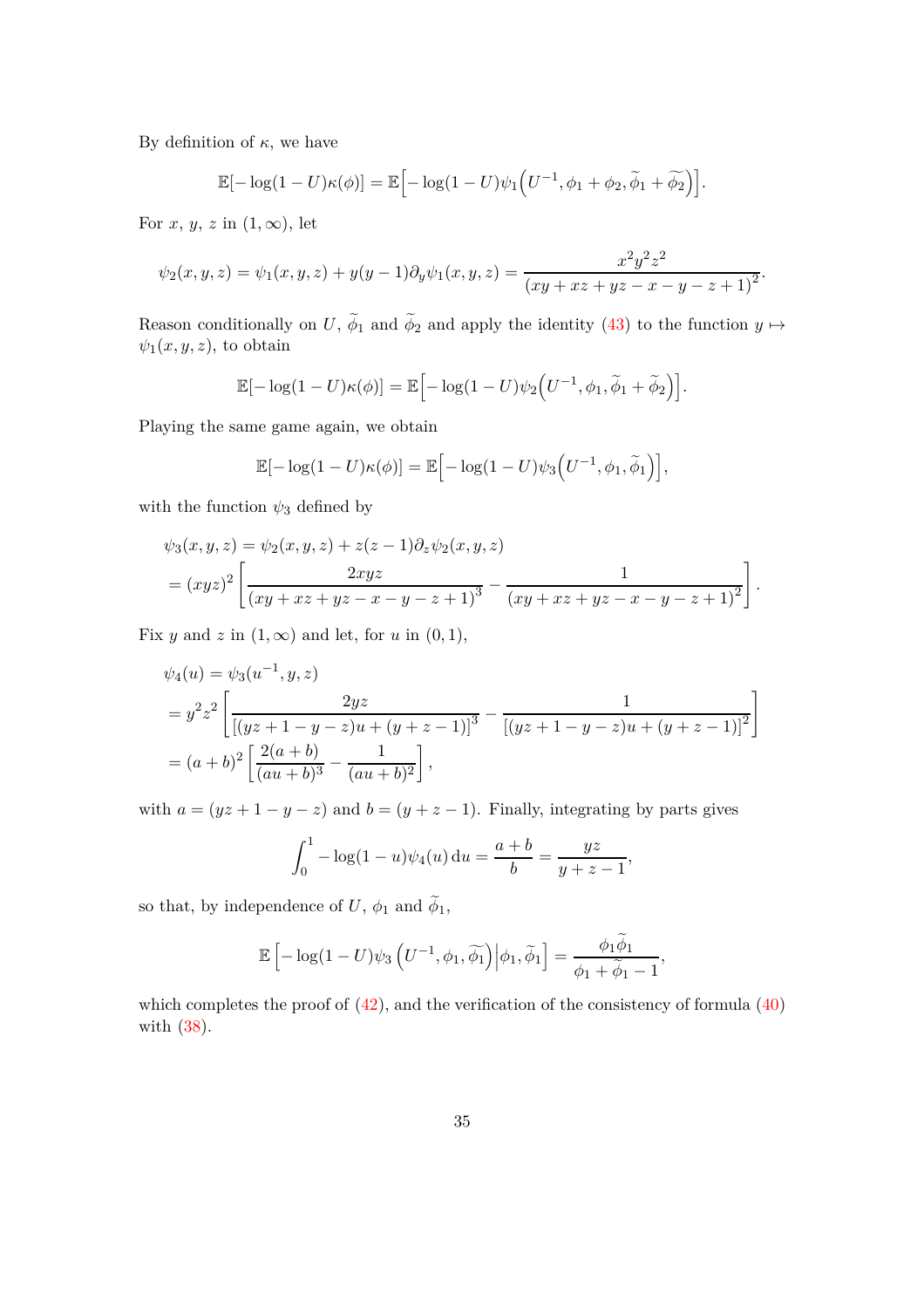By definition of  $\kappa$ , we have

$$
\mathbb{E}[-\log(1-U)\kappa(\phi)] = \mathbb{E}\Big[-\log(1-U)\psi_1\Big(U^{-1},\phi_1+\phi_2,\widetilde{\phi}_1+\widetilde{\phi}_2\Big)\Big].
$$

For  $x, y, z$  in  $(1, \infty)$ , let

$$
\psi_2(x, y, z) = \psi_1(x, y, z) + y(y - 1)\partial_y \psi_1(x, y, z) = \frac{x^2 y^2 z^2}{(xy + xz + yz - x - y - z + 1)^2}.
$$

Reason conditionally on *U*,  $\phi_1$  and  $\phi_2$  and apply the identity [\(43\)](#page-33-0) to the function  $y \mapsto$  $\psi_1(x, y, z)$ , to obtain

$$
\mathbb{E}[-\log(1-U)\kappa(\phi)] = \mathbb{E}\Big[-\log(1-U)\psi_2\Big(U^{-1},\phi_1,\widetilde{\phi}_1+\widetilde{\phi}_2\Big)\Big].
$$

Playing the same game again, we obtain

$$
\mathbb{E}[-\log(1-U)\kappa(\phi)] = \mathbb{E}\Big[-\log(1-U)\psi_3\Big(U^{-1},\phi_1,\widetilde{\phi}_1\Big)\Big],
$$

with the function  $\psi_3$  defined by

$$
\psi_3(x, y, z) = \psi_2(x, y, z) + z(z - 1)\partial_z \psi_2(x, y, z)
$$
  
=  $(xyz)^2 \left[ \frac{2xyz}{(xy + xz + yz - x - y - z + 1)^3} - \frac{1}{(xy + xz + yz - x - y - z + 1)^2} \right].$ 

Fix *y* and *z* in  $(1, \infty)$  and let, for *u* in  $(0, 1)$ ,

$$
\psi_4(u) = \psi_3(u^{-1}, y, z)
$$
  
=  $y^2 z^2 \left[ \frac{2yz}{\left[ (yz + 1 - y - z)u + (y + z - 1) \right]^3} - \frac{1}{\left[ (yz + 1 - y - z)u + (y + z - 1) \right]^2} \right]$   
=  $(a + b)^2 \left[ \frac{2(a + b)}{(au + b)^3} - \frac{1}{(au + b)^2} \right],$ 

with  $a = (yz + 1 - y - z)$  and  $b = (y + z - 1)$ . Finally, integrating by parts gives

$$
\int_0^1 -\log(1-u)\psi_4(u) \, \mathrm{d}u = \frac{a+b}{b} = \frac{yz}{y+z-1},
$$

so that, by independence of  $U$ ,  $\phi_1$  and  $\phi_1$ ,

$$
\mathbb{E}\left[-\log(1-U)\psi_3\left(U^{-1},\phi_1,\widetilde{\phi_1}\right)\middle|\phi_1,\widetilde{\phi}_1\right]=\frac{\phi_1\overline{\phi_1}}{\phi_1+\widetilde{\phi}_1-1},
$$

which completes the proof of  $(42)$ , and the verification of the consistency of formula  $(40)$ with [\(38\)](#page-31-0).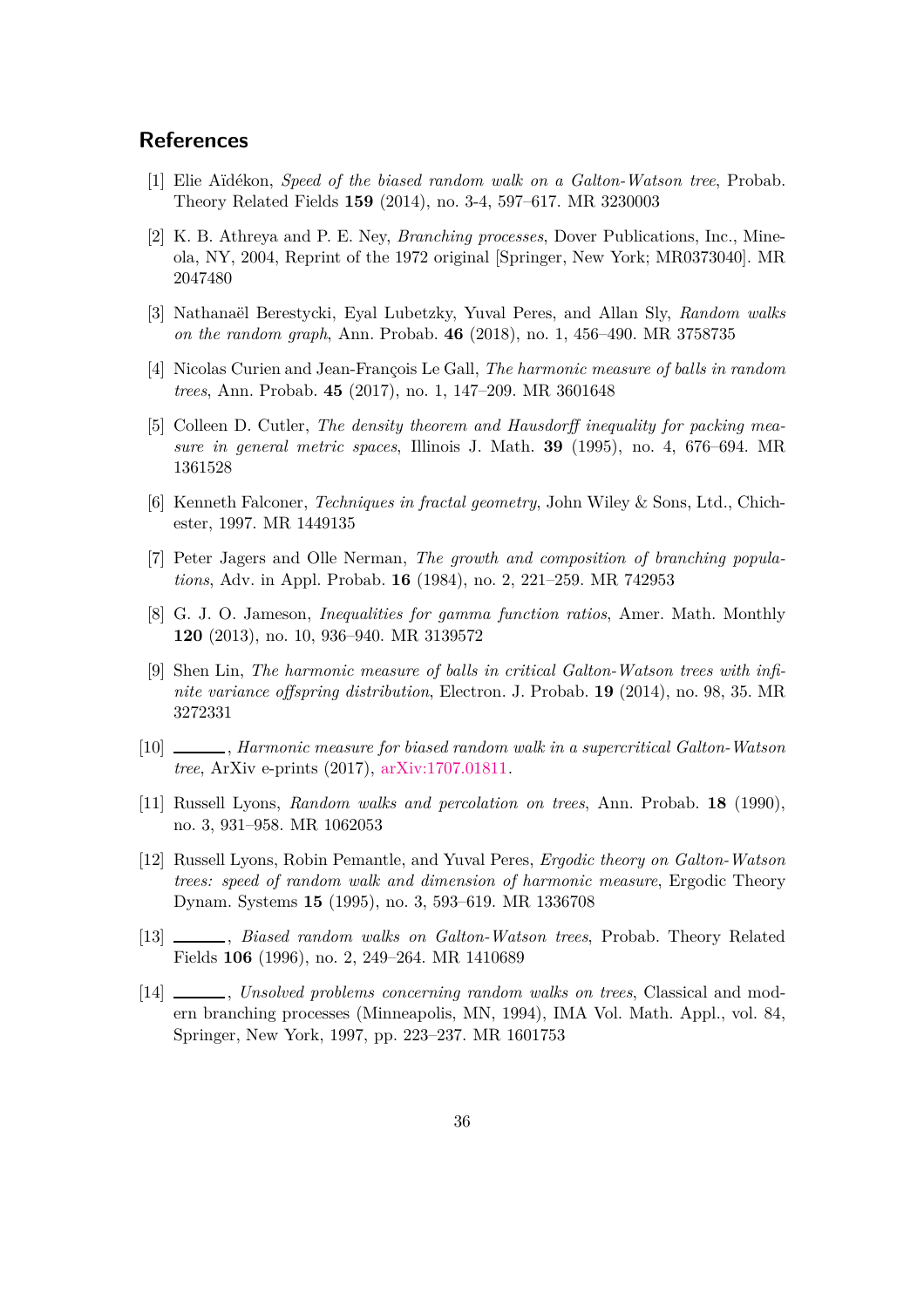# <span id="page-35-7"></span>**References**

- <span id="page-35-12"></span>[1] Elie Aïdékon, *Speed of the biased random walk on a Galton-Watson tree*, Probab. Theory Related Fields **159** (2014), no. 3-4, 597–617. MR 3230003
- [2] K. B. Athreya and P. E. Ney, *Branching processes*, Dover Publications, Inc., Mineola, NY, 2004, Reprint of the 1972 original [Springer, New York; MR0373040]. MR 2047480
- <span id="page-35-3"></span><span id="page-35-2"></span>[3] Nathanaël Berestycki, Eyal Lubetzky, Yuval Peres, and Allan Sly, *Random walks on the random graph*, Ann. Probab. **46** (2018), no. 1, 456–490. MR 3758735
- <span id="page-35-8"></span>[4] Nicolas Curien and Jean-François Le Gall, *The harmonic measure of balls in random trees*, Ann. Probab. **45** (2017), no. 1, 147–209. MR 3601648
- [5] Colleen D. Cutler, *The density theorem and Hausdorff inequality for packing measure in general metric spaces*, Illinois J. Math. **39** (1995), no. 4, 676–694. MR 1361528
- <span id="page-35-9"></span>[6] Kenneth Falconer, *Techniques in fractal geometry*, John Wiley & Sons, Ltd., Chichester, 1997. MR 1449135
- <span id="page-35-13"></span><span id="page-35-11"></span>[7] Peter Jagers and Olle Nerman, *The growth and composition of branching populations*, Adv. in Appl. Probab. **16** (1984), no. 2, 221–259. MR 742953
- [8] G. J. O. Jameson, *Inequalities for gamma function ratios*, Amer. Math. Monthly **120** (2013), no. 10, 936–940. MR 3139572
- <span id="page-35-4"></span>[9] Shen Lin, *The harmonic measure of balls in critical Galton-Watson trees with infinite variance offspring distribution*, Electron. J. Probab. **19** (2014), no. 98, 35. MR 3272331
- <span id="page-35-5"></span>[10] , *Harmonic measure for biased random walk in a supercritical Galton-Watson tree*, ArXiv e-prints (2017), [arXiv:1707.01811.](http://arxiv.org/abs/1707.01811)
- <span id="page-35-10"></span><span id="page-35-0"></span>[11] Russell Lyons, *Random walks and percolation on trees*, Ann. Probab. **18** (1990), no. 3, 931–958. MR 1062053
- [12] Russell Lyons, Robin Pemantle, and Yuval Peres, *Ergodic theory on Galton-Watson trees: speed of random walk and dimension of harmonic measure*, Ergodic Theory Dynam. Systems **15** (1995), no. 3, 593–619. MR 1336708
- <span id="page-35-1"></span>[13] , *Biased random walks on Galton-Watson trees*, Probab. Theory Related Fields **106** (1996), no. 2, 249–264. MR 1410689
- <span id="page-35-6"></span>[14] , *Unsolved problems concerning random walks on trees*, Classical and modern branching processes (Minneapolis, MN, 1994), IMA Vol. Math. Appl., vol. 84, Springer, New York, 1997, pp. 223–237. MR 1601753